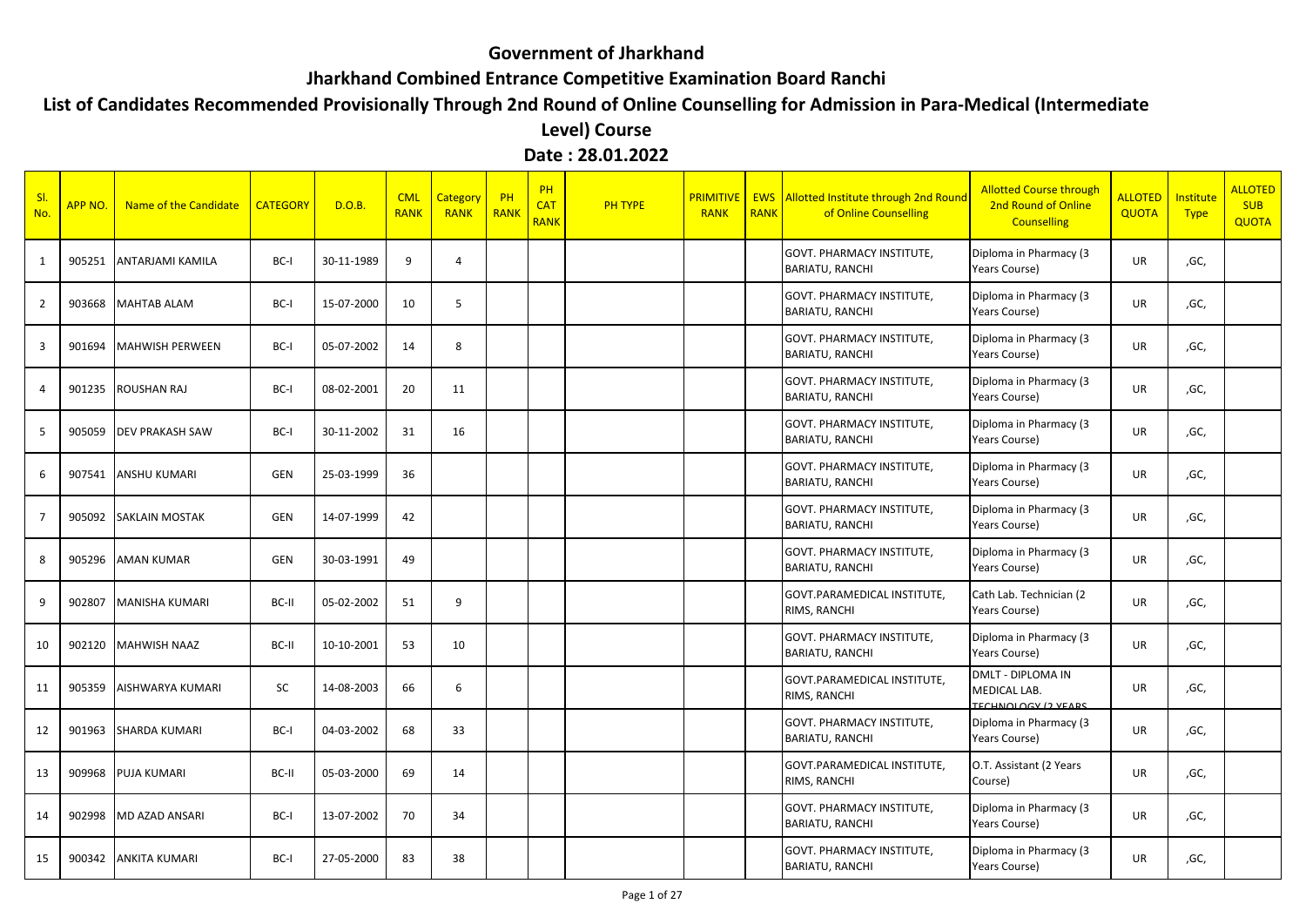## **Government of Jharkhand**

## **Jharkhand Combined Entrance Competitive Examination Board Ranchi**

## **List of Candidates Recommended Provisionally Through 2nd Round of Online Counselling for Admission in Para-Medical (Intermediate**

**Level) Course Date : 28.01.2022**

| S <sub>l</sub><br>No. | APP NO. | Name of the Candidate  | <b>CATEGORY</b> | D.O.B.     | <b>CML</b><br><b>RANK</b> | <b>Category</b><br><b>RANK</b> | PH<br><b>RANK</b> | <b>PH</b><br><b>CAT</b><br><b>RANK</b> | <b>PH TYPE</b> | <b>PRIMITIVE</b><br><b>RANK</b> | <b>RANK</b> | <b>EWS</b> Allotted Institute through 2nd Round<br>of Online Counselling | <b>Allotted Course through</b><br>2nd Round of Online<br><b>Counselling</b> | <b>ALLOTED</b><br><b>QUOTA</b> | Institute<br><b>Type</b> | <b>ALLOTED</b><br><b>SUB</b><br><b>QUOTA</b> |
|-----------------------|---------|------------------------|-----------------|------------|---------------------------|--------------------------------|-------------------|----------------------------------------|----------------|---------------------------------|-------------|--------------------------------------------------------------------------|-----------------------------------------------------------------------------|--------------------------------|--------------------------|----------------------------------------------|
| 1                     | 905251  | ANTARJAMI KAMILA       | BC-I            | 30-11-1989 | 9                         | $\Delta$                       |                   |                                        |                |                                 |             | <b>GOVT. PHARMACY INSTITUTE,</b><br><b>BARIATU, RANCHI</b>               | Diploma in Pharmacy (3<br>Years Course)                                     | UR                             | ,GC,                     |                                              |
| 2                     | 903668  | <b>MAHTAB ALAM</b>     | BC-I            | 15-07-2000 | 10                        | .5                             |                   |                                        |                |                                 |             | <b>GOVT. PHARMACY INSTITUTE,</b><br><b>BARIATU, RANCHI</b>               | Diploma in Pharmacy (3<br>Years Course)                                     | <b>UR</b>                      | ,GC,                     |                                              |
| 3                     | 901694  | <b>MAHWISH PERWEEN</b> | BC-I            | 05-07-2002 | 14                        | -8                             |                   |                                        |                |                                 |             | <b>GOVT. PHARMACY INSTITUTE,</b><br><b>BARIATU, RANCHI</b>               | Diploma in Pharmacy (3<br>Years Course)                                     | UR                             | ,GC,                     |                                              |
| $\overline{4}$        | 901235  | <b>ROUSHAN RAJ</b>     | BC-I            | 08-02-2001 | 20                        | 11                             |                   |                                        |                |                                 |             | <b>GOVT. PHARMACY INSTITUTE,</b><br><b>BARIATU, RANCHI</b>               | Diploma in Pharmacy (3<br>Years Course)                                     | UR                             | ,GC,                     |                                              |
| -5                    | 905059  | <b>DEV PRAKASH SAW</b> | BC-I            | 30-11-2002 | 31                        | 16                             |                   |                                        |                |                                 |             | <b>GOVT. PHARMACY INSTITUTE,</b><br><b>BARIATU, RANCHI</b>               | Diploma in Pharmacy (3<br>Years Course)                                     | UR                             | ,GC,                     |                                              |
| 6                     | 907541  | <b>ANSHU KUMARI</b>    | <b>GEN</b>      | 25-03-1999 | 36                        |                                |                   |                                        |                |                                 |             | <b>GOVT. PHARMACY INSTITUTE,</b><br><b>BARIATU, RANCHI</b>               | Diploma in Pharmacy (3<br>Years Course)                                     | <b>UR</b>                      | ,GC,                     |                                              |
| -7                    | 905092  | <b>SAKLAIN MOSTAK</b>  | GEN             | 14-07-1999 | 42                        |                                |                   |                                        |                |                                 |             | GOVT. PHARMACY INSTITUTE,<br><b>BARIATU, RANCHI</b>                      | Diploma in Pharmacy (3<br>Years Course)                                     | UR                             | ,GC,                     |                                              |
| 8                     | 905296  | <b>AMAN KUMAR</b>      | <b>GEN</b>      | 30-03-1991 | 49                        |                                |                   |                                        |                |                                 |             | <b>GOVT. PHARMACY INSTITUTE,</b><br><b>BARIATU, RANCHI</b>               | Diploma in Pharmacy (3<br>Years Course)                                     | UR                             | ,GC,                     |                                              |
| -9                    | 902807  | <b>MANISHA KUMARI</b>  | BC-II           | 05-02-2002 | 51                        | 9                              |                   |                                        |                |                                 |             | GOVT.PARAMEDICAL INSTITUTE,<br>RIMS, RANCHI                              | Cath Lab. Technician (2<br>Years Course)                                    | UR                             | ,GC,                     |                                              |
| 10                    | 902120  | <b>MAHWISH NAAZ</b>    | BC-II           | 10-10-2001 | 53                        | 10                             |                   |                                        |                |                                 |             | <b>GOVT. PHARMACY INSTITUTE,</b><br><b>BARIATU, RANCHI</b>               | Diploma in Pharmacy (3<br>Years Course)                                     | UR                             | ,GC,                     |                                              |
| 11                    | 905359  | AISHWARYA KUMARI       | SC              | 14-08-2003 | 66                        | 6                              |                   |                                        |                |                                 |             | <b>GOVT.PARAMEDICAL INSTITUTE.</b><br>RIMS, RANCHI                       | <b>DMLT - DIPLOMA IN</b><br>MEDICAL LAB.<br><b>TECHNOLOGY (2 VEARS)</b>     | UR                             | ,GC,                     |                                              |
| 12                    | 901963  | <b>SHARDA KUMARI</b>   | BC-I            | 04-03-2002 | 68                        | 33                             |                   |                                        |                |                                 |             | <b>GOVT. PHARMACY INSTITUTE,</b><br><b>BARIATU, RANCHI</b>               | Diploma in Pharmacy (3<br>Years Course)                                     | <b>UR</b>                      | ,GC,                     |                                              |
| 13                    | 909968  | <b>PUJA KUMARI</b>     | BC-II           | 05-03-2000 | 69                        | 14                             |                   |                                        |                |                                 |             | GOVT.PARAMEDICAL INSTITUTE,<br>RIMS, RANCHI                              | O.T. Assistant (2 Years<br>Course)                                          | UR                             | ,GC,                     |                                              |
| 14                    | 902998  | <b>MD AZAD ANSARI</b>  | BC-I            | 13-07-2002 | 70                        | 34                             |                   |                                        |                |                                 |             | <b>GOVT. PHARMACY INSTITUTE,</b><br><b>BARIATU, RANCHI</b>               | Diploma in Pharmacy (3<br>Years Course)                                     | UR                             | ,GC,                     |                                              |
| 15                    | 900342  | <b>ANKITA KUMARI</b>   | BC-I            | 27-05-2000 | 83                        | 38                             |                   |                                        |                |                                 |             | <b>GOVT. PHARMACY INSTITUTE,</b><br><b>BARIATU, RANCHI</b>               | Diploma in Pharmacy (3<br>Years Course)                                     | <b>UR</b>                      | ,GC,                     |                                              |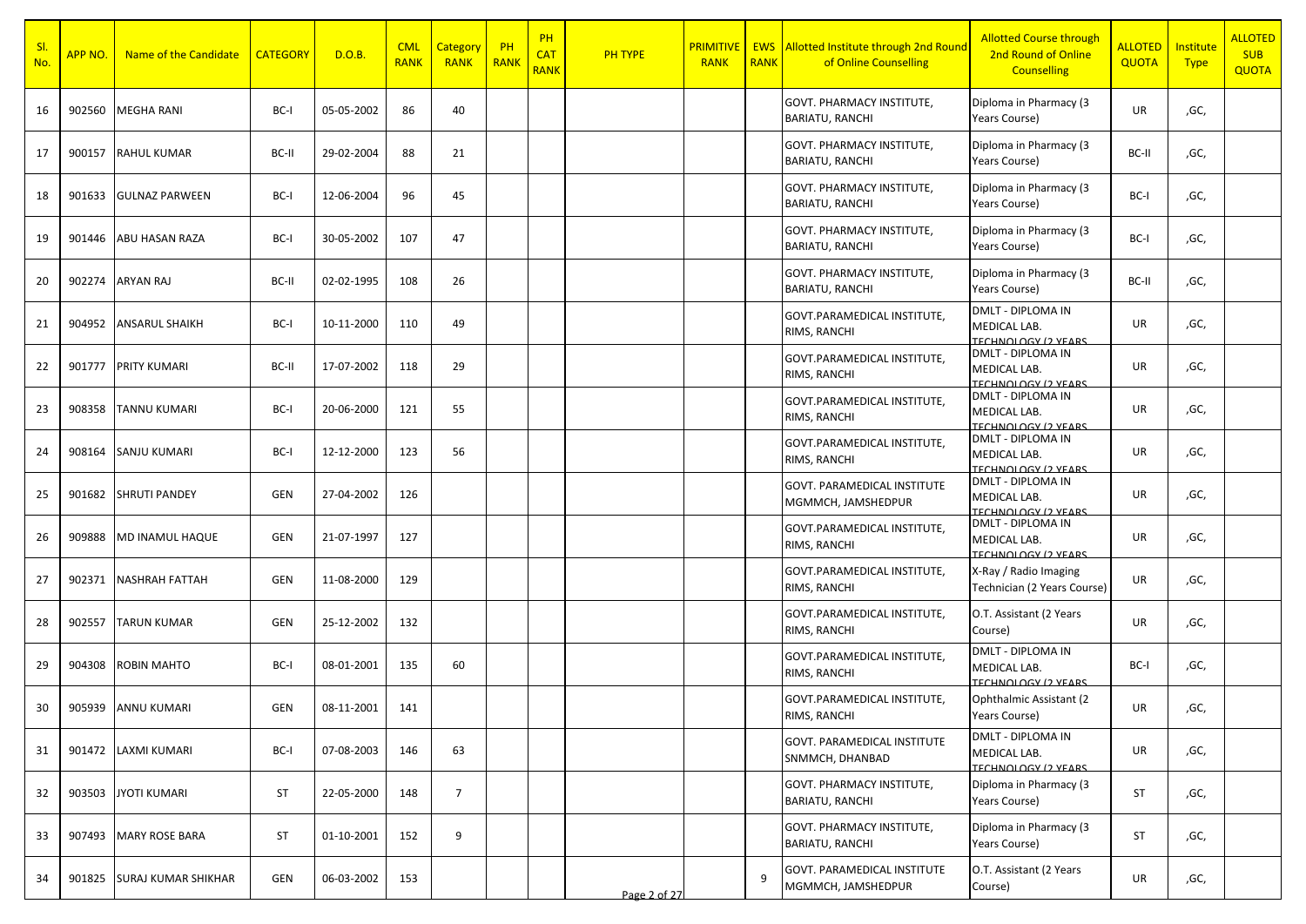| SI.<br>No. | APP NO. | Name of the Candidate      | <b>CATEGORY</b> | D.O.B.     | <b>CML</b><br><b>RANK</b> | Category<br><b>RANK</b> | $\overline{\phantom{a}}$ PH<br><b>RANK</b> | PH<br><b>CAT</b><br><b>RANK</b> | <b>PH TYPE</b> | <b>PRIMITIVE</b><br><b>RANK</b> | <b>RANK</b> | <b>EWS</b> Allotted Institute through 2nd Round<br>of Online Counselling | <b>Allotted Course through</b><br>2nd Round of Online<br><b>Counselling</b> | <b>ALLOTED</b><br><b>QUOTA</b> | Institute<br><b>Type</b> | <b>ALLOTED</b><br><b>SUB</b><br><b>QUOTA</b> |
|------------|---------|----------------------------|-----------------|------------|---------------------------|-------------------------|--------------------------------------------|---------------------------------|----------------|---------------------------------|-------------|--------------------------------------------------------------------------|-----------------------------------------------------------------------------|--------------------------------|--------------------------|----------------------------------------------|
| 16         | 902560  | <b>MEGHA RANI</b>          | BC-I            | 05-05-2002 | 86                        | 40                      |                                            |                                 |                |                                 |             | <b>GOVT. PHARMACY INSTITUTE,</b><br><b>BARIATU, RANCHI</b>               | Diploma in Pharmacy (3<br><b>Years Course)</b>                              | UR                             | ,GC,                     |                                              |
| 17         | 900157  | <b>RAHUL KUMAR</b>         | BC-II           | 29-02-2004 | 88                        | 21                      |                                            |                                 |                |                                 |             | <b>GOVT. PHARMACY INSTITUTE,</b><br><b>BARIATU, RANCHI</b>               | Diploma in Pharmacy (3<br>Years Course)                                     | BC-II                          | ,GC,                     |                                              |
| 18         | 901633  | <b>GULNAZ PARWEEN</b>      | BC-I            | 12-06-2004 | 96                        | 45                      |                                            |                                 |                |                                 |             | <b>GOVT. PHARMACY INSTITUTE,</b><br><b>BARIATU, RANCHI</b>               | Diploma in Pharmacy (3<br>Years Course)                                     | BC-I                           | ,GC,                     |                                              |
| 19         | 901446  | <b>ABU HASAN RAZA</b>      | BC-I            | 30-05-2002 | 107                       | 47                      |                                            |                                 |                |                                 |             | GOVT. PHARMACY INSTITUTE,<br><b>BARIATU, RANCHI</b>                      | Diploma in Pharmacy (3<br>Years Course)                                     | BC-I                           | ,GC,                     |                                              |
| 20         | 902274  | <b>ARYAN RAJ</b>           | BC-II           | 02-02-1995 | 108                       | 26                      |                                            |                                 |                |                                 |             | <b>GOVT. PHARMACY INSTITUTE,</b><br><b>BARIATU, RANCHI</b>               | Diploma in Pharmacy (3<br>Years Course)                                     | BC-II                          | ,GC,                     |                                              |
| 21         | 904952  | <b>ANSARUL SHAIKH</b>      | BC-I            | 10-11-2000 | 110                       | 49                      |                                            |                                 |                |                                 |             | GOVT.PARAMEDICAL INSTITUTE,<br>RIMS, RANCHI                              | DMLT - DIPLOMA IN<br>MEDICAL LAB.<br><b>TECHNOLOGY (2 VEARS)</b>            | UR                             | ,GC,                     |                                              |
| 22         | 901777  | <b>PRITY KUMARI</b>        | BC-II           | 17-07-2002 | 118                       | 29                      |                                            |                                 |                |                                 |             | GOVT.PARAMEDICAL INSTITUTE,<br>RIMS, RANCHI                              | DMLT - DIPLOMA IN<br>MEDICAL LAB.<br>TECHNOLOGY (2 VEARS                    | UR                             | ,GC,                     |                                              |
| 23         | 908358  | <b>TANNU KUMARI</b>        | BC-I            | 20-06-2000 | 121                       | 55                      |                                            |                                 |                |                                 |             | GOVT.PARAMEDICAL INSTITUTE,<br>RIMS, RANCHI                              | <b>DMLT - DIPLOMA IN</b><br>MEDICAL LAB.<br><b>TECHNOLOGY (2 VEARS)</b>     | UR                             | ,GC,                     |                                              |
| 24         | 908164  | <b>SANJU KUMARI</b>        | BC-I            | 12-12-2000 | 123                       | 56                      |                                            |                                 |                |                                 |             | GOVT.PARAMEDICAL INSTITUTE,<br>RIMS, RANCHI                              | DMLT - DIPLOMA IN<br>MEDICAL LAB.<br><b>TECHNOLOGY (2 VEARS</b>             | UR                             | ,GC,                     |                                              |
| 25         | 901682  | <b>SHRUTI PANDEY</b>       | <b>GEN</b>      | 27-04-2002 | 126                       |                         |                                            |                                 |                |                                 |             | GOVT. PARAMEDICAL INSTITUTE<br>MGMMCH, JAMSHEDPUR                        | DMLT - DIPLOMA IN<br>MEDICAL LAB.<br>TECHNOLOGY (2 VEARS                    | UR                             | ,GC,                     |                                              |
| 26         | 909888  | MD INAMUL HAQUE            | <b>GEN</b>      | 21-07-1997 | 127                       |                         |                                            |                                 |                |                                 |             | GOVT.PARAMEDICAL INSTITUTE,<br>RIMS, RANCHI                              | DMLT - DIPLOMA IN<br>MEDICAL LAB.<br><b>TECHNOLOGY (2 VEARS)</b>            | UR                             | ,GC,                     |                                              |
| 27         | 902371  | NASHRAH FATTAH             | <b>GEN</b>      | 11-08-2000 | 129                       |                         |                                            |                                 |                |                                 |             | GOVT.PARAMEDICAL INSTITUTE,<br>RIMS, RANCHI                              | X-Ray / Radio Imaging<br>Technician (2 Years Course)                        | <b>UR</b>                      | ,GC,                     |                                              |
| 28         | 902557  | <b>TARUN KUMAR</b>         | <b>GEN</b>      | 25-12-2002 | 132                       |                         |                                            |                                 |                |                                 |             | GOVT.PARAMEDICAL INSTITUTE,<br>RIMS, RANCHI                              | O.T. Assistant (2 Years<br>Course)                                          | UR                             | ,GC,                     |                                              |
| 29         | 904308  | ROBIN MAHTO                | BC-I            | 08-01-2001 | 135                       | 60                      |                                            |                                 |                |                                 |             | GOVT.PARAMEDICAL INSTITUTE,<br>RIMS, RANCHI                              | DMLT - DIPLOMA IN<br>MEDICAL LAB.<br><b>TECHNOLOGY (2 VEARS</b>             | BC-I                           | ,GC,                     |                                              |
| 30         | 905939  | <b>ANNU KUMARI</b>         | <b>GEN</b>      | 08-11-2001 | 141                       |                         |                                            |                                 |                |                                 |             | GOVT.PARAMEDICAL INSTITUTE,<br>RIMS, RANCHI                              | Ophthalmic Assistant (2)<br>Years Course)                                   | UR                             | ,GC,                     |                                              |
| 31         | 901472  | <b>LAXMI KUMARI</b>        | BC-I            | 07-08-2003 | 146                       | 63                      |                                            |                                 |                |                                 |             | <b>GOVT. PARAMEDICAL INSTITUTE</b><br>SNMMCH, DHANBAD                    | DMLT - DIPLOMA IN<br>MEDICAL LAB.<br><b>TECHNOLOGY (2 VEARS)</b>            | UR                             | ,GC,                     |                                              |
| 32         | 903503  | <b>JYOTI KUMARI</b>        | <b>ST</b>       | 22-05-2000 | 148                       | $\overline{7}$          |                                            |                                 |                |                                 |             | GOVT. PHARMACY INSTITUTE,<br><b>BARIATU, RANCHI</b>                      | Diploma in Pharmacy (3<br>Years Course)                                     | ST                             | ,GC,                     |                                              |
| 33         | 907493  | <b>MARY ROSE BARA</b>      | ST              | 01-10-2001 | 152                       | 9                       |                                            |                                 |                |                                 |             | <b>GOVT. PHARMACY INSTITUTE,</b><br><b>BARIATU, RANCHI</b>               | Diploma in Pharmacy (3<br>Years Course)                                     | ST                             | ,GC,                     |                                              |
| 34         | 901825  | <b>SURAJ KUMAR SHIKHAR</b> | <b>GEN</b>      | 06-03-2002 | 153                       |                         |                                            |                                 | Page 2 of 27   |                                 | 9           | GOVT. PARAMEDICAL INSTITUTE<br>MGMMCH, JAMSHEDPUR                        | O.T. Assistant (2 Years<br>Course)                                          | UR                             | ,GC,                     |                                              |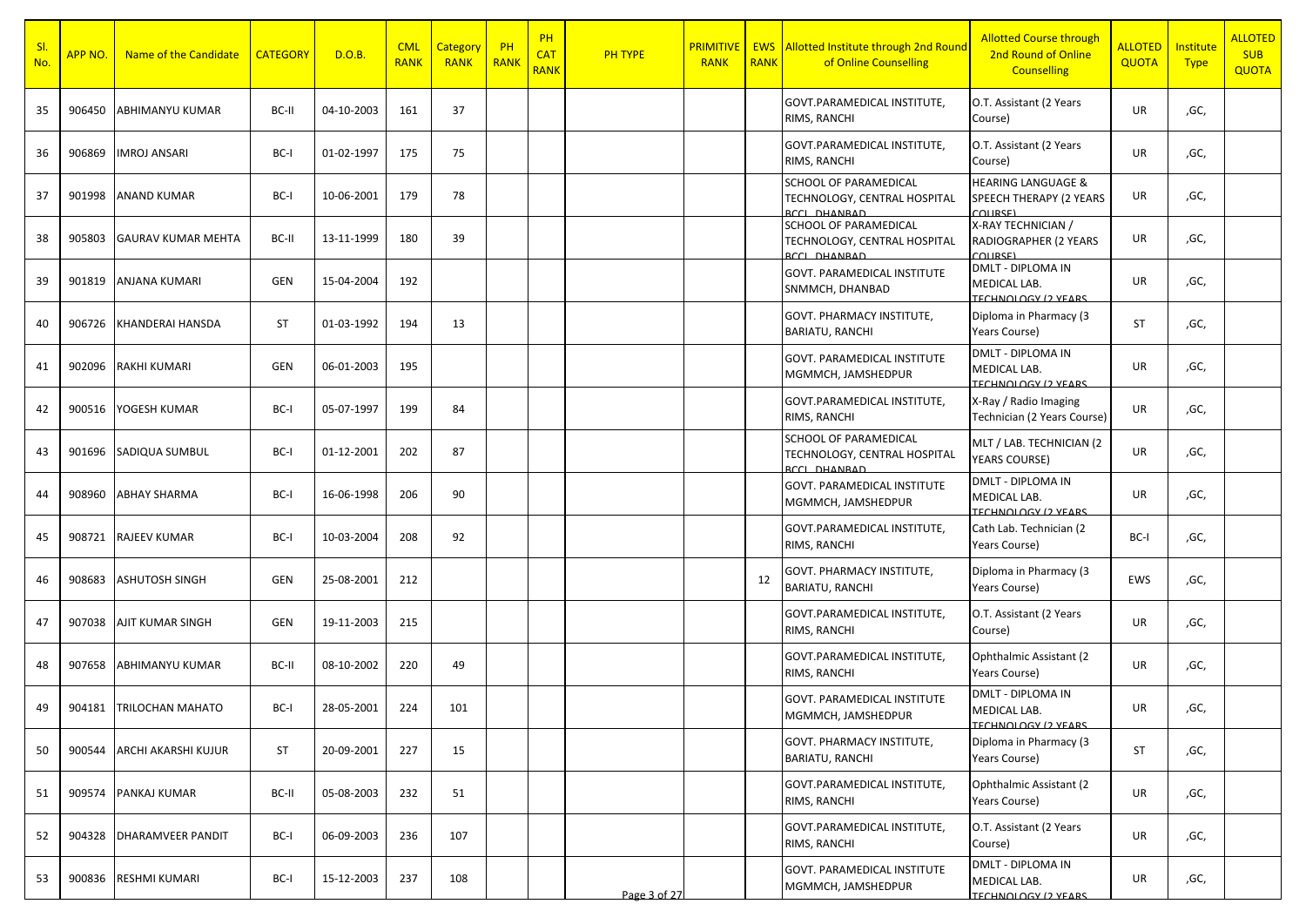| SI.<br>No. | APP NO | Name of the Candidate     | <b>CATEGORY</b> | D.O.B.     | <b>CML</b><br><b>RANK</b> | Category<br><b>RANK</b> | PH<br><b>RANK</b> | <b>PH</b><br><b>CAT</b><br><b>RANK</b> | PH TYPE      | <b>PRIMITIVI</b><br><b>RANK</b> | <b>RANK</b> | <b>EWS</b> Allotted Institute through 2nd Round<br>of Online Counselling            | <b>Allotted Course through</b><br>2nd Round of Online<br><b>Counselling</b> | <b>ALLOTED</b><br><b>QUOTA</b> | <b>Institute</b><br><b>Type</b> | <b>ALLOTED</b><br><b>SUB</b><br><b>QUOTA</b> |
|------------|--------|---------------------------|-----------------|------------|---------------------------|-------------------------|-------------------|----------------------------------------|--------------|---------------------------------|-------------|-------------------------------------------------------------------------------------|-----------------------------------------------------------------------------|--------------------------------|---------------------------------|----------------------------------------------|
| 35         | 906450 | ABHIMANYU KUMAR           | BC-II           | 04-10-2003 | 161                       | 37                      |                   |                                        |              |                                 |             | GOVT.PARAMEDICAL INSTITUTE,<br>RIMS, RANCHI                                         | O.T. Assistant (2 Years<br>Course)                                          | UR                             | ,GC,                            |                                              |
| 36         | 906869 | <b>IMROJ ANSARI</b>       | BC-I            | 01-02-1997 | 175                       | 75                      |                   |                                        |              |                                 |             | GOVT.PARAMEDICAL INSTITUTE,<br>RIMS, RANCHI                                         | O.T. Assistant (2 Years<br>Course)                                          | UR                             | ,GC,                            |                                              |
| 37         | 901998 | <b>ANAND KUMAR</b>        | BC-I            | 10-06-2001 | 179                       | 78                      |                   |                                        |              |                                 |             | <b>SCHOOL OF PARAMEDICAL</b><br>TECHNOLOGY, CENTRAL HOSPITAL<br><b>RCCL DHANRAD</b> | <b>HEARING LANGUAGE &amp;</b><br>SPEECH THERAPY (2 YEARS<br><b>COLIDSE)</b> | UR                             | ,GC,                            |                                              |
| 38         | 905803 | <b>GAURAV KUMAR MEHTA</b> | BC-II           | 13-11-1999 | 180                       | 39                      |                   |                                        |              |                                 |             | <b>SCHOOL OF PARAMEDICAL</b><br>TECHNOLOGY, CENTRAL HOSPITAL<br>RCCL DHANRAD        | X-RAY TECHNICIAN /<br>RADIOGRAPHER (2 YEARS<br><b>COLIRSE)</b>              | UR                             | ,GC,                            |                                              |
| 39         | 901819 | ANJANA KUMARI             | GEN             | 15-04-2004 | 192                       |                         |                   |                                        |              |                                 |             | <b>GOVT. PARAMEDICAL INSTITUTE</b><br>SNMMCH, DHANBAD                               | <b>DMLT - DIPLOMA IN</b><br>MEDICAL LAB.<br><b>TECHNOLOGY (2 YEARS)</b>     | UR                             | ,GC,                            |                                              |
| 40         | 906726 | KHANDERAI HANSDA          | <b>ST</b>       | 01-03-1992 | 194                       | 13                      |                   |                                        |              |                                 |             | GOVT. PHARMACY INSTITUTE,<br><b>BARIATU, RANCHI</b>                                 | Diploma in Pharmacy (3<br>Years Course)                                     | <b>ST</b>                      | ,GC,                            |                                              |
| 41         | 902096 | <b>RAKHI KUMARI</b>       | GEN             | 06-01-2003 | 195                       |                         |                   |                                        |              |                                 |             | GOVT. PARAMEDICAL INSTITUTE<br>MGMMCH, JAMSHEDPUR                                   | <b>DMLT - DIPLOMA IN</b><br>MEDICAL LAB.<br>TECHNOLOGY (2 VEARS             | UR                             | ,GC,                            |                                              |
| 42         | 900516 | YOGESH KUMAR              | BC-I            | 05-07-1997 | 199                       | 84                      |                   |                                        |              |                                 |             | GOVT.PARAMEDICAL INSTITUTE,<br>RIMS, RANCHI                                         | X-Ray / Radio Imaging<br>Technician (2 Years Course)                        | UR                             | ,GC,                            |                                              |
| 43         | 901696 | SADIQUA SUMBUL            | BC-I            | 01-12-2001 | 202                       | 87                      |                   |                                        |              |                                 |             | <b>SCHOOL OF PARAMEDICAL</b><br>TECHNOLOGY, CENTRAL HOSPITAL<br><b>BCCL DHANRAD</b> | MLT / LAB. TECHNICIAN (2<br><b>YEARS COURSE)</b>                            | UR                             | ,GC,                            |                                              |
| 44         | 908960 | <b>ABHAY SHARMA</b>       | BC-I            | 16-06-1998 | 206                       | 90                      |                   |                                        |              |                                 |             | <b>GOVT. PARAMEDICAL INSTITUTE</b><br>MGMMCH, JAMSHEDPUR                            | <b>DMLT - DIPLOMA IN</b><br>MEDICAL LAB.<br><b>TECHNOLOGY (2 YEARS)</b>     | UR                             | ,GC,                            |                                              |
| 45         | 908721 | RAJEEV KUMAR              | BC-I            | 10-03-2004 | 208                       | 92                      |                   |                                        |              |                                 |             | GOVT.PARAMEDICAL INSTITUTE,<br>RIMS, RANCHI                                         | Cath Lab. Technician (2<br>Years Course)                                    | BC-I                           | ,GC,                            |                                              |
| 46         | 908683 | <b>ASHUTOSH SINGH</b>     | GEN             | 25-08-2001 | 212                       |                         |                   |                                        |              |                                 | 12          | GOVT. PHARMACY INSTITUTE,<br><b>BARIATU, RANCHI</b>                                 | Diploma in Pharmacy (3<br>Years Course)                                     | EWS                            | ,GC,                            |                                              |
| 47         | 907038 | AJIT KUMAR SINGH          | GEN             | 19-11-2003 | 215                       |                         |                   |                                        |              |                                 |             | GOVT.PARAMEDICAL INSTITUTE,<br>RIMS, RANCHI                                         | O.T. Assistant (2 Years<br>Course)                                          | UR                             | ,GC,                            |                                              |
| 48         | 907658 | ABHIMANYU KUMAR           | BC-II           | 08-10-2002 | 220                       | 49                      |                   |                                        |              |                                 |             | GOVT.PARAMEDICAL INSTITUTE,<br>RIMS, RANCHI                                         | Ophthalmic Assistant (2)<br>Years Course)                                   | UR                             | ,GC,                            |                                              |
| 49         |        | 904181 TRILOCHAN MAHATO   | BC-I            | 28-05-2001 | 224                       | 101                     |                   |                                        |              |                                 |             | GOVT. PARAMEDICAL INSTITUTE<br>MGMMCH, JAMSHEDPUR                                   | DMLT - DIPLOMA IN<br>MEDICAL LAB.<br><b>TECHNOLOGY (2 VEARS)</b>            | UR                             | ,GC,                            |                                              |
| 50         | 900544 | ARCHI AKARSHI KUJUR       | <b>ST</b>       | 20-09-2001 | 227                       | 15                      |                   |                                        |              |                                 |             | GOVT. PHARMACY INSTITUTE,<br>BARIATU, RANCHI                                        | Diploma in Pharmacy (3<br>Years Course)                                     | ST                             | ,GC,                            |                                              |
| 51         | 909574 | <b>PANKAJ KUMAR</b>       | BC-II           | 05-08-2003 | 232                       | 51                      |                   |                                        |              |                                 |             | GOVT.PARAMEDICAL INSTITUTE,<br>RIMS, RANCHI                                         | Ophthalmic Assistant (2<br>Years Course)                                    | UR                             | ,GC,                            |                                              |
| 52         | 904328 | DHARAMVEER PANDIT         | BC-I            | 06-09-2003 | 236                       | 107                     |                   |                                        |              |                                 |             | GOVT.PARAMEDICAL INSTITUTE,<br>RIMS, RANCHI                                         | O.T. Assistant (2 Years<br>Course)                                          | UR                             | ,GC,                            |                                              |
| 53         | 900836 | RESHMI KUMARI             | BC-I            | 15-12-2003 | 237                       | 108                     |                   |                                        | Page 3 of 27 |                                 |             | <b>GOVT. PARAMEDICAL INSTITUTE</b><br>MGMMCH, JAMSHEDPUR                            | DMLT - DIPLOMA IN<br>MEDICAL LAB.<br><b>TECHNOLOGY (2 VEARS)</b>            | UR                             | ,GC,                            |                                              |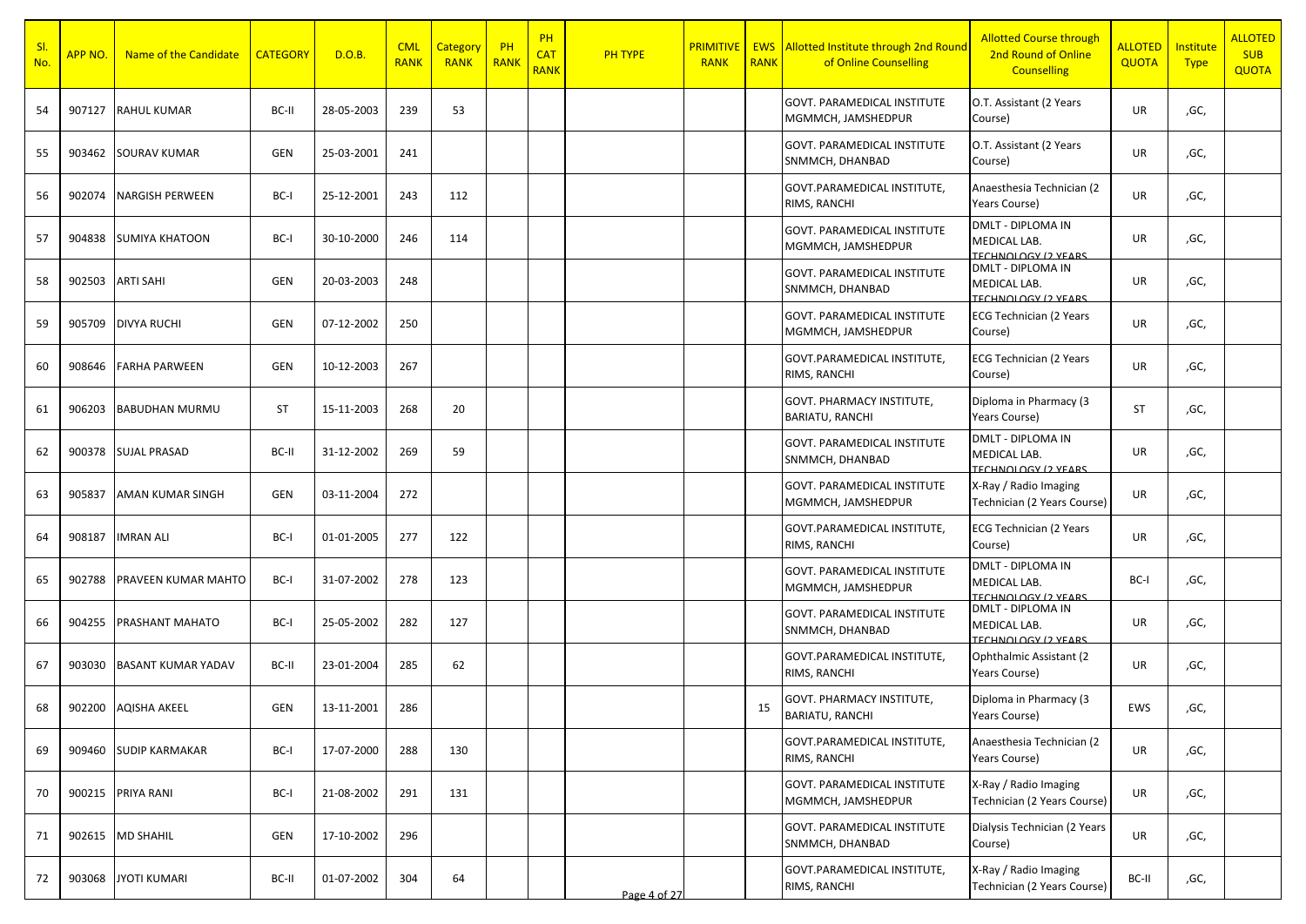| SI.<br><b>No</b> | <mark>APP NO.</mark> | Name of the Candidate     | <b>CATEGORY</b> | D.O.B.     | <b>CML</b><br><b>RANK</b> | Category<br><b>RANK</b> | PH<br>RANK | PH<br><b>CAT</b><br><b>RANK</b> | PH TYPE      | <b>PRIMITIVE</b><br><b>RANK</b> | <b>EWS</b><br><b>RANK</b> | <b>Allotted Institute through 2nd Round</b><br>of Online Counselling | <b>Allotted Course through</b><br>2nd Round of Online<br><b>Counselling</b> | <b>ALLOTED</b><br><b>QUOTA</b> | Institute<br><b>Type</b> | <b>ALLOTED</b><br><b>SUB</b><br><b>QUOTA</b> |
|------------------|----------------------|---------------------------|-----------------|------------|---------------------------|-------------------------|------------|---------------------------------|--------------|---------------------------------|---------------------------|----------------------------------------------------------------------|-----------------------------------------------------------------------------|--------------------------------|--------------------------|----------------------------------------------|
| 54               | 907127               | <b>RAHUL KUMAR</b>        | BC-II           | 28-05-2003 | 239                       | 53                      |            |                                 |              |                                 |                           | <b>GOVT. PARAMEDICAL INSTITUTE</b><br>MGMMCH, JAMSHEDPUR             | O.T. Assistant (2 Years<br>Course)                                          | UR                             | ,GC,                     |                                              |
| 55               | 903462               | <b>SOURAV KUMAR</b>       | <b>GEN</b>      | 25-03-2001 | 241                       |                         |            |                                 |              |                                 |                           | GOVT. PARAMEDICAL INSTITUTE<br>SNMMCH, DHANBAD                       | O.T. Assistant (2 Years<br>Course)                                          | <b>UR</b>                      | ,GC,                     |                                              |
| 56               | 902074               | <b>NARGISH PERWEEN</b>    | BC-I            | 25-12-2001 | 243                       | 112                     |            |                                 |              |                                 |                           | GOVT.PARAMEDICAL INSTITUTE,<br>RIMS, RANCHI                          | Anaesthesia Technician (2<br>Years Course)                                  | UR                             | ,GC,                     |                                              |
| 57               | 904838               | <b>SUMIYA KHATOON</b>     | BC-I            | 30-10-2000 | 246                       | 114                     |            |                                 |              |                                 |                           | GOVT. PARAMEDICAL INSTITUTE<br>MGMMCH, JAMSHEDPUR                    | <b>DMLT - DIPLOMA IN</b><br>MEDICAL LAB.<br><b>TECHNOLOGY (2 YEARS)</b>     | UR                             | ,GC,                     |                                              |
| 58               | 902503               | <b>ARTI SAHI</b>          | GEN             | 20-03-2003 | 248                       |                         |            |                                 |              |                                 |                           | GOVT. PARAMEDICAL INSTITUTE<br>SNMMCH, DHANBAD                       | <b>DMLT - DIPLOMA IN</b><br>MEDICAL LAB.<br>TECHNOLOGY (2 VEARS             | UR                             | ,GC,                     |                                              |
| 59               | 905709               | <b>DIVYA RUCHI</b>        | <b>GEN</b>      | 07-12-2002 | 250                       |                         |            |                                 |              |                                 |                           | <b>GOVT. PARAMEDICAL INSTITUTE</b><br>MGMMCH, JAMSHEDPUR             | <b>ECG Technician (2 Years</b><br>Course)                                   | UR                             | ,GC,                     |                                              |
| 60               | 908646               | <b>FARHA PARWEEN</b>      | <b>GEN</b>      | 10-12-2003 | 267                       |                         |            |                                 |              |                                 |                           | GOVT.PARAMEDICAL INSTITUTE,<br>RIMS, RANCHI                          | ECG Technician (2 Years<br>Course)                                          | <b>UR</b>                      | ,GC,                     |                                              |
| 61               | 906203               | <b>BABUDHAN MURMU</b>     | <b>ST</b>       | 15-11-2003 | 268                       | 20                      |            |                                 |              |                                 |                           | GOVT. PHARMACY INSTITUTE,<br><b>BARIATU, RANCHI</b>                  | Diploma in Pharmacy (3<br>Years Course)                                     | <b>ST</b>                      | ,GC,                     |                                              |
| 62               | 900378               | <b>SUJAL PRASAD</b>       | BC-II           | 31-12-2002 | 269                       | 59                      |            |                                 |              |                                 |                           | GOVT. PARAMEDICAL INSTITUTE<br>SNMMCH, DHANBAD                       | <b>DMLT - DIPLOMA IN</b><br>MEDICAL LAB.<br><b>TECHNOLOGY (2 VEARS)</b>     | UR                             | ,GC,                     |                                              |
| 63               | 905837               | <b>AMAN KUMAR SINGH</b>   | <b>GEN</b>      | 03-11-2004 | 272                       |                         |            |                                 |              |                                 |                           | GOVT. PARAMEDICAL INSTITUTE<br>MGMMCH, JAMSHEDPUR                    | X-Ray / Radio Imaging<br>Technician (2 Years Course)                        | UR                             | ,GC,                     |                                              |
| 64               | 908187               | <b>IMRAN ALI</b>          | BC-I            | 01-01-2005 | 277                       | 122                     |            |                                 |              |                                 |                           | GOVT.PARAMEDICAL INSTITUTE,<br>RIMS, RANCHI                          | ECG Technician (2 Years<br>Course)                                          | UR                             | ,GC,                     |                                              |
| 65               | 902788               | PRAVEEN KUMAR MAHTO       | BC-I            | 31-07-2002 | 278                       | 123                     |            |                                 |              |                                 |                           | <b>GOVT. PARAMEDICAL INSTITUTE</b><br>MGMMCH, JAMSHEDPUR             | <b>DMLT - DIPLOMA IN</b><br>MEDICAL LAB.<br><b>EFCHNOLOGY (2 VEARS)</b>     | BC-I                           | ,GC,                     |                                              |
| 66               | 904255               | <b>PRASHANT MAHATO</b>    | BC-I            | 25-05-2002 | 282                       | 127                     |            |                                 |              |                                 |                           | GOVT. PARAMEDICAL INSTITUTE<br>SNMMCH, DHANBAD                       | <b>DMLT - DIPLOMA IN</b><br>MEDICAL LAB.<br>TECHNOLOGY (2 YEARS)            | UR                             | ,GC,                     |                                              |
| 67               | 903030               | <b>BASANT KUMAR YADAV</b> | BC-II           | 23-01-2004 | 285                       | 62                      |            |                                 |              |                                 |                           | GOVT.PARAMEDICAL INSTITUTE,<br>RIMS, RANCHI                          | Ophthalmic Assistant (2<br>Years Course)                                    | UR                             | ,GC,                     |                                              |
| 68               |                      | 902200 AQISHA AKEEL       | GEN             | 13-11-2001 | 286                       |                         |            |                                 |              |                                 | 15                        | GOVT. PHARMACY INSTITUTE,<br><b>BARIATU, RANCHI</b>                  | Diploma in Pharmacy (3<br>Years Course)                                     | EWS                            | ,GC,                     |                                              |
| 69               | 909460               | <b>SUDIP KARMAKAR</b>     | BC-I            | 17-07-2000 | 288                       | 130                     |            |                                 |              |                                 |                           | GOVT.PARAMEDICAL INSTITUTE,<br>RIMS, RANCHI                          | Anaesthesia Technician (2<br>Years Course)                                  | UR                             | ,GC,                     |                                              |
| 70               |                      | 900215 PRIYA RANI         | BC-I            | 21-08-2002 | 291                       | 131                     |            |                                 |              |                                 |                           | GOVT. PARAMEDICAL INSTITUTE<br>MGMMCH, JAMSHEDPUR                    | X-Ray / Radio Imaging<br>Technician (2 Years Course)                        | UR                             | ,GC,                     |                                              |
| 71               | 902615               | <b>MD SHAHIL</b>          | GEN             | 17-10-2002 | 296                       |                         |            |                                 |              |                                 |                           | <b>GOVT. PARAMEDICAL INSTITUTE</b><br>SNMMCH, DHANBAD                | Dialysis Technician (2 Years<br>Course)                                     | UR                             | ,GC,                     |                                              |
| 72               | 903068               | <b>JYOTI KUMARI</b>       | BC-II           | 01-07-2002 | 304                       | 64                      |            |                                 | Page 4 of 27 |                                 |                           | GOVT.PARAMEDICAL INSTITUTE,<br>RIMS, RANCHI                          | X-Ray / Radio Imaging<br>Technician (2 Years Course)                        | BC-II                          | ,GC,                     |                                              |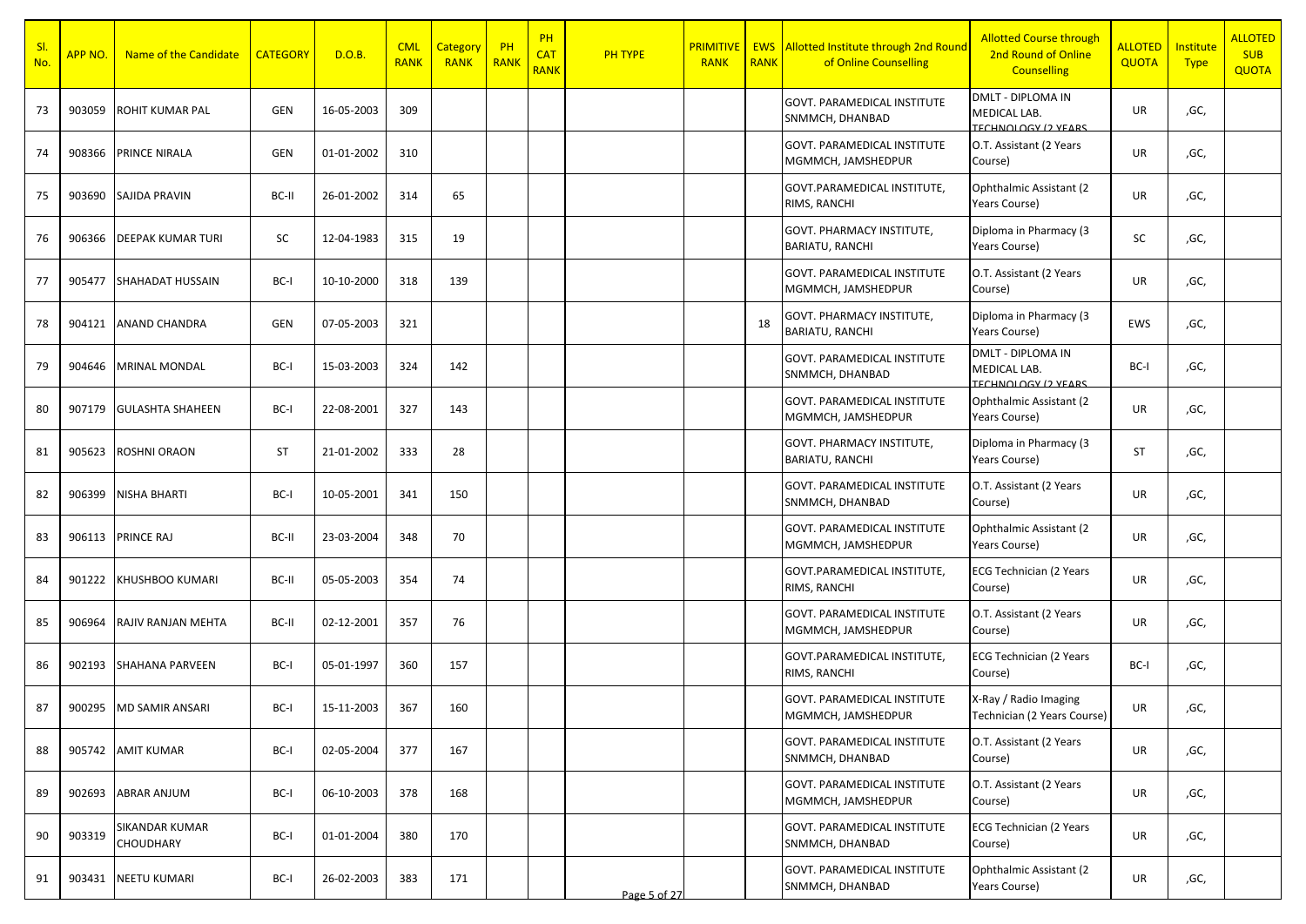| SI.<br><b>No</b> | <mark>APP NO.</mark> | Name of the Candidate                     | <b>CATEGORY</b> | D.O.B.     | <b>CML</b><br><b>RANK</b> | <b>Category</b><br><b>RANK</b> | PH<br>RANK | PH<br><b>CAT</b><br><b>RANK</b> | PH TYPE      | <b>PRIMITIVE</b><br><b>RANK</b> | <b>EWS</b><br><b>RANK</b> | Allotted Institute through 2nd Round<br>of Online Counselling | <b>Allotted Course through</b><br>2nd Round of Online<br><b>Counselling</b> | <b>ALLOTED</b><br><b>QUOTA</b> | Institute<br><b>Type</b> | <b>ALLOTED</b><br><b>SUB</b><br><b>QUOTA</b> |
|------------------|----------------------|-------------------------------------------|-----------------|------------|---------------------------|--------------------------------|------------|---------------------------------|--------------|---------------------------------|---------------------------|---------------------------------------------------------------|-----------------------------------------------------------------------------|--------------------------------|--------------------------|----------------------------------------------|
| 73               | 903059               | <b>ROHIT KUMAR PAL</b>                    | GEN             | 16-05-2003 | 309                       |                                |            |                                 |              |                                 |                           | GOVT. PARAMEDICAL INSTITUTE<br>SNMMCH, DHANBAD                | <b>DMLT - DIPLOMA IN</b><br>MEDICAL LAB.<br>TECHNOLOGY (2 VEARS)            | UR                             | ,GC,                     |                                              |
| 74               | 908366               | PRINCE NIRALA                             | <b>GEN</b>      | 01-01-2002 | 310                       |                                |            |                                 |              |                                 |                           | GOVT. PARAMEDICAL INSTITUTE<br>MGMMCH, JAMSHEDPUR             | O.T. Assistant (2 Years<br>Course)                                          | UR                             | ,GC,                     |                                              |
| 75               | 903690               | SAJIDA PRAVIN                             | BC-II           | 26-01-2002 | 314                       | 65                             |            |                                 |              |                                 |                           | GOVT.PARAMEDICAL INSTITUTE,<br>RIMS, RANCHI                   | Ophthalmic Assistant (2<br>Years Course)                                    | UR                             | ,GC,                     |                                              |
| 76               | 906366               | <b>DEEPAK KUMAR TURI</b>                  | SC              | 12-04-1983 | 315                       | 19                             |            |                                 |              |                                 |                           | GOVT. PHARMACY INSTITUTE,<br>BARIATU, RANCHI                  | Diploma in Pharmacy (3<br>Years Course)                                     | <b>SC</b>                      | ,GC,                     |                                              |
| 77               | 905477               | <b>SHAHADAT HUSSAIN</b>                   | BC-I            | 10-10-2000 | 318                       | 139                            |            |                                 |              |                                 |                           | GOVT. PARAMEDICAL INSTITUTE<br>MGMMCH, JAMSHEDPUR             | O.T. Assistant (2 Years<br>Course)                                          | <b>UR</b>                      | ,GC,                     |                                              |
| 78               | 904121               | <b>ANAND CHANDRA</b>                      | <b>GEN</b>      | 07-05-2003 | 321                       |                                |            |                                 |              |                                 | 18                        | GOVT. PHARMACY INSTITUTE,<br>BARIATU, RANCHI                  | Diploma in Pharmacy (3<br>Years Course)                                     | EWS                            | ,GC,                     |                                              |
| 79               | 904646               | <b>MRINAL MONDAL</b>                      | BC-I            | 15-03-2003 | 324                       | 142                            |            |                                 |              |                                 |                           | <b>GOVT. PARAMEDICAL INSTITUTE</b><br>SNMMCH, DHANBAD         | <b>DMLT - DIPLOMA IN</b><br>MEDICAL LAB.<br>TECHNOLOGY (2 VEARS)            | BC-I                           | ,GC,                     |                                              |
| 80               | 907179               | <b>GULASHTA SHAHEEN</b>                   | BC-I            | 22-08-2001 | 327                       | 143                            |            |                                 |              |                                 |                           | GOVT. PARAMEDICAL INSTITUTE<br>MGMMCH, JAMSHEDPUR             | Ophthalmic Assistant (2)<br>Years Course)                                   | <b>UR</b>                      | ,GC,                     |                                              |
| 81               | 905623               | ROSHNI ORAON                              | <b>ST</b>       | 21-01-2002 | 333                       | 28                             |            |                                 |              |                                 |                           | GOVT. PHARMACY INSTITUTE,<br><b>BARIATU, RANCHI</b>           | Diploma in Pharmacy (3<br>Years Course)                                     | <b>ST</b>                      | ,GC,                     |                                              |
| 82               | 906399               | <b>NISHA BHARTI</b>                       | BC-I            | 10-05-2001 | 341                       | 150                            |            |                                 |              |                                 |                           | GOVT. PARAMEDICAL INSTITUTE<br>SNMMCH, DHANBAD                | O.T. Assistant (2 Years<br>Course)                                          | UR                             | ,GC,                     |                                              |
| 83               | 906113               | <b>PRINCE RAJ</b>                         | BC-II           | 23-03-2004 | 348                       | 70                             |            |                                 |              |                                 |                           | GOVT. PARAMEDICAL INSTITUTE<br>MGMMCH, JAMSHEDPUR             | Ophthalmic Assistant (2<br>Years Course)                                    | UR                             | ,GC,                     |                                              |
| 84               | 901222               | KHUSHBOO KUMARI                           | BC-II           | 05-05-2003 | 354                       | 74                             |            |                                 |              |                                 |                           | GOVT.PARAMEDICAL INSTITUTE,<br>RIMS, RANCHI                   | ECG Technician (2 Years<br>Course)                                          | <b>UR</b>                      | ,GC,                     |                                              |
| 85               | 906964               | <b>RAJIV RANJAN MEHTA</b>                 | BC-II           | 02-12-2001 | 357                       | 76                             |            |                                 |              |                                 |                           | <b>GOVT. PARAMEDICAL INSTITUTE</b><br>MGMMCH, JAMSHEDPUR      | O.T. Assistant (2 Years<br>Course)                                          | UR                             | ,GC,                     |                                              |
| 86               | 902193               | <b>SHAHANA PARVEEN</b>                    | BC-I            | 05-01-1997 | 360                       | 157                            |            |                                 |              |                                 |                           | GOVT.PARAMEDICAL INSTITUTE,<br>RIMS, RANCHI                   | <b>ECG Technician (2 Years</b><br>Course)                                   | BC-I                           | ,GC,                     |                                              |
| 87               | 900295               | <b>MD SAMIR ANSARI</b>                    | BC-I            | 15-11-2003 | 367                       | 160                            |            |                                 |              |                                 |                           | <b>GOVT. PARAMEDICAL INSTITUTE</b><br>MGMMCH, JAMSHEDPUR      | X-Ray / Radio Imaging<br>Technician (2 Years Course)                        | UR                             | ,GC,                     |                                              |
| 88               | 905742               | <b>AMIT KUMAR</b>                         | BC-I            | 02-05-2004 | 377                       | 167                            |            |                                 |              |                                 |                           | GOVT. PARAMEDICAL INSTITUTE<br>SNMMCH, DHANBAD                | O.T. Assistant (2 Years<br>Course)                                          | UR                             | ,GC,                     |                                              |
| 89               | 902693               | <b>ABRAR ANJUM</b>                        | BC-I            | 06-10-2003 | 378                       | 168                            |            |                                 |              |                                 |                           | GOVT. PARAMEDICAL INSTITUTE<br>MGMMCH, JAMSHEDPUR             | O.T. Assistant (2 Years<br>Course)                                          | UR                             | ,GC,                     |                                              |
| 90               | 903319               | <b>SIKANDAR KUMAR</b><br><b>CHOUDHARY</b> | BC-I            | 01-01-2004 | 380                       | 170                            |            |                                 |              |                                 |                           | <b>GOVT. PARAMEDICAL INSTITUTE</b><br>SNMMCH, DHANBAD         | <b>ECG Technician (2 Years</b><br>Course)                                   | UR                             | ,GC,                     |                                              |
| 91               | 903431               | <b>NEETU KUMARI</b>                       | BC-I            | 26-02-2003 | 383                       | 171                            |            |                                 | Page 5 of 27 |                                 |                           | GOVT. PARAMEDICAL INSTITUTE<br>SNMMCH, DHANBAD                | Ophthalmic Assistant (2<br>Years Course)                                    | UR                             | ,GC,                     |                                              |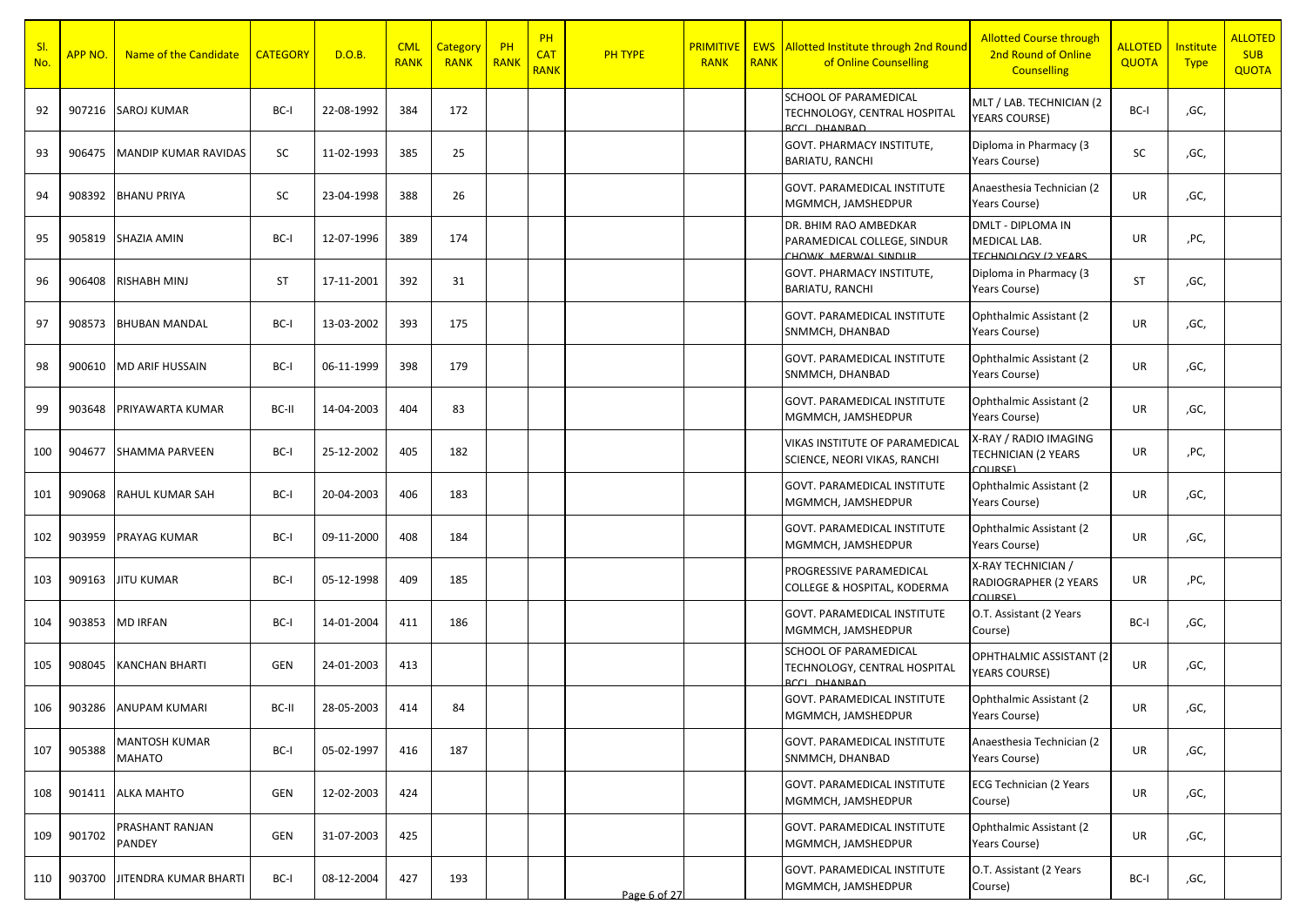| SI.<br><b>No</b> | <mark>APP NO.</mark> | Name of the Candidate       | <b>CATEGORY</b> | D.O.B.     | <b>CML</b><br><b>RANK</b> | Category<br><b>RANK</b> | PH<br><b>RANK</b> | PH<br><b>CAT</b><br><b>RANK</b> | PH TYPE      | <b>PRIMITIVE</b><br><b>RANK</b> | <b>EWS</b><br><b>RANK</b> | <b>Allotted Institute through 2nd Round</b><br>of Online Counselling               | <b>Allotted Course through</b><br>2nd Round of Online<br><b>Counselling</b> | <b>ALLOTED</b><br><b>QUOTA</b> | Institute<br><b>Type</b> | <b>ALLOTED</b><br><b>SUB</b><br><b>QUOTA</b> |
|------------------|----------------------|-----------------------------|-----------------|------------|---------------------------|-------------------------|-------------------|---------------------------------|--------------|---------------------------------|---------------------------|------------------------------------------------------------------------------------|-----------------------------------------------------------------------------|--------------------------------|--------------------------|----------------------------------------------|
| 92               |                      | 907216 SAROJ KUMAR          | BC-I            | 22-08-1992 | 384                       | 172                     |                   |                                 |              |                                 |                           | SCHOOL OF PARAMEDICAL<br>TECHNOLOGY, CENTRAL HOSPITAL<br><b>ACCL DHANRAD</b>       | MLT / LAB. TECHNICIAN (2<br><b>YEARS COURSE)</b>                            | BC-I                           | ,GC,                     |                                              |
| 93               | 906475               | <b>MANDIP KUMAR RAVIDAS</b> | SC              | 11-02-1993 | 385                       | 25                      |                   |                                 |              |                                 |                           | GOVT. PHARMACY INSTITUTE,<br><b>BARIATU, RANCHI</b>                                | Diploma in Pharmacy (3<br>Years Course)                                     | <b>SC</b>                      | ,GC,                     |                                              |
| 94               | 908392               | <b>BHANU PRIYA</b>          | SC              | 23-04-1998 | 388                       | 26                      |                   |                                 |              |                                 |                           | GOVT. PARAMEDICAL INSTITUTE<br>MGMMCH, JAMSHEDPUR                                  | Anaesthesia Technician (2<br>Years Course)                                  | UR                             | ,GC,                     |                                              |
| 95               | 905819               | <b>SHAZIA AMIN</b>          | BC-I            | 12-07-1996 | 389                       | 174                     |                   |                                 |              |                                 |                           | DR. BHIM RAO AMBEDKAR<br>PARAMEDICAL COLLEGE, SINDUR<br><b>HOWK MERWAL SINDLIR</b> | <b>DMLT - DIPLOMA IN</b><br>MEDICAL LAB.<br><b>TECHNOLOGY (2 YEARS)</b>     | UR                             | ,PC,                     |                                              |
| 96               | 906408               | <b>RISHABH MINJ</b>         | ST              | 17-11-2001 | 392                       | 31                      |                   |                                 |              |                                 |                           | GOVT. PHARMACY INSTITUTE,<br><b>BARIATU, RANCHI</b>                                | Diploma in Pharmacy (3<br>Years Course)                                     | <b>ST</b>                      | ,GC,                     |                                              |
| 97               | 908573               | <b>BHUBAN MANDAL</b>        | BC-I            | 13-03-2002 | 393                       | 175                     |                   |                                 |              |                                 |                           | GOVT. PARAMEDICAL INSTITUTE<br>SNMMCH, DHANBAD                                     | Ophthalmic Assistant (2<br>Years Course)                                    | UR                             | ,GC,                     |                                              |
| 98               | 900610               | <b>MD ARIF HUSSAIN</b>      | BC-I            | 06-11-1999 | 398                       | 179                     |                   |                                 |              |                                 |                           | <b>GOVT. PARAMEDICAL INSTITUTE</b><br>SNMMCH, DHANBAD                              | Ophthalmic Assistant (2)<br>Years Course)                                   | UR                             | ,GC,                     |                                              |
| 99               | 903648               | PRIYAWARTA KUMAR            | BC-II           | 14-04-2003 | 404                       | 83                      |                   |                                 |              |                                 |                           | GOVT. PARAMEDICAL INSTITUTE<br>MGMMCH, JAMSHEDPUR                                  | Ophthalmic Assistant (2)<br>Years Course)                                   | <b>UR</b>                      | ,GC,                     |                                              |
| 100              | 904677               | <b>SHAMMA PARVEEN</b>       | BC-I            | 25-12-2002 | 405                       | 182                     |                   |                                 |              |                                 |                           | VIKAS INSTITUTE OF PARAMEDICAL<br>SCIENCE, NEORI VIKAS, RANCHI                     | X-RAY / RADIO IMAGING<br><b>TECHNICIAN (2 YEARS</b><br><b>COLIDSE)</b>      | UR                             | ,PC,                     |                                              |
| 101              | 909068               | <b>RAHUL KUMAR SAH</b>      | BC-I            | 20-04-2003 | 406                       | 183                     |                   |                                 |              |                                 |                           | GOVT. PARAMEDICAL INSTITUTE<br>MGMMCH, JAMSHEDPUR                                  | Ophthalmic Assistant (2)<br>Years Course)                                   | UR                             | ,GC,                     |                                              |
| 102              | 903959               | PRAYAG KUMAR                | BC-I            | 09-11-2000 | 408                       | 184                     |                   |                                 |              |                                 |                           | GOVT. PARAMEDICAL INSTITUTE<br>MGMMCH, JAMSHEDPUR                                  | Ophthalmic Assistant (2)<br>Years Course)                                   | UR                             | ,GC,                     |                                              |
| 103              | 909163               | <b>JITU KUMAR</b>           | BC-I            | 05-12-1998 | 409                       | 185                     |                   |                                 |              |                                 |                           | PROGRESSIVE PARAMEDICAL<br>COLLEGE & HOSPITAL, KODERMA                             | X-RAY TECHNICIAN /<br>RADIOGRAPHER (2 YEARS<br>CALI                         | UR                             | ,PC,                     |                                              |
| 104              | 903853               | <b>MD IRFAN</b>             | BC-I            | 14-01-2004 | 411                       | 186                     |                   |                                 |              |                                 |                           | <b>GOVT. PARAMEDICAL INSTITUTE</b><br>MGMMCH, JAMSHEDPUR                           | O.T. Assistant (2 Years<br>Course)                                          | BC-I                           | ,GC,                     |                                              |
| 105              | 908045               | <b>KANCHAN BHARTI</b>       | <b>GEN</b>      | 24-01-2003 | 413                       |                         |                   |                                 |              |                                 |                           | SCHOOL OF PARAMEDICAL<br>TECHNOLOGY, CENTRAL HOSPITAL<br>RCCL DHANRAD              | OPHTHALMIC ASSISTANT (2<br>YEARS COURSE)                                    | UR                             | ,GC,                     |                                              |
| 106              | 903286               | <b>ANUPAM KUMARI</b>        | BC-II           | 28-05-2003 | 414                       | 84                      |                   |                                 |              |                                 |                           | GOVT. PARAMEDICAL INSTITUTE<br>MGMMCH, JAMSHEDPUR                                  | Ophthalmic Assistant (2<br>Years Course)                                    | UR                             | ,GC,                     |                                              |
| 107              | 905388               | MANTOSH KUMAR<br>MAHATO     | BC-I            | 05-02-1997 | 416                       | 187                     |                   |                                 |              |                                 |                           | GOVT. PARAMEDICAL INSTITUTE<br>SNMMCH, DHANBAD                                     | Anaesthesia Technician (2<br>Years Course)                                  | UR                             | ,GC,                     |                                              |
| 108              |                      | 901411 ALKA MAHTO           | GEN             | 12-02-2003 | 424                       |                         |                   |                                 |              |                                 |                           | GOVT. PARAMEDICAL INSTITUTE<br>MGMMCH, JAMSHEDPUR                                  | ECG Technician (2 Years<br>Course)                                          | UR                             | ,GC,                     |                                              |
| 109              | 901702               | PRASHANT RANJAN<br>PANDEY   | GEN             | 31-07-2003 | 425                       |                         |                   |                                 |              |                                 |                           | GOVT. PARAMEDICAL INSTITUTE<br>MGMMCH, JAMSHEDPUR                                  | Ophthalmic Assistant (2<br>Years Course)                                    | UR                             | ,GC,                     |                                              |
| 110              | 903700               | JITENDRA KUMAR BHARTI       | BC-I            | 08-12-2004 | 427                       | 193                     |                   |                                 | Page 6 of 27 |                                 |                           | GOVT. PARAMEDICAL INSTITUTE<br>MGMMCH, JAMSHEDPUR                                  | O.T. Assistant (2 Years<br>Course)                                          | BC-I                           | ,GC,                     |                                              |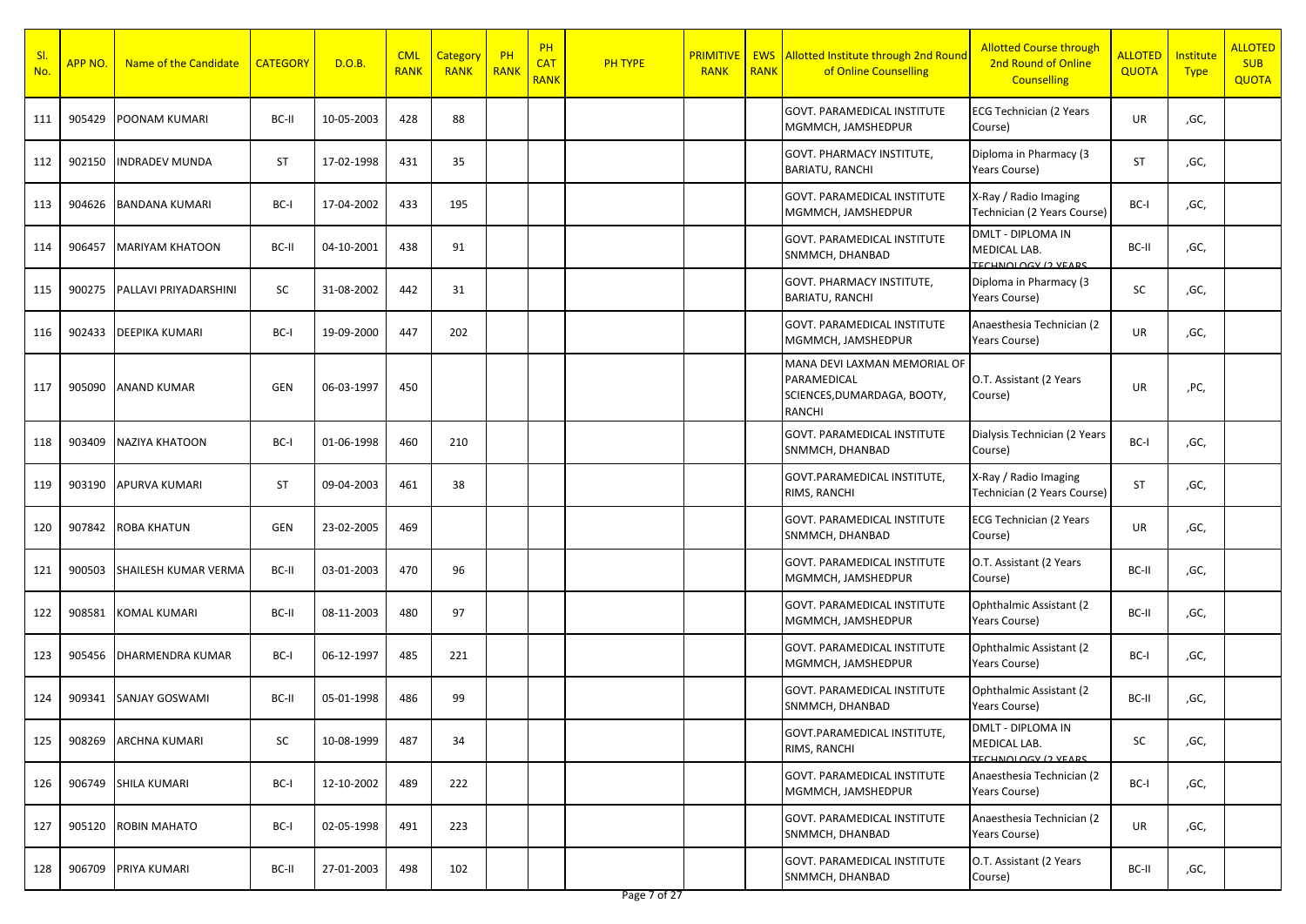| SI.<br>No. | <mark>APP NO.</mark> | Name of the Candidate        | <b>CATEGORY</b> | D.O.B.     | <b>CML</b><br><b>RANK</b> | Category<br><b>RANK</b> | PH<br><b>RANK</b> | PH<br><b>CAT</b><br><b>RANK</b> | <b>PH TYPE</b> | <b>PRIMITIVE</b><br><b>RANK</b> | <b>RANK</b> | <b>EWS</b> Allotted Institute through 2nd Round<br>of Online Counselling             | <b>Allotted Course through</b><br>2nd Round of Online<br><b>Counselling</b> | <b>ALLOTED</b><br>QUOTA | Institute<br><b>Type</b> | <b>ALLOTED</b><br><b>SUB</b><br><b>QUOTA</b> |
|------------|----------------------|------------------------------|-----------------|------------|---------------------------|-------------------------|-------------------|---------------------------------|----------------|---------------------------------|-------------|--------------------------------------------------------------------------------------|-----------------------------------------------------------------------------|-------------------------|--------------------------|----------------------------------------------|
| 111        | 905429               | <b>POONAM KUMARI</b>         | BC-II           | 10-05-2003 | 428                       | 88                      |                   |                                 |                |                                 |             | GOVT. PARAMEDICAL INSTITUTE<br>MGMMCH, JAMSHEDPUR                                    | <b>ECG Technician (2 Years</b><br>Course)                                   | UR                      | ,GC,                     |                                              |
| 112        | 902150               | <b>INDRADEV MUNDA</b>        | <b>ST</b>       | 17-02-1998 | 431                       | 35                      |                   |                                 |                |                                 |             | GOVT. PHARMACY INSTITUTE,<br><b>BARIATU, RANCHI</b>                                  | Diploma in Pharmacy (3<br>Years Course)                                     | <b>ST</b>               | ,GC,                     |                                              |
| 113        | 904626               | <b>BANDANA KUMARI</b>        | BC-I            | 17-04-2002 | 433                       | 195                     |                   |                                 |                |                                 |             | <b>GOVT. PARAMEDICAL INSTITUTE</b><br>MGMMCH, JAMSHEDPUR                             | X-Ray / Radio Imaging<br>Technician (2 Years Course)                        | BC-I                    | ,GC,                     |                                              |
| 114        | 906457               | <b>MARIYAM KHATOON</b>       | BC-II           | 04-10-2001 | 438                       | 91                      |                   |                                 |                |                                 |             | GOVT. PARAMEDICAL INSTITUTE<br>SNMMCH, DHANBAD                                       | DMLT - DIPLOMA IN<br>MEDICAL LAB.<br><b>TECHNOLOGY (2 VEARS)</b>            | BC-II                   | ,GC,                     |                                              |
| 115        | 900275               | <b>PALLAVI PRIYADARSHINI</b> | SC              | 31-08-2002 | 442                       | 31                      |                   |                                 |                |                                 |             | GOVT. PHARMACY INSTITUTE,<br>BARIATU, RANCHI                                         | Diploma in Pharmacy (3<br>Years Course)                                     | SC                      | ,GC,                     |                                              |
| 116        | 902433               | <b>DEEPIKA KUMARI</b>        | BC-I            | 19-09-2000 | 447                       | 202                     |                   |                                 |                |                                 |             | GOVT. PARAMEDICAL INSTITUTE<br>MGMMCH, JAMSHEDPUR                                    | Anaesthesia Technician (2<br>Years Course)                                  | UR                      | ,GC,                     |                                              |
| 117        | 905090               | <b>ANAND KUMAR</b>           | GEN             | 06-03-1997 | 450                       |                         |                   |                                 |                |                                 |             | MANA DEVI LAXMAN MEMORIAL OF<br>PARAMEDICAL<br>SCIENCES, DUMARDAGA, BOOTY,<br>RANCHI | O.T. Assistant (2 Years<br>Course)                                          | UR                      | ,PC,                     |                                              |
| 118        | 903409               | <b>NAZIYA KHATOON</b>        | BC-I            | 01-06-1998 | 460                       | 210                     |                   |                                 |                |                                 |             | GOVT. PARAMEDICAL INSTITUTE<br>SNMMCH, DHANBAD                                       | Dialysis Technician (2 Years<br>Course)                                     | BC-I                    | ,GC,                     |                                              |
| 119        | 903190               | APURVA KUMARI                | <b>ST</b>       | 09-04-2003 | 461                       | 38                      |                   |                                 |                |                                 |             | GOVT.PARAMEDICAL INSTITUTE,<br>RIMS, RANCHI                                          | X-Ray / Radio Imaging<br>Technician (2 Years Course)                        | <b>ST</b>               | ,GC,                     |                                              |
| 120        | 907842               | <b>ROBA KHATUN</b>           | GEN             | 23-02-2005 | 469                       |                         |                   |                                 |                |                                 |             | <b>GOVT. PARAMEDICAL INSTITUTE</b><br>SNMMCH, DHANBAD                                | <b>ECG Technician (2 Years</b><br>Course)                                   | UR                      | ,GC,                     |                                              |
| 121        | 900503               | SHAILESH KUMAR VERMA         | BC-II           | 03-01-2003 | 470                       | 96                      |                   |                                 |                |                                 |             | GOVT. PARAMEDICAL INSTITUTE<br>MGMMCH, JAMSHEDPUR                                    | O.T. Assistant (2 Years<br>Course)                                          | BC-II                   | ,GC,                     |                                              |
| 122        | 908581               | KOMAL KUMARI                 | BC-II           | 08-11-2003 | 480                       | 97                      |                   |                                 |                |                                 |             | <b>GOVT. PARAMEDICAL INSTITUTE</b><br>MGMMCH, JAMSHEDPUR                             | Ophthalmic Assistant (2)<br>Years Course)                                   | BC-II                   | ,GC,                     |                                              |
| 123        | 905456               | <b>DHARMENDRA KUMAR</b>      | BC-I            | 06-12-1997 | 485                       | 221                     |                   |                                 |                |                                 |             | <b>GOVT. PARAMEDICAL INSTITUTE</b><br>MGMMCH, JAMSHEDPUR                             | Ophthalmic Assistant (2)<br>Years Course)                                   | BC-I                    | ,GC,                     |                                              |
| 124        | 909341               | <b>SANJAY GOSWAMI</b>        | BC-II           | 05-01-1998 | 486                       | 99                      |                   |                                 |                |                                 |             | GOVT. PARAMEDICAL INSTITUTE<br>SNMMCH, DHANBAD                                       | Ophthalmic Assistant (2)<br>Years Course)                                   | BC-II                   | ,GC,                     |                                              |
| 125        | 908269               | <b>ARCHNA KUMARI</b>         | SC              | 10-08-1999 | 487                       | 34                      |                   |                                 |                |                                 |             | GOVT.PARAMEDICAL INSTITUTE,<br>RIMS, RANCHI                                          | DMLT - DIPLOMA IN<br>MEDICAL LAB.<br><b>TECHNOLOGY (2 VEARS)</b>            | SC                      | ,GC,                     |                                              |
| 126        |                      | 906749 SHILA KUMARI          | BC-I            | 12-10-2002 | 489                       | 222                     |                   |                                 |                |                                 |             | GOVT. PARAMEDICAL INSTITUTE<br>MGMMCH, JAMSHEDPUR                                    | Anaesthesia Technician (2<br>Years Course)                                  | BC-I                    | ,GC,                     |                                              |
| 127        | 905120               | <b>ROBIN MAHATO</b>          | BC-I            | 02-05-1998 | 491                       | 223                     |                   |                                 |                |                                 |             | <b>GOVT. PARAMEDICAL INSTITUTE</b><br>SNMMCH, DHANBAD                                | Anaesthesia Technician (2<br>Years Course)                                  | UR                      | ,GC,                     |                                              |
| 128        | 906709               | PRIYA KUMARI                 | BC-II           | 27-01-2003 | 498                       | 102                     |                   |                                 |                |                                 |             | GOVT. PARAMEDICAL INSTITUTE<br>SNMMCH, DHANBAD                                       | O.T. Assistant (2 Years<br>Course)                                          | BC-II                   | ,GC,                     |                                              |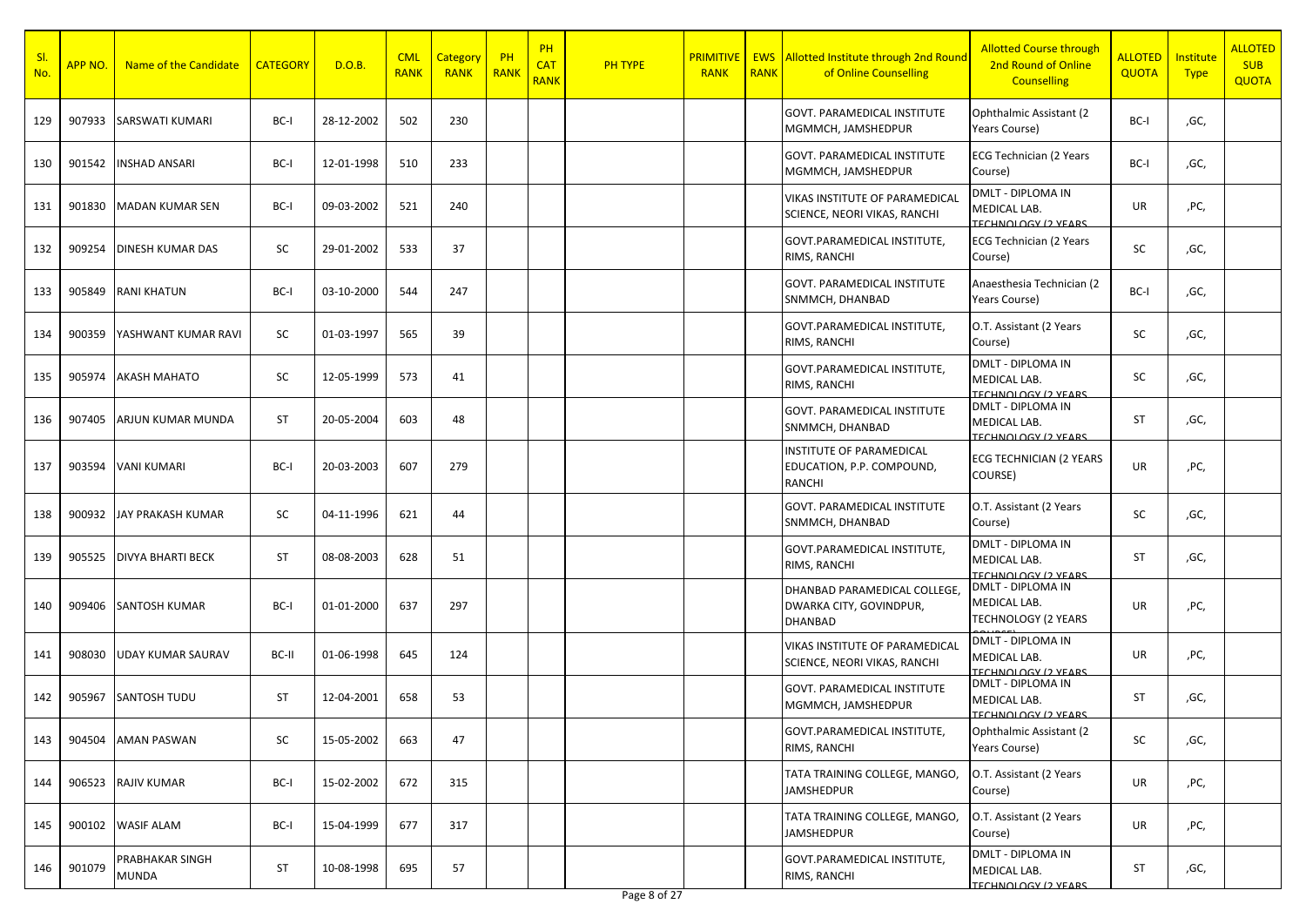| SI.<br>No. | APP NO. | Name of the Candidate           | <b>CATEGORY</b> | D.O.B.     | <b>CML</b><br><b>RANK</b> | Category<br><b>RANK</b> | PH<br><b>RANK</b> | PH<br><b>CAT</b><br><b>RANK</b> | <b>PH TYPE</b> | <b>PRIMITIVE</b><br><b>RANK</b> | <b>RANK</b> | <b>EWS</b> Allotted Institute through 2nd Round<br>of Online Counselling  | <b>Allotted Course through</b><br>2nd Round of Online<br><b>Counselling</b> | <b>ALLOTED</b><br>QUOTA | <b>Institute</b><br><b>Type</b> | <b>ALLOTED</b><br><b>SUB</b><br><b>QUOTA</b> |
|------------|---------|---------------------------------|-----------------|------------|---------------------------|-------------------------|-------------------|---------------------------------|----------------|---------------------------------|-------------|---------------------------------------------------------------------------|-----------------------------------------------------------------------------|-------------------------|---------------------------------|----------------------------------------------|
| 129        | 907933  | SARSWATI KUMARI                 | BC-I            | 28-12-2002 | 502                       | 230                     |                   |                                 |                |                                 |             | <b>GOVT. PARAMEDICAL INSTITUTE</b><br>MGMMCH, JAMSHEDPUR                  | Ophthalmic Assistant (2)<br>Years Course)                                   | BC-I                    | ,GC,                            |                                              |
| 130        | 901542  | <b>INSHAD ANSARI</b>            | BC-I            | 12-01-1998 | 510                       | 233                     |                   |                                 |                |                                 |             | GOVT. PARAMEDICAL INSTITUTE<br>MGMMCH, JAMSHEDPUR                         | <b>ECG Technician (2 Years</b><br>Course)                                   | BC-I                    | ,GC,                            |                                              |
| 131        | 901830  | MADAN KUMAR SEN                 | BC-I            | 09-03-2002 | 521                       | 240                     |                   |                                 |                |                                 |             | VIKAS INSTITUTE OF PARAMEDICAL<br><b>SCIENCE, NEORI VIKAS, RANCHI</b>     | DMLT - DIPLOMA IN<br>MEDICAL LAB.<br>TECHNOLOGY (2 VEARS                    | UR                      | ,PC,                            |                                              |
| 132        | 909254  | <b>DINESH KUMAR DAS</b>         | SC              | 29-01-2002 | 533                       | 37                      |                   |                                 |                |                                 |             | GOVT.PARAMEDICAL INSTITUTE.<br>RIMS, RANCHI                               | <b>ECG Technician (2 Years</b><br>Course)                                   | SC                      | ,GC,                            |                                              |
| 133        | 905849  | <b>RANI KHATUN</b>              | BC-I            | 03-10-2000 | 544                       | 247                     |                   |                                 |                |                                 |             | GOVT. PARAMEDICAL INSTITUTE<br>SNMMCH, DHANBAD                            | Anaesthesia Technician (2<br>Years Course)                                  | BC-I                    | ,GC,                            |                                              |
| 134        | 900359  | YASHWANT KUMAR RAVI             | SC              | 01-03-1997 | 565                       | 39                      |                   |                                 |                |                                 |             | GOVT.PARAMEDICAL INSTITUTE,<br>RIMS, RANCHI                               | O.T. Assistant (2 Years<br>Course)                                          | SC                      | ,GC,                            |                                              |
| 135        | 905974  | <b>AKASH MAHATO</b>             | SC              | 12-05-1999 | 573                       | 41                      |                   |                                 |                |                                 |             | GOVT.PARAMEDICAL INSTITUTE,<br>RIMS, RANCHI                               | DMLT - DIPLOMA IN<br>MEDICAL LAB.<br><b>TECHNOLOGY (2 VEARS)</b>            | SC                      | ,GC,                            |                                              |
| 136        | 907405  | ARJUN KUMAR MUNDA               | <b>ST</b>       | 20-05-2004 | 603                       | 48                      |                   |                                 |                |                                 |             | <b>GOVT. PARAMEDICAL INSTITUTE</b><br>SNMMCH, DHANBAD                     | DMLT - DIPLOMA IN<br>MEDICAL LAB.<br><b>TECHNOLOGY (2 VEARS)</b>            | ST                      | ,GC,                            |                                              |
| 137        | 903594  | <b>VANI KUMARI</b>              | BC-I            | 20-03-2003 | 607                       | 279                     |                   |                                 |                |                                 |             | INSTITUTE OF PARAMEDICAL<br>EDUCATION, P.P. COMPOUND,<br><b>RANCHI</b>    | <b>ECG TECHNICIAN (2 YEARS</b><br>COURSE)                                   | UR                      | ,PC,                            |                                              |
| 138        | 900932  | <b>JAY PRAKASH KUMAR</b>        | <b>SC</b>       | 04-11-1996 | 621                       | 44                      |                   |                                 |                |                                 |             | GOVT. PARAMEDICAL INSTITUTE<br>SNMMCH, DHANBAD                            | O.T. Assistant (2 Years<br>Course)                                          | SC                      | ,GC,                            |                                              |
| 139        | 905525  | <b>DIVYA BHARTI BECK</b>        | <b>ST</b>       | 08-08-2003 | 628                       | 51                      |                   |                                 |                |                                 |             | GOVT.PARAMEDICAL INSTITUTE,<br>RIMS, RANCHI                               | DMLT - DIPLOMA IN<br>MEDICAL LAB.<br>TECHNOLOGY (2 VEARS                    | ST                      | ,GC,                            |                                              |
| 140        | 909406  | SANTOSH KUMAR                   | BC-I            | 01-01-2000 | 637                       | 297                     |                   |                                 |                |                                 |             | DHANBAD PARAMEDICAL COLLEGE,<br>DWARKA CITY, GOVINDPUR,<br><b>DHANBAD</b> | DMLT - DIPLOMA IN<br>MEDICAL LAB.<br><b>TECHNOLOGY (2 YEARS</b>             | UR                      | ,PC,                            |                                              |
| 141        | 908030  | <b>UDAY KUMAR SAURAV</b>        | BC-II           | 01-06-1998 | 645                       | 124                     |                   |                                 |                |                                 |             | <b>VIKAS INSTITUTE OF PARAMEDICAL</b><br>SCIENCE, NEORI VIKAS, RANCHI     | DMLT - DIPLOMA IN<br>MEDICAL LAB.<br><b>TECHNOLOGY (2 VEARS)</b>            | UR                      | ,PC,                            |                                              |
| 142        | 905967  | SANTOSH TUDU                    | <b>ST</b>       | 12-04-2001 | 658                       | 53                      |                   |                                 |                |                                 |             | <b>GOVT. PARAMEDICAL INSTITUTE</b><br>MGMMCH, JAMSHEDPUR                  | DMLT - DIPLOMA IN<br>MEDICAL LAB.<br><b>TECHNOLOGY (2 VEARS</b>             | ST                      | ,GC,                            |                                              |
| 143        |         | 904504 AMAN PASWAN              | SC              | 15-05-2002 | 663                       | 47                      |                   |                                 |                |                                 |             | GOVT.PARAMEDICAL INSTITUTE,<br>RIMS, RANCHI                               | Ophthalmic Assistant (2<br>Years Course)                                    | SC                      | ,GC,                            |                                              |
| 144        | 906523  | <b>RAJIV KUMAR</b>              | BC-I            | 15-02-2002 | 672                       | 315                     |                   |                                 |                |                                 |             | TATA TRAINING COLLEGE, MANGO,<br>JAMSHEDPUR                               | O.T. Assistant (2 Years<br>Course)                                          | UR                      | ,PC,                            |                                              |
| 145        |         | 900102 WASIF ALAM               | BC-I            | 15-04-1999 | 677                       | 317                     |                   |                                 |                |                                 |             | TATA TRAINING COLLEGE, MANGO,<br>JAMSHEDPUR                               | O.T. Assistant (2 Years<br>Course)                                          | UR                      | ,PC,                            |                                              |
| 146        | 901079  | PRABHAKAR SINGH<br><b>MUNDA</b> | ST              | 10-08-1998 | 695                       | 57                      |                   |                                 |                |                                 |             | GOVT.PARAMEDICAL INSTITUTE,<br>RIMS, RANCHI                               | DMLT - DIPLOMA IN<br>MEDICAL LAB.<br><b>TECHNOLOGY (2 VEARS</b>             | ST                      | ,GC,                            |                                              |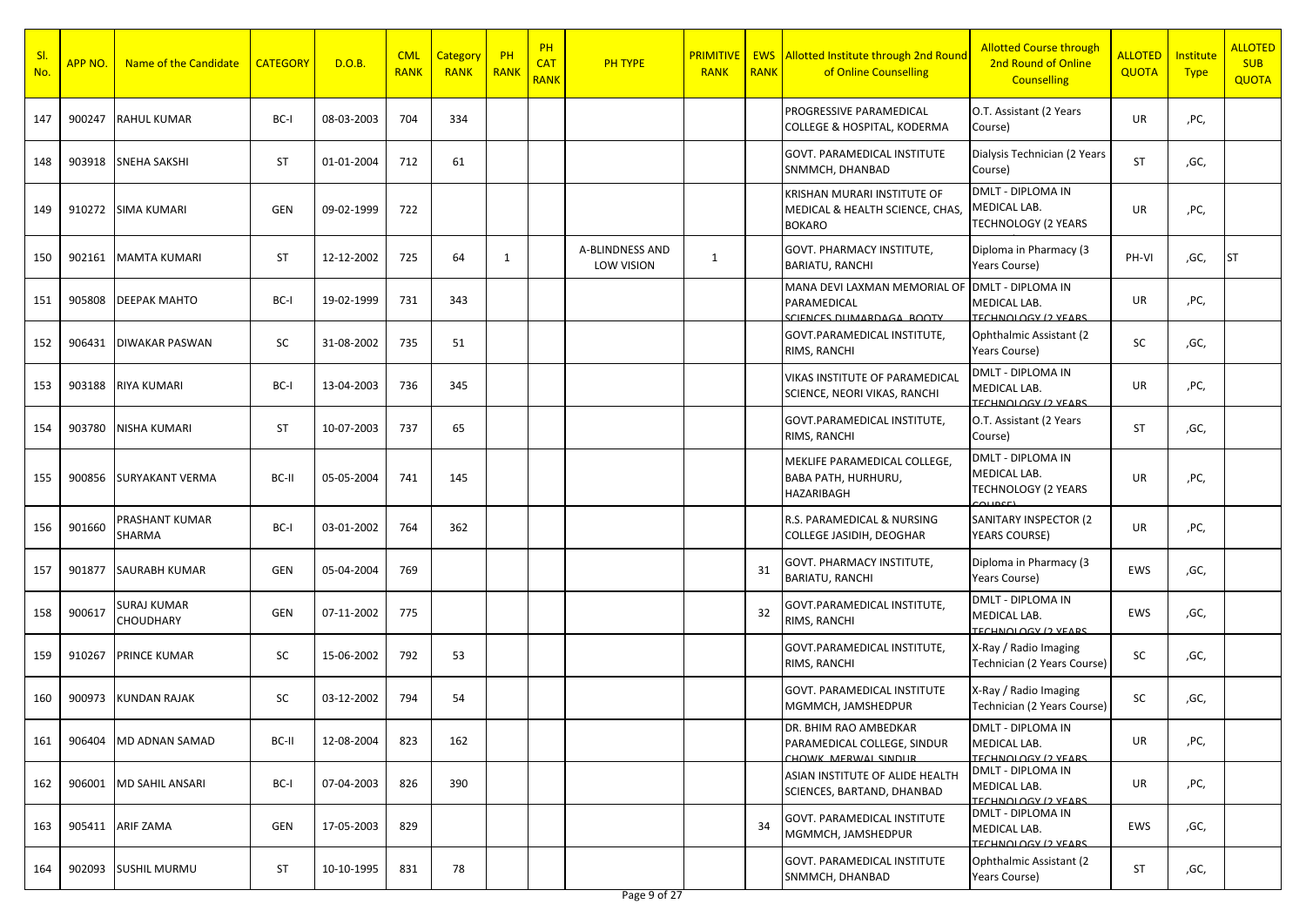| -SI<br>No. | APP NO. | Name of the Candidate    | <b>CATEGORY</b> | D.O.B.     | <b>CML</b><br><b>RANK</b> | Category<br><b>RANK</b> | PH<br>RANK | PH<br><b>CAT</b><br><b>RANK</b> | <b>PH TYPE</b>                              | <b>PRIMITIVE</b><br><b>RANK</b> | <b>RANK</b> | <b>EWS</b> Allotted Institute through 2nd Round<br>of Online Counselling        | <b>Allotted Course through</b><br>2nd Round of Online<br><b>Counselling</b> | <b>ALLOTED</b><br>QUOTA | <b>Institute</b><br><b>Type</b> | <b>ALLOTED</b><br><b>SUB</b><br><b>QUOTA</b> |
|------------|---------|--------------------------|-----------------|------------|---------------------------|-------------------------|------------|---------------------------------|---------------------------------------------|---------------------------------|-------------|---------------------------------------------------------------------------------|-----------------------------------------------------------------------------|-------------------------|---------------------------------|----------------------------------------------|
| 147        | 900247  | <b>RAHUL KUMAR</b>       | BC-I            | 08-03-2003 | 704                       | 334                     |            |                                 |                                             |                                 |             | PROGRESSIVE PARAMEDICAL<br>COLLEGE & HOSPITAL, KODERMA                          | O.T. Assistant (2 Years<br>Course)                                          | UR                      | ,PC,                            |                                              |
| 148        | 903918  | <b>SNEHA SAKSHI</b>      | ST              | 01-01-2004 | 712                       | 61                      |            |                                 |                                             |                                 |             | <b>GOVT. PARAMEDICAL INSTITUTE</b><br>SNMMCH, DHANBAD                           | Dialysis Technician (2 Years<br>Course)                                     | ST                      | ,GC,                            |                                              |
| 149        | 910272  | <b>SIMA KUMARI</b>       | <b>GEN</b>      | 09-02-1999 | 722                       |                         |            |                                 |                                             |                                 |             | KRISHAN MURARI INSTITUTE OF<br>MEDICAL & HEALTH SCIENCE, CHAS,<br><b>BOKARO</b> | DMLT - DIPLOMA IN<br>MEDICAL LAB.<br><b>TECHNOLOGY (2 YEARS</b>             | UR                      | ,PC,                            |                                              |
| 150        | 902161  | <b>MAMTA KUMARI</b>      | ST              | 12-12-2002 | 725                       | 64                      | 1          |                                 | <b>A-BLINDNESS AND</b><br><b>LOW VISION</b> | 1                               |             | GOVT. PHARMACY INSTITUTE,<br><b>BARIATU, RANCHI</b>                             | Diploma in Pharmacy (3<br>Years Course)                                     | PH-VI                   | ,GC,                            | ST                                           |
| 151        | 905808  | <b>DEEPAK MAHTO</b>      | BC-I            | 19-02-1999 | 731                       | 343                     |            |                                 |                                             |                                 |             | MANA DEVI LAXMAN MEMORIAL OF<br>PARAMEDICAL<br>SCIENCES DUMARDAGA ROOTY         | <b>DMLT - DIPLOMA IN</b><br>MEDICAL LAB.<br><b>TECHNOLOGY (2 VEARS)</b>     | UR                      | ,PC,                            |                                              |
| 152        | 906431  | <b>DIWAKAR PASWAN</b>    | SC              | 31-08-2002 | 735                       | 51                      |            |                                 |                                             |                                 |             | GOVT.PARAMEDICAL INSTITUTE,<br>RIMS, RANCHI                                     | Ophthalmic Assistant (2)<br>Years Course)                                   | SC                      | ,GC,                            |                                              |
| 153        | 903188  | <b>RIYA KUMARI</b>       | BC-I            | 13-04-2003 | 736                       | 345                     |            |                                 |                                             |                                 |             | VIKAS INSTITUTE OF PARAMEDICAL<br>SCIENCE, NEORI VIKAS, RANCHI                  | <b>DMLT - DIPLOMA IN</b><br>MEDICAL LAB.<br>TECHNOLOGY (2 YEARS             | UR                      | ,PC,                            |                                              |
| 154        | 903780  | <b>NISHA KUMARI</b>      | ST              | 10-07-2003 | 737                       | 65                      |            |                                 |                                             |                                 |             | GOVT.PARAMEDICAL INSTITUTE,<br>RIMS, RANCHI                                     | O.T. Assistant (2 Years<br>Course)                                          | ST                      | ,GC,                            |                                              |
| 155        | 900856  | SURYAKANT VERMA          | BC-II           | 05-05-2004 | 741                       | 145                     |            |                                 |                                             |                                 |             | MEKLIFE PARAMEDICAL COLLEGE.<br>BABA PATH, HURHURU,<br>HAZARIBAGH               | DMLT - DIPLOMA IN<br>MEDICAL LAB.<br><b>TECHNOLOGY (2 YEARS</b><br>COLIDEE) | UR                      | ,PC,                            |                                              |
| 156        | 901660  | PRASHANT KUMAR<br>SHARMA | BC-I            | 03-01-2002 | 764                       | 362                     |            |                                 |                                             |                                 |             | R.S. PARAMEDICAL & NURSING<br>COLLEGE JASIDIH, DEOGHAR                          | SANITARY INSPECTOR (2<br><b>YEARS COURSE)</b>                               | UR                      | ,PC,                            |                                              |
| 157        | 901877  | <b>SAURABH KUMAR</b>     | <b>GEN</b>      | 05-04-2004 | 769                       |                         |            |                                 |                                             |                                 | 31          | GOVT. PHARMACY INSTITUTE,<br>BARIATU, RANCHI                                    | Diploma in Pharmacy (3<br>Years Course)                                     | EWS                     | ,GC,                            |                                              |
| 158        | 900617  | SURAJ KUMAR<br>CHOUDHARY | <b>GEN</b>      | 07-11-2002 | 775                       |                         |            |                                 |                                             |                                 | 32          | GOVT.PARAMEDICAL INSTITUTE,<br>RIMS, RANCHI                                     | DMLT - DIPLOMA IN<br>MEDICAL LAB.<br><b>TECHNOLOGY (2 VEARS)</b>            | EWS                     | ,GC,                            |                                              |
| 159        | 910267  | PRINCE KUMAR             | SC              | 15-06-2002 | 792                       | 53                      |            |                                 |                                             |                                 |             | GOVT.PARAMEDICAL INSTITUTE,<br>RIMS, RANCHI                                     | X-Ray / Radio Imaging<br>Technician (2 Years Course)                        | SC                      | ,GC,                            |                                              |
| 160        | 900973  | <b>KUNDAN RAJAK</b>      | SC              | 03-12-2002 | 794                       | 54                      |            |                                 |                                             |                                 |             | GOVT. PARAMEDICAL INSTITUTE<br>MGMMCH, JAMSHEDPUR                               | X-Ray / Radio Imaging<br>Technician (2 Years Course)                        | SC                      | ,GC,                            |                                              |
| 161        | 906404  | MD ADNAN SAMAD           | BC-II           | 12-08-2004 | 823                       | 162                     |            |                                 |                                             |                                 |             | DR. BHIM RAO AMBEDKAR<br>PARAMEDICAL COLLEGE, SINDUR<br>CHOWK MERWAL SINDLIR    | <b>DMLT - DIPLOMA IN</b><br>MEDICAL LAB.<br><b>TECHNOLOGY (2 VEARS)</b>     | UR                      | ,PC,                            |                                              |
| 162        | 906001  | <b>MD SAHIL ANSARI</b>   | BC-I            | 07-04-2003 | 826                       | 390                     |            |                                 |                                             |                                 |             | ASIAN INSTITUTE OF ALIDE HEALTH<br>SCIENCES, BARTAND, DHANBAD                   | DMLT - DIPLOMA IN<br>MEDICAL LAB.<br><b>TECHNOLOGY (2 VEARS)</b>            | UR                      | ,PC,                            |                                              |
| 163        | 905411  | ARIF ZAMA                | GEN             | 17-05-2003 | 829                       |                         |            |                                 |                                             |                                 | 34          | GOVT. PARAMEDICAL INSTITUTE<br>MGMMCH, JAMSHEDPUR                               | DMLT - DIPLOMA IN<br>MEDICAL LAB.<br><b>TECHNOLOGY (2 VEARS</b>             | EWS                     | ,GC,                            |                                              |
| 164        | 902093  | <b>SUSHIL MURMU</b>      | ST              | 10-10-1995 | 831                       | 78                      |            |                                 |                                             |                                 |             | <b>GOVT. PARAMEDICAL INSTITUTE</b><br>SNMMCH, DHANBAD                           | Ophthalmic Assistant (2)<br>Years Course)                                   | ST                      | ,GC,                            |                                              |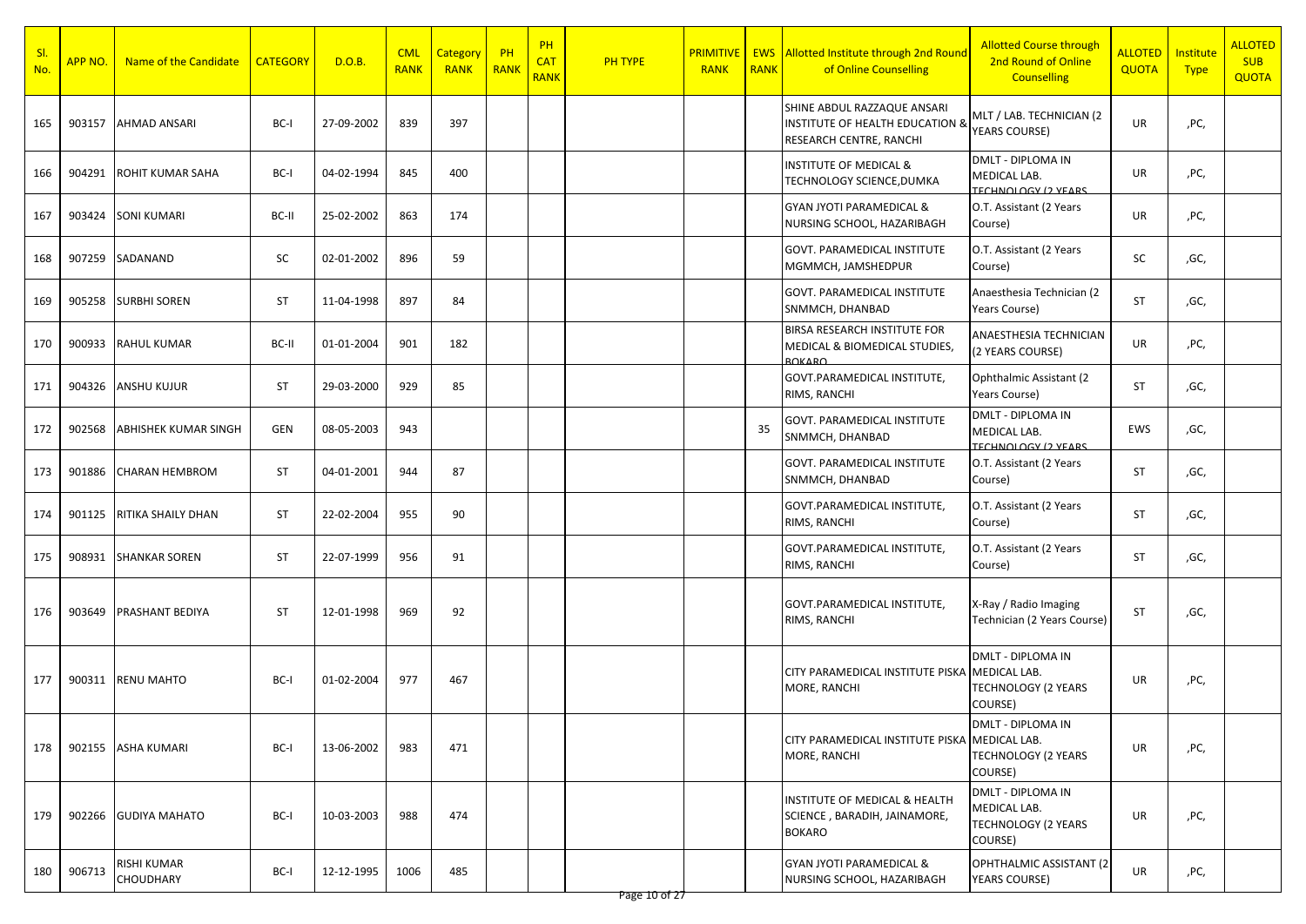| S <sub>l</sub><br>No. | APP NO. | Name of the Candidate           | <b>CATEGORY</b> | D.O.B.     | <b>CML</b><br><b>RANK</b> | Category<br><b>RANK</b> | $P$ H<br>RANK | PH<br><b>CAT</b><br><b>RANK</b> | PH TYPE | <b>PRIMITIVE</b><br><b>RANK</b> | <b>EWS</b><br><b>RANK</b> | Allotted Institute through 2nd Round<br>of Online Counselling                                        | <b>Allotted Course through</b><br>2nd Round of Online<br><b>Counselling</b> | <b>ALLOTED</b><br><b>QUOTA</b> | <b>Institute</b><br><b>Type</b> | <b>ALLOTED</b><br><b>SUB</b><br><b>QUOTA</b> |
|-----------------------|---------|---------------------------------|-----------------|------------|---------------------------|-------------------------|---------------|---------------------------------|---------|---------------------------------|---------------------------|------------------------------------------------------------------------------------------------------|-----------------------------------------------------------------------------|--------------------------------|---------------------------------|----------------------------------------------|
| 165                   | 903157  | <b>AHMAD ANSARI</b>             | BC-I            | 27-09-2002 | 839                       | 397                     |               |                                 |         |                                 |                           | SHINE ABDUL RAZZAQUE ANSARI<br><b>INSTITUTE OF HEALTH EDUCATION &amp;</b><br>RESEARCH CENTRE, RANCHI | MLT / LAB. TECHNICIAN (2<br>YEARS COURSE)                                   | UR                             | ,PC,                            |                                              |
| 166                   | 904291  | <b>ROHIT KUMAR SAHA</b>         | BC-I            | 04-02-1994 | 845                       | 400                     |               |                                 |         |                                 |                           | <b>INSTITUTE OF MEDICAL &amp;</b><br>TECHNOLOGY SCIENCE, DUMKA                                       | <b>DMLT - DIPLOMA IN</b><br>MEDICAL LAB.<br><b>TECHNOLOGY (2 VEARS)</b>     | UR                             | ,PC,                            |                                              |
| 167                   | 903424  | <b>SONI KUMARI</b>              | BC-II           | 25-02-2002 | 863                       | 174                     |               |                                 |         |                                 |                           | <b>GYAN JYOTI PARAMEDICAL &amp;</b><br>NURSING SCHOOL, HAZARIBAGH                                    | O.T. Assistant (2 Years<br>Course)                                          | UR                             | ,PC,                            |                                              |
| 168                   | 907259  | SADANAND                        | SC              | 02-01-2002 | 896                       | 59                      |               |                                 |         |                                 |                           | <b>GOVT. PARAMEDICAL INSTITUTE</b><br>MGMMCH, JAMSHEDPUR                                             | O.T. Assistant (2 Years<br>Course)                                          | SC                             | ,GC,                            |                                              |
| 169                   | 905258  | <b>SURBHI SOREN</b>             | ST              | 11-04-1998 | 897                       | 84                      |               |                                 |         |                                 |                           | GOVT. PARAMEDICAL INSTITUTE<br>SNMMCH, DHANBAD                                                       | Anaesthesia Technician (2<br>Years Course)                                  | <b>ST</b>                      | ,GC,                            |                                              |
| 170                   | 900933  | <b>RAHUL KUMAR</b>              | BC-II           | 01-01-2004 | 901                       | 182                     |               |                                 |         |                                 |                           | BIRSA RESEARCH INSTITUTE FOR<br>MEDICAL & BIOMEDICAL STUDIES,<br><b>ROKARO</b>                       | ANAESTHESIA TECHNICIAN<br>(2 YEARS COURSE)                                  | UR                             | ,PC,                            |                                              |
| 171                   | 904326  | <b>ANSHU KUJUR</b>              | ST              | 29-03-2000 | 929                       | 85                      |               |                                 |         |                                 |                           | GOVT.PARAMEDICAL INSTITUTE,<br>RIMS, RANCHI                                                          | Ophthalmic Assistant (2)<br>Years Course)                                   | ST                             | ,GC,                            |                                              |
| 172                   | 902568  | <b>ABHISHEK KUMAR SINGH</b>     | <b>GEN</b>      | 08-05-2003 | 943                       |                         |               |                                 |         |                                 | 35                        | GOVT. PARAMEDICAL INSTITUTE<br>SNMMCH, DHANBAD                                                       | <b>DMLT - DIPLOMA IN</b><br>MEDICAL LAB.<br><b>TECHNOLOGY (2 VEARS)</b>     | EWS                            | ,GC,                            |                                              |
| 173                   | 901886  | <b>CHARAN HEMBROM</b>           | ST              | 04-01-2001 | 944                       | 87                      |               |                                 |         |                                 |                           | GOVT. PARAMEDICAL INSTITUTE<br>SNMMCH, DHANBAD                                                       | O.T. Assistant (2 Years<br>Course)                                          | <b>ST</b>                      | ,GC,                            |                                              |
| 174                   | 901125  | RITIKA SHAILY DHAN              | ST              | 22-02-2004 | 955                       | 90                      |               |                                 |         |                                 |                           | GOVT.PARAMEDICAL INSTITUTE,<br>RIMS, RANCHI                                                          | O.T. Assistant (2 Years<br>Course)                                          | ST                             | ,GC,                            |                                              |
| 175                   | 908931  | <b>SHANKAR SOREN</b>            | ST              | 22-07-1999 | 956                       | 91                      |               |                                 |         |                                 |                           | GOVT.PARAMEDICAL INSTITUTE,<br>RIMS, RANCHI                                                          | O.T. Assistant (2 Years<br>Course)                                          | ST                             | ,GC,                            |                                              |
| 176                   | 903649  | <b>PRASHANT BEDIYA</b>          | ST              | 12-01-1998 | 969                       | 92                      |               |                                 |         |                                 |                           | GOVT.PARAMEDICAL INSTITUTE,<br>RIMS, RANCHI                                                          | X-Ray / Radio Imaging<br>Technician (2 Years Course)                        | ST                             | ,GC,                            |                                              |
| 177                   | 900311  | <b>RENU MAHTO</b>               | BC-I            | 01-02-2004 | 977                       | 467                     |               |                                 |         |                                 |                           | CITY PARAMEDICAL INSTITUTE PISKA<br>MORE, RANCHI                                                     | DMLT - DIPLOMA IN<br>MEDICAL LAB.<br><b>TECHNOLOGY (2 YEARS</b><br>COURSE)  | UR                             | ,PC,                            |                                              |
| 178                   | 902155  | <b>ASHA KUMARI</b>              | BC-I            | 13-06-2002 | 983                       | 471                     |               |                                 |         |                                 |                           | CITY PARAMEDICAL INSTITUTE PISKA MEDICAL LAB.<br>MORE, RANCHI                                        | <b>DMLT - DIPLOMA IN</b><br><b>TECHNOLOGY (2 YEARS</b><br>COURSE)           | UR                             | ,PC,                            |                                              |
| 179                   | 902266  | <b>GUDIYA MAHATO</b>            | BC-I            | 10-03-2003 | 988                       | 474                     |               |                                 |         |                                 |                           | INSTITUTE OF MEDICAL & HEALTH<br>SCIENCE, BARADIH, JAINAMORE,<br><b>BOKARO</b>                       | DMLT - DIPLOMA IN<br>MEDICAL LAB.<br><b>TECHNOLOGY (2 YEARS</b><br>COURSE)  | UR                             | ,PC,                            |                                              |
| 180                   | 906713  | <b>RISHI KUMAR</b><br>CHOUDHARY | BC-I            | 12-12-1995 | 1006                      | 485                     |               |                                 |         |                                 |                           | GYAN JYOTI PARAMEDICAL &<br>NURSING SCHOOL, HAZARIBAGH                                               | OPHTHALMIC ASSISTANT (2<br>YEARS COURSE)                                    | UR                             | ,PC,                            |                                              |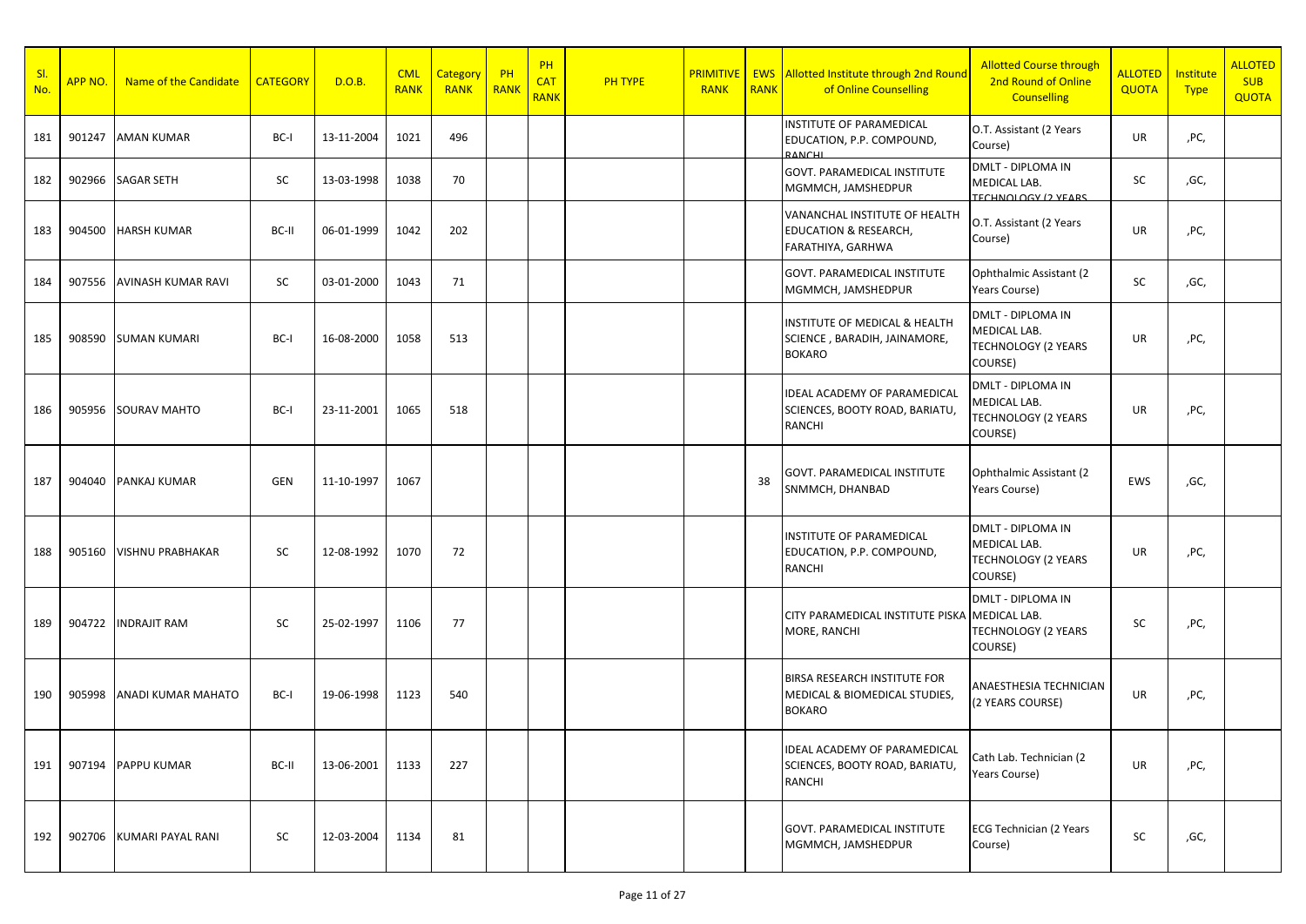| SI.<br>No. | APP NO. | Name of the Candidate     | <b>CATEGORY</b> | D.O.B.     | <b>CML</b><br><b>RANK</b> | <b>Category</b><br><b>RANK</b> | PH<br><b>RANK</b> | <b>PH</b><br><b>CAT</b><br><b>RANK</b> | PH TYPE | <b>PRIMITIVE</b><br><b>RANK</b> | <b>RANK</b> | <b>EWS</b> Allotted Institute through 2nd Round<br>of Online Counselling               | <b>Allotted Course through</b><br>2nd Round of Online<br><b>Counselling</b>       | ALLOTED<br><b>QUOTA</b> | Institute<br><b>Type</b> | <b>ALLOTED</b><br><b>SUB</b><br><b>QUOTA</b> |
|------------|---------|---------------------------|-----------------|------------|---------------------------|--------------------------------|-------------------|----------------------------------------|---------|---------------------------------|-------------|----------------------------------------------------------------------------------------|-----------------------------------------------------------------------------------|-------------------------|--------------------------|----------------------------------------------|
| 181        |         | 901247 AMAN KUMAR         | BC-I            | 13-11-2004 | 1021                      | 496                            |                   |                                        |         |                                 |             | INSTITUTE OF PARAMEDICAL<br>EDUCATION, P.P. COMPOUND,<br>RANCHI                        | O.T. Assistant (2 Years<br>Course)                                                | UR                      | ,PC,                     |                                              |
| 182        |         | 902966 SAGAR SETH         | SC              | 13-03-1998 | 1038                      | 70                             |                   |                                        |         |                                 |             | <b>GOVT. PARAMEDICAL INSTITUTE</b><br>MGMMCH, JAMSHEDPUR                               | <b>DMLT - DIPLOMA IN</b><br>MEDICAL LAB.<br><b>TECHNOLOGY (2 YEARS)</b>           | SC                      | ,GC,                     |                                              |
| 183        | 904500  | <b>HARSH KUMAR</b>        | BC-II           | 06-01-1999 | 1042                      | 202                            |                   |                                        |         |                                 |             | VANANCHAL INSTITUTE OF HEALTH<br><b>EDUCATION &amp; RESEARCH,</b><br>FARATHIYA, GARHWA | O.T. Assistant (2 Years<br>Course)                                                | UR                      | ,PC,                     |                                              |
| 184        | 907556  | <b>AVINASH KUMAR RAVI</b> | SC              | 03-01-2000 | 1043                      | 71                             |                   |                                        |         |                                 |             | GOVT. PARAMEDICAL INSTITUTE<br>MGMMCH, JAMSHEDPUR                                      | Ophthalmic Assistant (2)<br>Years Course)                                         | SC                      | ,GC,                     |                                              |
| 185        |         | 908590 SUMAN KUMARI       | BC-I            | 16-08-2000 | 1058                      | 513                            |                   |                                        |         |                                 |             | INSTITUTE OF MEDICAL & HEALTH<br>SCIENCE, BARADIH, JAINAMORE,<br><b>BOKARO</b>         | <b>DMLT - DIPLOMA IN</b><br>MEDICAL LAB.<br><b>TECHNOLOGY (2 YEARS</b><br>COURSE) | UR                      | ,PC,                     |                                              |
| 186        |         | 905956 SOURAV MAHTO       | BC-I            | 23-11-2001 | 1065                      | 518                            |                   |                                        |         |                                 |             | IDEAL ACADEMY OF PARAMEDICAL<br>SCIENCES, BOOTY ROAD, BARIATU,<br>RANCHI               | DMLT - DIPLOMA IN<br>MEDICAL LAB.<br><b>TECHNOLOGY (2 YEARS</b><br>COURSE)        | UR                      | ,PC,                     |                                              |
| 187        | 904040  | PANKAJ KUMAR              | GEN             | 11-10-1997 | 1067                      |                                |                   |                                        |         |                                 | 38          | <b>GOVT. PARAMEDICAL INSTITUTE</b><br>SNMMCH, DHANBAD                                  | Ophthalmic Assistant (2)<br>Years Course)                                         | EWS                     | ,GC,                     |                                              |
| 188        | 905160  | <b>VISHNU PRABHAKAR</b>   | SC              | 12-08-1992 | 1070                      | 72                             |                   |                                        |         |                                 |             | INSTITUTE OF PARAMEDICAL<br>EDUCATION, P.P. COMPOUND,<br>RANCHI                        | <b>DMLT - DIPLOMA IN</b><br>MEDICAL LAB.<br><b>TECHNOLOGY (2 YEARS</b><br>COURSE) | UR                      | ,PC,                     |                                              |
| 189        | 904722  | <b>INDRAJIT RAM</b>       | SC              | 25-02-1997 | 1106                      | 77                             |                   |                                        |         |                                 |             | CITY PARAMEDICAL INSTITUTE PISKA MEDICAL LAB.<br>MORE, RANCHI                          | <b>DMLT - DIPLOMA IN</b><br><b>TECHNOLOGY (2 YEARS</b><br>COURSE)                 | SC                      | ,PC,                     |                                              |
| 190        | 905998  | <b>ANADI KUMAR MAHATO</b> | BC-I            | 19-06-1998 | 1123                      | 540                            |                   |                                        |         |                                 |             | BIRSA RESEARCH INSTITUTE FOR<br>MEDICAL & BIOMEDICAL STUDIES,<br><b>BOKARO</b>         | ANAESTHESIA TECHNICIAN<br>(2 YEARS COURSE)                                        | UR                      | ,PC,                     |                                              |
| 191        |         | 907194 PAPPU KUMAR        | BC-II           | 13-06-2001 | 1133                      | 227                            |                   |                                        |         |                                 |             | IDEAL ACADEMY OF PARAMEDICAL<br>SCIENCES, BOOTY ROAD, BARIATU,<br>RANCHI               | Cath Lab. Technician (2<br>Years Course)                                          | UR                      | ,PC,                     |                                              |
| 192        |         | 902706 KUMARI PAYAL RANI  | SC              | 12-03-2004 | 1134                      | 81                             |                   |                                        |         |                                 |             | GOVT. PARAMEDICAL INSTITUTE<br>MGMMCH, JAMSHEDPUR                                      | <b>ECG Technician (2 Years</b><br>Course)                                         | SC                      | ,GC,                     |                                              |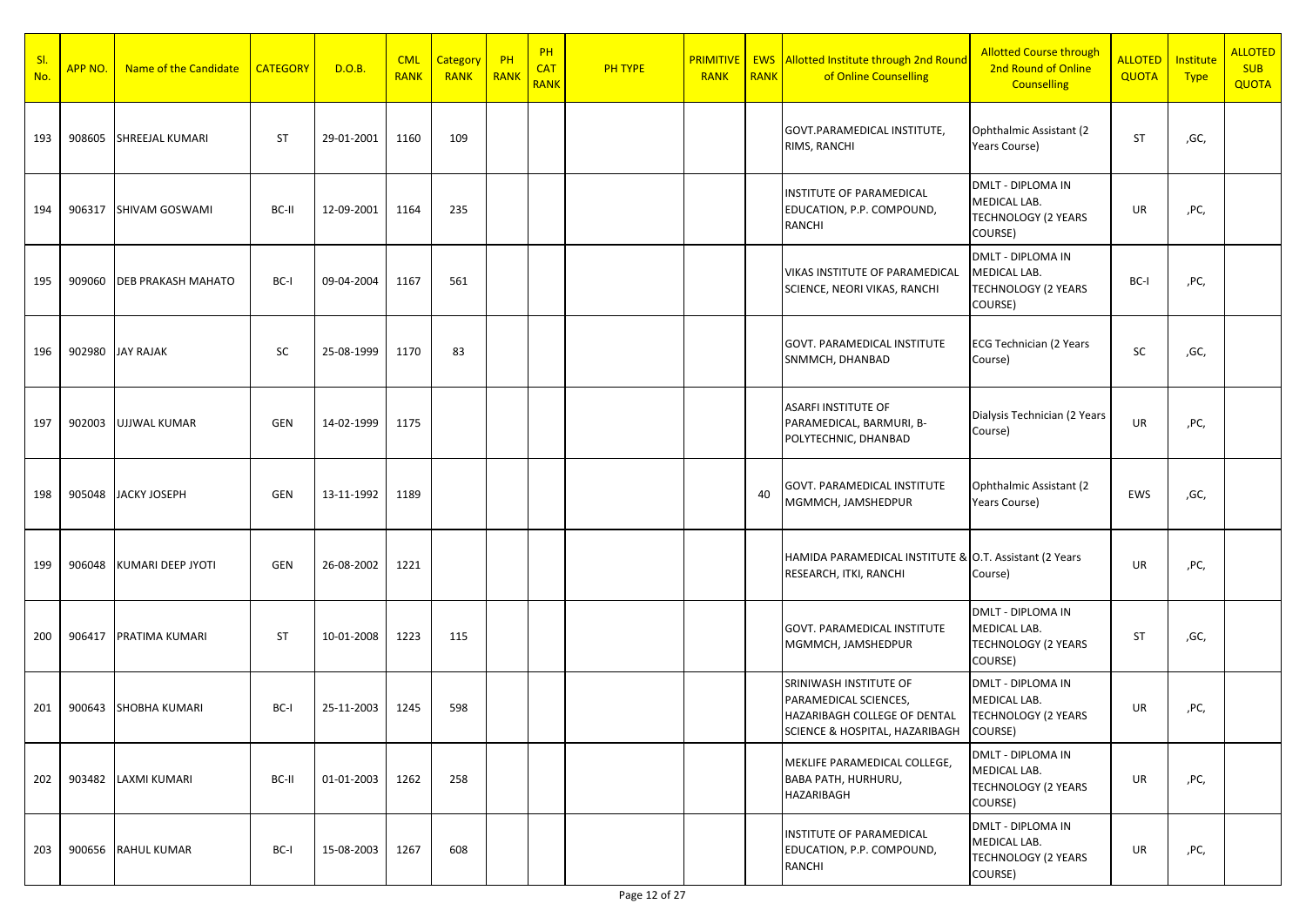| SI.<br>No. | APP NO. | Name of the Candidate     | <b>CATEGORY</b> | D.O.B.     | <b>CML</b><br><b>RANK</b> | Category<br><b>RANK</b> | $P$ H<br>RANK | PH<br><b>CAT</b><br><b>RANK</b> | <b>PH TYPE</b> | <b>RANK</b> | <b>RANK</b> | <b>PRIMITIVE</b> EWS Allotted Institute through 2nd Round<br>of Online Counselling                                        | <b>Allotted Course through</b><br>2nd Round of Online<br><b>Counselling</b> | <b>ALLOTED</b><br><b>QUOTA</b> | Institute<br><b>Type</b> | <b>ALLOTED</b><br><b>SUB</b><br><b>QUOTA</b> |
|------------|---------|---------------------------|-----------------|------------|---------------------------|-------------------------|---------------|---------------------------------|----------------|-------------|-------------|---------------------------------------------------------------------------------------------------------------------------|-----------------------------------------------------------------------------|--------------------------------|--------------------------|----------------------------------------------|
| 193        | 908605  | <b>SHREEJAL KUMARI</b>    | <b>ST</b>       | 29-01-2001 | 1160                      | 109                     |               |                                 |                |             |             | GOVT.PARAMEDICAL INSTITUTE,<br>RIMS, RANCHI                                                                               | Ophthalmic Assistant (2)<br>Years Course)                                   | <b>ST</b>                      | ,GC,                     |                                              |
| 194        | 906317  | <b>SHIVAM GOSWAMI</b>     | BC-II           | 12-09-2001 | 1164                      | 235                     |               |                                 |                |             |             | INSTITUTE OF PARAMEDICAL<br>EDUCATION, P.P. COMPOUND,<br>RANCHI                                                           | DMLT - DIPLOMA IN<br>MEDICAL LAB.<br><b>TECHNOLOGY (2 YEARS</b><br>COURSE)  | UR                             | ,PC,                     |                                              |
| 195        | 909060  | <b>DEB PRAKASH MAHATO</b> | BC-I            | 09-04-2004 | 1167                      | 561                     |               |                                 |                |             |             | VIKAS INSTITUTE OF PARAMEDICAL<br>SCIENCE, NEORI VIKAS, RANCHI                                                            | DMLT - DIPLOMA IN<br>MEDICAL LAB.<br><b>TECHNOLOGY (2 YEARS</b><br>COURSE)  | BC-I                           | ,PC,                     |                                              |
| 196        |         | 902980 JAY RAJAK          | <b>SC</b>       | 25-08-1999 | 1170                      | 83                      |               |                                 |                |             |             | GOVT. PARAMEDICAL INSTITUTE<br>SNMMCH, DHANBAD                                                                            | ECG Technician (2 Years<br>Course)                                          | SC                             | ,GC,                     |                                              |
| 197        | 902003  | <b>UJJWAL KUMAR</b>       | GEN             | 14-02-1999 | 1175                      |                         |               |                                 |                |             |             | <b>ASARFI INSTITUTE OF</b><br>PARAMEDICAL, BARMURI, B-<br>POLYTECHNIC, DHANBAD                                            | Dialysis Technician (2 Years<br>Course)                                     | UR                             | ,PC,                     |                                              |
| 198        |         | 905048 JACKY JOSEPH       | GEN             | 13-11-1992 | 1189                      |                         |               |                                 |                |             | 40          | GOVT. PARAMEDICAL INSTITUTE<br>MGMMCH, JAMSHEDPUR                                                                         | Ophthalmic Assistant (2)<br>Years Course)                                   | EWS                            | ,GC,                     |                                              |
| 199        | 906048  | KUMARI DEEP JYOTI         | <b>GEN</b>      | 26-08-2002 | 1221                      |                         |               |                                 |                |             |             | HAMIDA PARAMEDICAL INSTITUTE & O.T. Assistant (2 Years<br>RESEARCH, ITKI, RANCHI                                          | Course)                                                                     | <b>UR</b>                      | ,PC,                     |                                              |
| 200        | 906417  | PRATIMA KUMARI            | <b>ST</b>       | 10-01-2008 | 1223                      | 115                     |               |                                 |                |             |             | GOVT. PARAMEDICAL INSTITUTE<br>MGMMCH, JAMSHEDPUR                                                                         | DMLT - DIPLOMA IN<br>MEDICAL LAB.<br><b>TECHNOLOGY (2 YEARS</b><br>COURSE)  | <b>ST</b>                      | ,GC,                     |                                              |
| 201        | 900643  | SHOBHA KUMARI             | BC-I            | 25-11-2003 | 1245                      | 598                     |               |                                 |                |             |             | SRINIWASH INSTITUTE OF<br>PARAMEDICAL SCIENCES,<br>HAZARIBAGH COLLEGE OF DENTAL<br>SCIENCE & HOSPITAL, HAZARIBAGH COURSE) | <b>DMLT - DIPLOMA IN</b><br>MEDICAL LAB.<br><b>TECHNOLOGY (2 YEARS</b>      | UR                             | ,PC,                     |                                              |
| 202        |         | 903482 LAXMI KUMARI       | BC-II           | 01-01-2003 | 1262                      | 258                     |               |                                 |                |             |             | MEKLIFE PARAMEDICAL COLLEGE,<br>BABA PATH, HURHURU,<br>HAZARIBAGH                                                         | DMLT - DIPLOMA IN<br>MEDICAL LAB.<br><b>TECHNOLOGY (2 YEARS</b><br>COURSE)  | UR                             | ,PC,                     |                                              |
| 203        |         | 900656 RAHUL KUMAR        | BC-I            | 15-08-2003 | 1267                      | 608                     |               |                                 |                |             |             | INSTITUTE OF PARAMEDICAL<br>EDUCATION, P.P. COMPOUND,<br>RANCHI                                                           | DMLT - DIPLOMA IN<br>MEDICAL LAB.<br><b>TECHNOLOGY (2 YEARS</b><br>COURSE)  | UR                             | ,PC,                     |                                              |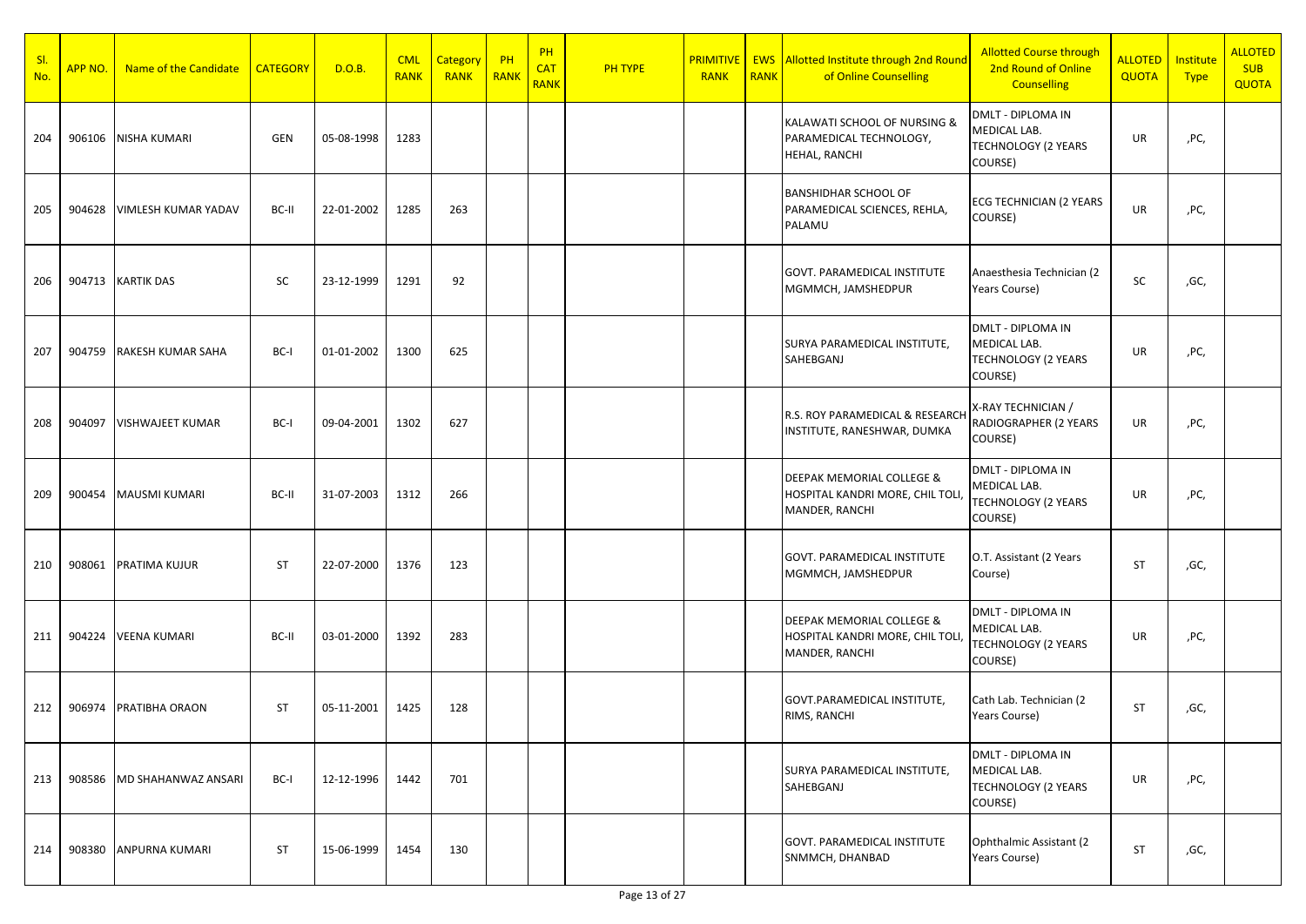| SI.<br>No. | <b>APP NO.</b> | Name of the Candidate    | <b>CATEGORY</b> | D.O.B.     | <b>CML</b><br><b>RANK</b> | Category<br><b>RANK</b> | $P$ H<br>RANK | PH<br><b>CAT</b><br><b>RANK</b> | <b>PH TYPE</b> | <b>RANK</b> | <b>RANK</b> | <b>PRIMITIVE   EWS Allotted Institute through 2nd Round</b><br>of Online Counselling | <b>Allotted Course through</b><br>2nd Round of Online<br><b>Counselling</b>       | <b>ALLOTED</b><br>QUOTA | Institute<br><b>Type</b> | <b>ALLOTED</b><br><b>SUB</b><br><b>QUOTA</b> |
|------------|----------------|--------------------------|-----------------|------------|---------------------------|-------------------------|---------------|---------------------------------|----------------|-------------|-------------|--------------------------------------------------------------------------------------|-----------------------------------------------------------------------------------|-------------------------|--------------------------|----------------------------------------------|
| 204        | 906106         | NISHA KUMARI             | GEN             | 05-08-1998 | 1283                      |                         |               |                                 |                |             |             | KALAWATI SCHOOL OF NURSING &<br>PARAMEDICAL TECHNOLOGY,<br>HEHAL, RANCHI             | <b>DMLT - DIPLOMA IN</b><br>MEDICAL LAB.<br><b>TECHNOLOGY (2 YEARS</b><br>COURSE) | UR                      | ,PC,                     |                                              |
| 205        | 904628         | VIMLESH KUMAR YADAV      | BC-II           | 22-01-2002 | 1285                      | 263                     |               |                                 |                |             |             | <b>BANSHIDHAR SCHOOL OF</b><br>PARAMEDICAL SCIENCES, REHLA,<br>PALAMU                | <b>ECG TECHNICIAN (2 YEARS</b><br>COURSE)                                         | UR                      | ,PC,                     |                                              |
| 206        | 904713         | <b>KARTIK DAS</b>        | SC              | 23-12-1999 | 1291                      | 92                      |               |                                 |                |             |             | GOVT. PARAMEDICAL INSTITUTE<br>MGMMCH, JAMSHEDPUR                                    | Anaesthesia Technician (2<br>Years Course)                                        | SC                      | ,GC,                     |                                              |
| 207        | 904759         | <b>RAKESH KUMAR SAHA</b> | BC-I            | 01-01-2002 | 1300                      | 625                     |               |                                 |                |             |             | SURYA PARAMEDICAL INSTITUTE,<br>SAHEBGANJ                                            | <b>DMLT - DIPLOMA IN</b><br>MEDICAL LAB.<br><b>TECHNOLOGY (2 YEARS</b><br>COURSE) | UR                      | ,PC,                     |                                              |
| 208        | 904097         | VISHWAJEET KUMAR         | BC-I            | 09-04-2001 | 1302                      | 627                     |               |                                 |                |             |             | R.S. ROY PARAMEDICAL & RESEARCH<br>INSTITUTE, RANESHWAR, DUMKA                       | X-RAY TECHNICIAN /<br>RADIOGRAPHER (2 YEARS<br>COURSE)                            | UR                      | ,PC,                     |                                              |
| 209        | 900454         | <b>MAUSMI KUMARI</b>     | BC-II           | 31-07-2003 | 1312                      | 266                     |               |                                 |                |             |             | DEEPAK MEMORIAL COLLEGE &<br>HOSPITAL KANDRI MORE, CHIL TOLI,<br>MANDER, RANCHI      | <b>DMLT - DIPLOMA IN</b><br>MEDICAL LAB.<br><b>TECHNOLOGY (2 YEARS</b><br>COURSE) | UR                      | ,PC,                     |                                              |
| 210        | 908061         | PRATIMA KUJUR            | ST              | 22-07-2000 | 1376                      | 123                     |               |                                 |                |             |             | GOVT. PARAMEDICAL INSTITUTE<br>MGMMCH, JAMSHEDPUR                                    | O.T. Assistant (2 Years<br>Course)                                                | <b>ST</b>               | ,GC,                     |                                              |
| 211        | 904224         | <b>VEENA KUMARI</b>      | BC-II           | 03-01-2000 | 1392                      | 283                     |               |                                 |                |             |             | DEEPAK MEMORIAL COLLEGE &<br>HOSPITAL KANDRI MORE, CHIL TOLI,<br>MANDER, RANCHI      | DMLT - DIPLOMA IN<br>MEDICAL LAB.<br><b>TECHNOLOGY (2 YEARS</b><br>COURSE)        | UR                      | ,PC,                     |                                              |
| 212        | 906974         | <b>PRATIBHA ORAON</b>    | ST              | 05-11-2001 | 1425                      | 128                     |               |                                 |                |             |             | GOVT.PARAMEDICAL INSTITUTE,<br>RIMS, RANCHI                                          | Cath Lab. Technician (2<br>Years Course)                                          | <b>ST</b>               | ,GC,                     |                                              |
| 213        | 908586         | MD SHAHANWAZ ANSARI      | BC-I            | 12-12-1996 | 1442                      | 701                     |               |                                 |                |             |             | SURYA PARAMEDICAL INSTITUTE,<br>SAHEBGANJ                                            | <b>DMLT - DIPLOMA IN</b><br>MEDICAL LAB.<br><b>TECHNOLOGY (2 YEARS</b><br>COURSE) | UR                      | ,PC,                     |                                              |
| 214        | 908380         | <b>ANPURNA KUMARI</b>    | <b>ST</b>       | 15-06-1999 | 1454                      | 130                     |               |                                 |                |             |             | GOVT. PARAMEDICAL INSTITUTE<br>SNMMCH, DHANBAD                                       | Ophthalmic Assistant (2<br>Years Course)                                          | <b>ST</b>               | ,GC,                     |                                              |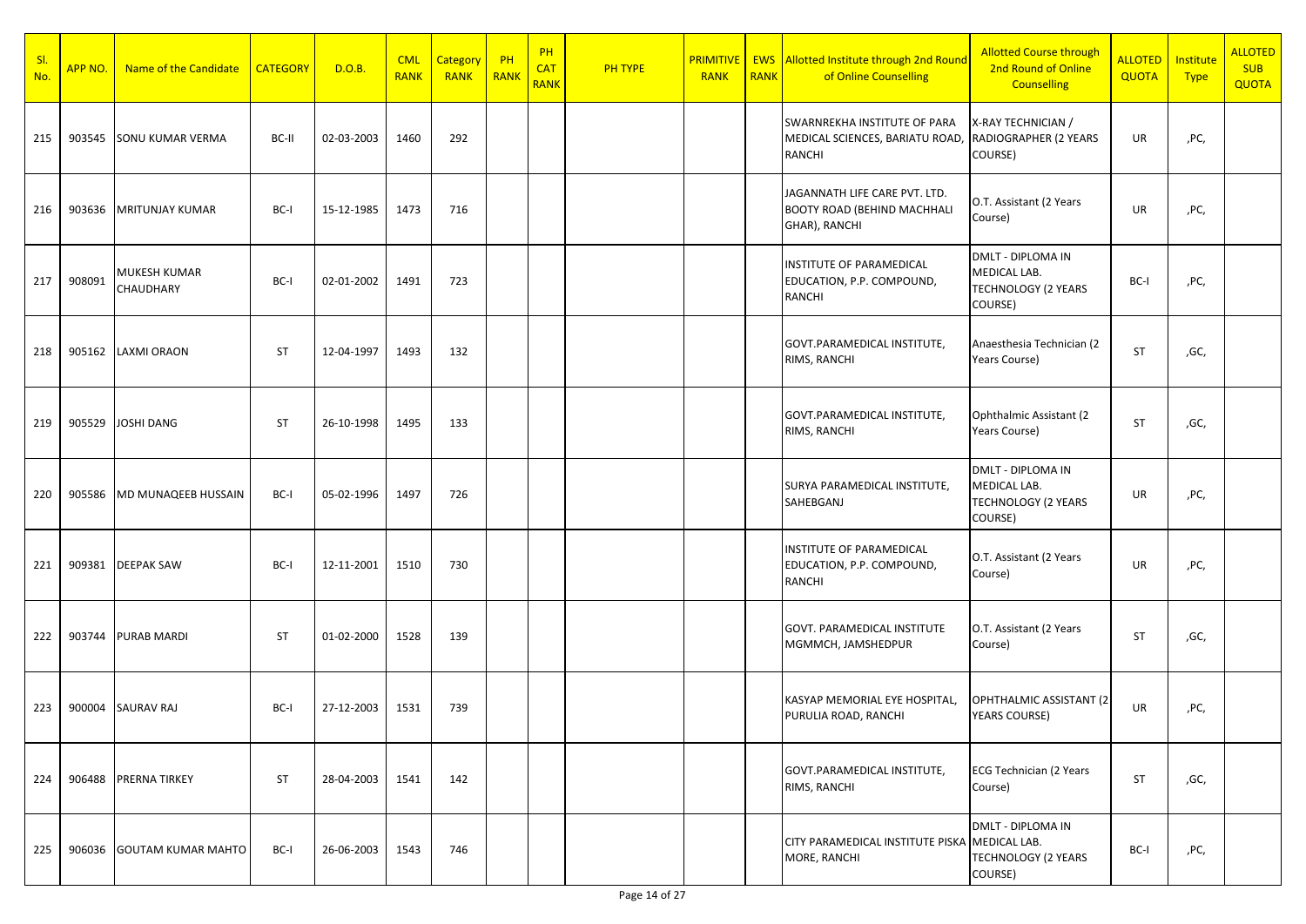| <u>sl.</u><br>No. | APP NO. | Name of the Candidate     | <b>CATEGORY</b> | D.O.B.     | <b>CML</b><br><b>RANK</b> | Category<br><b>RANK</b> | $P$ H<br>RANK | PH<br><b>CAT</b><br><b>RANK</b> | <b>PH TYPE</b> | <b>RANK</b> | <b>RANK</b> | <b>PRIMITIVE   EWS Allotted Institute through 2nd Round</b><br>of Online Counselling            | <b>Allotted Course through</b><br>2nd Round of Online<br><b>Counselling</b>       | ALLOTED<br>QUOTA | Institute<br><b>Type</b> | <b>ALLOTED</b><br><b>SUB</b><br><b>QUOTA</b> |
|-------------------|---------|---------------------------|-----------------|------------|---------------------------|-------------------------|---------------|---------------------------------|----------------|-------------|-------------|-------------------------------------------------------------------------------------------------|-----------------------------------------------------------------------------------|------------------|--------------------------|----------------------------------------------|
| 215               | 903545  | <b>SONU KUMAR VERMA</b>   | BC-II           | 02-03-2003 | 1460                      | 292                     |               |                                 |                |             |             | SWARNREKHA INSTITUTE OF PARA<br>MEDICAL SCIENCES, BARIATU ROAD, RADIOGRAPHER (2 YEARS<br>RANCHI | X-RAY TECHNICIAN /<br>COURSE)                                                     | UR               | ,PC,                     |                                              |
| 216               | 903636  | <b>MRITUNJAY KUMAR</b>    | BC-I            | 15-12-1985 | 1473                      | 716                     |               |                                 |                |             |             | JAGANNATH LIFE CARE PVT. LTD.<br><b>BOOTY ROAD (BEHIND MACHHALI</b><br>GHAR), RANCHI            | O.T. Assistant (2 Years<br>Course)                                                | UR               | ,PC,                     |                                              |
| 217               | 908091  | MUKESH KUMAR<br>CHAUDHARY | BC-I            | 02-01-2002 | 1491                      | 723                     |               |                                 |                |             |             | <b>INSTITUTE OF PARAMEDICAL</b><br>EDUCATION, P.P. COMPOUND,<br>RANCHI                          | <b>DMLT - DIPLOMA IN</b><br>MEDICAL LAB.<br><b>TECHNOLOGY (2 YEARS</b><br>COURSE) | BC-I             | ,PC,                     |                                              |
| 218               | 905162  | <b>LAXMI ORAON</b>        | ST              | 12-04-1997 | 1493                      | 132                     |               |                                 |                |             |             | GOVT.PARAMEDICAL INSTITUTE,<br>RIMS, RANCHI                                                     | Anaesthesia Technician (2<br>Years Course)                                        | <b>ST</b>        | ,GC,                     |                                              |
| 219               | 905529  | JOSHI DANG                | ST              | 26-10-1998 | 1495                      | 133                     |               |                                 |                |             |             | GOVT.PARAMEDICAL INSTITUTE,<br>RIMS, RANCHI                                                     | Ophthalmic Assistant (2)<br>Years Course)                                         | ST               | ,GC,                     |                                              |
| 220               | 905586  | MD MUNAQEEB HUSSAIN       | BC-I            | 05-02-1996 | 1497                      | 726                     |               |                                 |                |             |             | SURYA PARAMEDICAL INSTITUTE,<br>SAHEBGANJ                                                       | <b>DMLT - DIPLOMA IN</b><br>MEDICAL LAB.<br><b>TECHNOLOGY (2 YEARS</b><br>COURSE) | UR               | ,PC,                     |                                              |
| 221               | 909381  | <b>DEEPAK SAW</b>         | BC-I            | 12-11-2001 | 1510                      | 730                     |               |                                 |                |             |             | INSTITUTE OF PARAMEDICAL<br>EDUCATION, P.P. COMPOUND,<br>RANCHI                                 | O.T. Assistant (2 Years<br>Course)                                                | UR               | ,PC,                     |                                              |
| 222               | 903744  | <b>PURAB MARDI</b>        | ST              | 01-02-2000 | 1528                      | 139                     |               |                                 |                |             |             | GOVT. PARAMEDICAL INSTITUTE<br>MGMMCH, JAMSHEDPUR                                               | O.T. Assistant (2 Years<br>Course)                                                | ST               | ,GC,                     |                                              |
| 223               | 900004  | <b>SAURAV RAJ</b>         | BC-I            | 27-12-2003 | 1531                      | 739                     |               |                                 |                |             |             | KASYAP MEMORIAL EYE HOSPITAL,<br>PURULIA ROAD, RANCHI                                           | OPHTHALMIC ASSISTANT (2)<br><b>YEARS COURSE)</b>                                  | UR               | ,PC,                     |                                              |
| 224               | 906488  | <b>PRERNA TIRKEY</b>      | <b>ST</b>       | 28-04-2003 | 1541                      | 142                     |               |                                 |                |             |             | GOVT.PARAMEDICAL INSTITUTE,<br>RIMS, RANCHI                                                     | <b>ECG Technician (2 Years</b><br>Course)                                         | <b>ST</b>        | ,GC,                     |                                              |
| 225               | 906036  | <b>GOUTAM KUMAR MAHTO</b> | BC-I            | 26-06-2003 | 1543                      | 746                     |               |                                 |                |             |             | CITY PARAMEDICAL INSTITUTE PISKA MEDICAL LAB.<br>MORE, RANCHI                                   | DMLT - DIPLOMA IN<br><b>TECHNOLOGY (2 YEARS</b><br>COURSE)                        | BC-I             | ,PC,                     |                                              |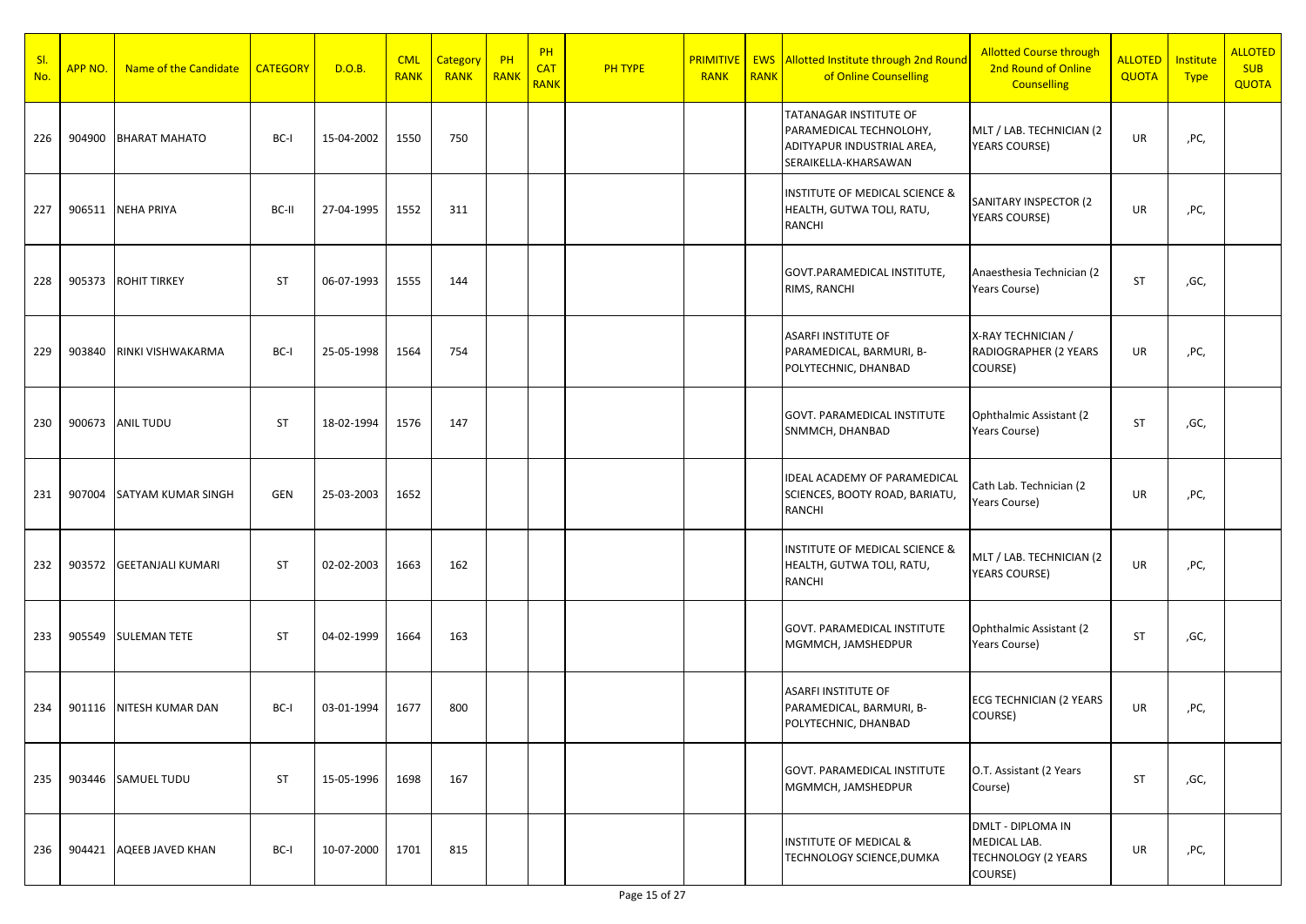| SI.<br>No. | APP NO. | Name of the Candidate     | <b>CATEGORY</b> | D.O.B.     | <b>CML</b><br><b>RANK</b> | Category<br>RANK | PH<br>RANK | PH<br><b>CAT</b><br><b>RANK</b> | <b>PH TYPE</b> | <b>PRIMITIVE</b><br><b>RANK</b> | <b>RANK</b> | <b>EWS</b> Allotted Institute through 2nd Round<br>of Online Counselling                                | <b>Allotted Course through</b><br>2nd Round of Online<br><b>Counselling</b> | <b>ALLOTED</b><br>QUOTA | Institute<br><b>Type</b> | <b>ALLOTED</b><br><b>SUB</b><br>QUOTA |
|------------|---------|---------------------------|-----------------|------------|---------------------------|------------------|------------|---------------------------------|----------------|---------------------------------|-------------|---------------------------------------------------------------------------------------------------------|-----------------------------------------------------------------------------|-------------------------|--------------------------|---------------------------------------|
| 226        | 904900  | <b>BHARAT MAHATO</b>      | BC-I            | 15-04-2002 | 1550                      | 750              |            |                                 |                |                                 |             | TATANAGAR INSTITUTE OF<br>PARAMEDICAL TECHNOLOHY,<br>ADITYAPUR INDUSTRIAL AREA,<br>SERAIKELLA-KHARSAWAN | MLT / LAB. TECHNICIAN (2<br>YEARS COURSE)                                   | UR                      | ,PC,                     |                                       |
| 227        |         | 906511 NEHA PRIYA         | BC-II           | 27-04-1995 | 1552                      | 311              |            |                                 |                |                                 |             | <b>INSTITUTE OF MEDICAL SCIENCE &amp;</b><br>HEALTH, GUTWA TOLI, RATU,<br>RANCHI                        | SANITARY INSPECTOR (2<br><b>YEARS COURSE)</b>                               | UR                      | ,PC,                     |                                       |
| 228        | 905373  | <b>ROHIT TIRKEY</b>       | <b>ST</b>       | 06-07-1993 | 1555                      | 144              |            |                                 |                |                                 |             | GOVT.PARAMEDICAL INSTITUTE,<br>RIMS, RANCHI                                                             | Anaesthesia Technician (2<br>Years Course)                                  | <b>ST</b>               | ,GC,                     |                                       |
| 229        | 903840  | RINKI VISHWAKARMA         | BC-I            | 25-05-1998 | 1564                      | 754              |            |                                 |                |                                 |             | <b>ASARFI INSTITUTE OF</b><br>PARAMEDICAL, BARMURI, B-<br>POLYTECHNIC, DHANBAD                          | X-RAY TECHNICIAN /<br>RADIOGRAPHER (2 YEARS<br>COURSE)                      | UR                      | ,PC,                     |                                       |
| 230        |         | 900673 ANIL TUDU          | <b>ST</b>       | 18-02-1994 | 1576                      | 147              |            |                                 |                |                                 |             | <b>GOVT. PARAMEDICAL INSTITUTE</b><br>SNMMCH, DHANBAD                                                   | Ophthalmic Assistant (2<br>Years Course)                                    | ST                      | ,GC,                     |                                       |
| 231        | 907004  | <b>SATYAM KUMAR SINGH</b> | GEN             | 25-03-2003 | 1652                      |                  |            |                                 |                |                                 |             | <b>IDEAL ACADEMY OF PARAMEDICAL</b><br>SCIENCES, BOOTY ROAD, BARIATU,<br><b>RANCHI</b>                  | Cath Lab. Technician (2<br>Years Course)                                    | UR                      | ,PC,                     |                                       |
| 232        | 903572  | <b>GEETANJALI KUMARI</b>  | <b>ST</b>       | 02-02-2003 | 1663                      | 162              |            |                                 |                |                                 |             | INSTITUTE OF MEDICAL SCIENCE &<br>HEALTH, GUTWA TOLI, RATU,<br>RANCHI                                   | MLT / LAB. TECHNICIAN (2<br><b>YEARS COURSE)</b>                            | UR                      | ,PC,                     |                                       |
| 233        |         | 905549 SULEMAN TETE       | <b>ST</b>       | 04-02-1999 | 1664                      | 163              |            |                                 |                |                                 |             | <b>GOVT. PARAMEDICAL INSTITUTE</b><br>MGMMCH, JAMSHEDPUR                                                | Ophthalmic Assistant (2<br>Years Course)                                    | ST                      | ,GC,                     |                                       |
| 234        | 901116  | NITESH KUMAR DAN          | BC-I            | 03-01-1994 | 1677                      | 800              |            |                                 |                |                                 |             | <b>ASARFI INSTITUTE OF</b><br>PARAMEDICAL, BARMURI, B-<br>POLYTECHNIC, DHANBAD                          | <b>ECG TECHNICIAN (2 YEARS</b><br>COURSE)                                   | UR                      | ,PC,                     |                                       |
| 235        |         | 903446 SAMUEL TUDU        | ST              | 15-05-1996 | 1698                      | 167              |            |                                 |                |                                 |             | <b>GOVT. PARAMEDICAL INSTITUTE</b><br>MGMMCH, JAMSHEDPUR                                                | O.T. Assistant (2 Years<br>Course)                                          | ST                      | ,GC,                     |                                       |
| 236        | 904421  | AQEEB JAVED KHAN          | BC-I            | 10-07-2000 | 1701                      | 815              |            |                                 |                |                                 |             | <b>INSTITUTE OF MEDICAL &amp;</b><br>TECHNOLOGY SCIENCE, DUMKA                                          | DMLT - DIPLOMA IN<br>MEDICAL LAB.<br><b>TECHNOLOGY (2 YEARS</b><br>COURSE)  | UR                      | ,PC,                     |                                       |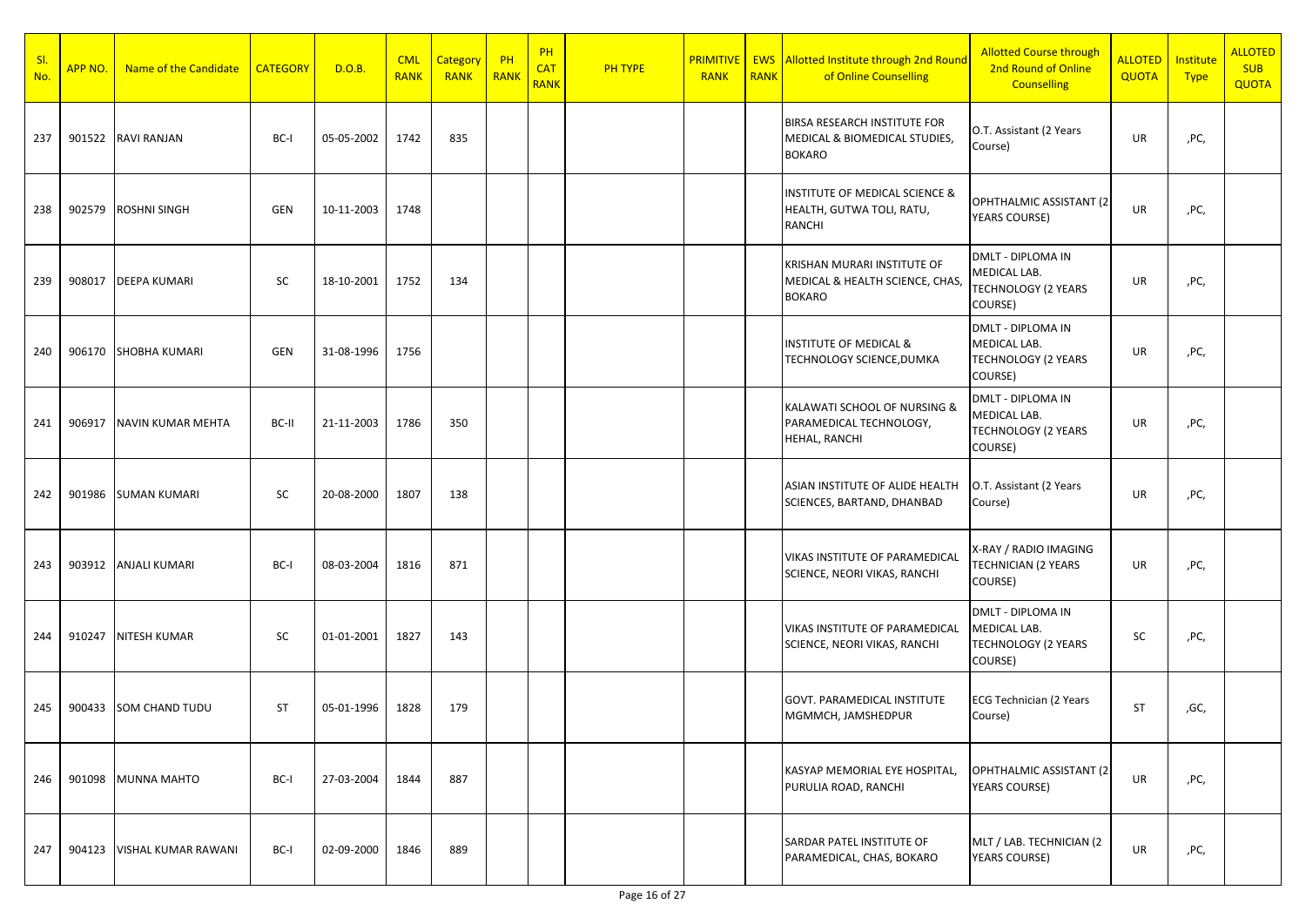| SI.<br>No. | APP NO. | Name of the Candidate    | <b>CATEGORY</b> | D.O.B.     | <b>CML</b><br><b>RANK</b> | Category<br><b>RANK</b> | $P$ H<br>RANK | PH<br><b>CAT</b><br><b>RANK</b> | <b>PH TYPE</b> | <b>RANK</b> | <b>RANK</b> | <b>PRIMITIVE   EWS Allotted Institute through 2nd Round</b><br>of Online Counselling | <b>Allotted Course through</b><br>2nd Round of Online<br><b>Counselling</b> | <b>ALLOTED</b><br><b>QUOTA</b> | Institute<br><b>Type</b> | <b>ALLOTED</b><br><b>SUB</b><br><b>QUOTA</b> |
|------------|---------|--------------------------|-----------------|------------|---------------------------|-------------------------|---------------|---------------------------------|----------------|-------------|-------------|--------------------------------------------------------------------------------------|-----------------------------------------------------------------------------|--------------------------------|--------------------------|----------------------------------------------|
| 237        |         | 901522 RAVI RANJAN       | BC-I            | 05-05-2002 | 1742                      | 835                     |               |                                 |                |             |             | BIRSA RESEARCH INSTITUTE FOR<br>MEDICAL & BIOMEDICAL STUDIES,<br><b>BOKARO</b>       | O.T. Assistant (2 Years<br>Course)                                          | UR                             | ,PC,                     |                                              |
| 238        | 902579  | <b>ROSHNI SINGH</b>      | GEN             | 10-11-2003 | 1748                      |                         |               |                                 |                |             |             | INSTITUTE OF MEDICAL SCIENCE &<br>HEALTH, GUTWA TOLI, RATU,<br>RANCHI                | OPHTHALMIC ASSISTANT (2<br>YEARS COURSE)                                    | UR                             | ,PC,                     |                                              |
| 239        | 908017  | <b>DEEPA KUMARI</b>      | SC              | 18-10-2001 | 1752                      | 134                     |               |                                 |                |             |             | KRISHAN MURARI INSTITUTE OF<br>MEDICAL & HEALTH SCIENCE, CHAS,<br><b>BOKARO</b>      | DMLT - DIPLOMA IN<br>MEDICAL LAB.<br>TECHNOLOGY (2 YEARS<br>COURSE)         | UR                             | ,PC,                     |                                              |
| 240        |         | 906170 SHOBHA KUMARI     | GEN             | 31-08-1996 | 1756                      |                         |               |                                 |                |             |             | <b>INSTITUTE OF MEDICAL &amp;</b><br>TECHNOLOGY SCIENCE, DUMKA                       | DMLT - DIPLOMA IN<br>MEDICAL LAB.<br><b>TECHNOLOGY (2 YEARS</b><br>COURSE)  | UR                             | ,PC,                     |                                              |
| 241        | 906917  | <b>NAVIN KUMAR MEHTA</b> | BC-II           | 21-11-2003 | 1786                      | 350                     |               |                                 |                |             |             | KALAWATI SCHOOL OF NURSING &<br>PARAMEDICAL TECHNOLOGY,<br>HEHAL, RANCHI             | DMLT - DIPLOMA IN<br>MEDICAL LAB.<br><b>TECHNOLOGY (2 YEARS</b><br>COURSE)  | UR                             | ,PC,                     |                                              |
| 242        | 901986  | <b>SUMAN KUMARI</b>      | <b>SC</b>       | 20-08-2000 | 1807                      | 138                     |               |                                 |                |             |             | ASIAN INSTITUTE OF ALIDE HEALTH<br>SCIENCES, BARTAND, DHANBAD                        | O.T. Assistant (2 Years<br>Course)                                          | UR                             | ,PC,                     |                                              |
| 243        |         | 903912 ANJALI KUMARI     | BC-I            | 08-03-2004 | 1816                      | 871                     |               |                                 |                |             |             | VIKAS INSTITUTE OF PARAMEDICAL<br>SCIENCE, NEORI VIKAS, RANCHI                       | X-RAY / RADIO IMAGING<br><b>TECHNICIAN (2 YEARS</b><br>COURSE)              | UR                             | ,PC,                     |                                              |
| 244        | 910247  | <b>NITESH KUMAR</b>      | <b>SC</b>       | 01-01-2001 | 1827                      | 143                     |               |                                 |                |             |             | VIKAS INSTITUTE OF PARAMEDICAL<br>SCIENCE, NEORI VIKAS, RANCHI                       | DMLT - DIPLOMA IN<br>MEDICAL LAB.<br><b>TECHNOLOGY (2 YEARS</b><br>COURSE)  | <b>SC</b>                      | ,PC,                     |                                              |
| 245        | 900433  | SOM CHAND TUDU           | <b>ST</b>       | 05-01-1996 | 1828                      | 179                     |               |                                 |                |             |             | GOVT. PARAMEDICAL INSTITUTE<br>MGMMCH, JAMSHEDPUR                                    | <b>ECG Technician (2 Years</b><br>Course)                                   | <b>ST</b>                      | ,GC,                     |                                              |
| 246        | 901098  | MUNNA MAHTO              | BC-I            | 27-03-2004 | 1844                      | 887                     |               |                                 |                |             |             | KASYAP MEMORIAL EYE HOSPITAL,<br>PURULIA ROAD, RANCHI                                | OPHTHALMIC ASSISTANT (2<br>YEARS COURSE)                                    | <b>UR</b>                      | ,PC,                     |                                              |
| 247        | 904123  | VISHAL KUMAR RAWANI      | BC-I            | 02-09-2000 | 1846                      | 889                     |               |                                 |                |             |             | SARDAR PATEL INSTITUTE OF<br>PARAMEDICAL, CHAS, BOKARO                               | MLT / LAB. TECHNICIAN (2<br><b>YEARS COURSE)</b>                            | UR                             | ,PC,                     |                                              |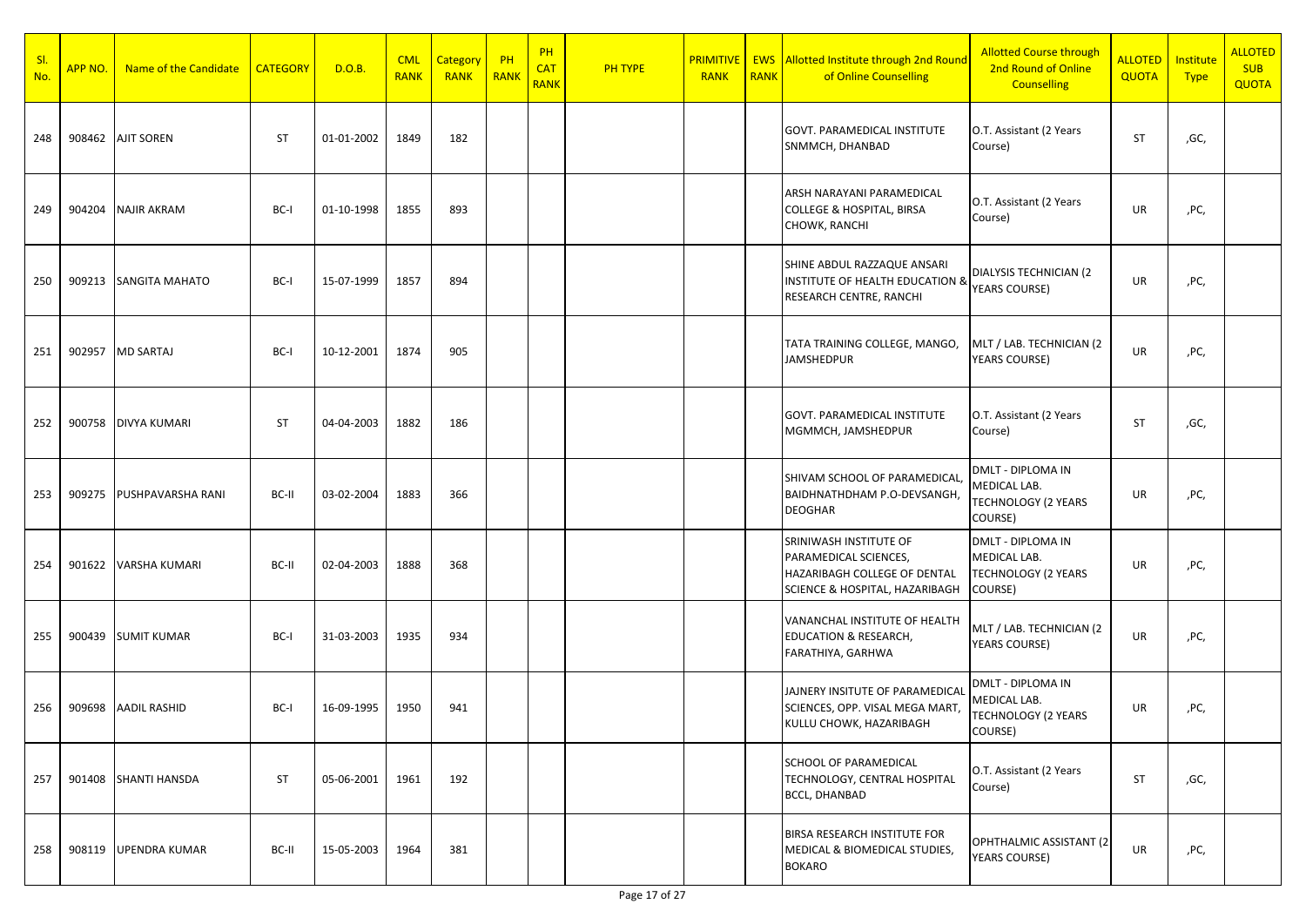| SI.<br>No. | APP NO. | Name of the Candidate    | <b>CATEGORY</b> | D.O.B.     | <b>CML</b><br><b>RANK</b> | <b>Category</b><br><b>RANK</b> | PH<br>RANK | PH<br><b>CAT</b><br><b>RANK</b> | <b>PH TYPE</b> | <b>PRIMITIVE</b><br><b>RANK</b> | <b>RANK</b> | <b>EWS</b> Allotted Institute through 2nd Round<br>of Online Counselling                                          | <b>Allotted Course through</b><br>2nd Round of Online<br><b>Counselling</b> | <b>ALLOTED</b><br>QUOTA | Institute<br><b>Type</b> | <b>ALLOTED</b><br><b>SUB</b><br><b>QUOTA</b> |
|------------|---------|--------------------------|-----------------|------------|---------------------------|--------------------------------|------------|---------------------------------|----------------|---------------------------------|-------------|-------------------------------------------------------------------------------------------------------------------|-----------------------------------------------------------------------------|-------------------------|--------------------------|----------------------------------------------|
| 248        |         | 908462 AJIT SOREN        | <b>ST</b>       | 01-01-2002 | 1849                      | 182                            |            |                                 |                |                                 |             | GOVT. PARAMEDICAL INSTITUTE<br>SNMMCH, DHANBAD                                                                    | O.T. Assistant (2 Years<br>Course)                                          | <b>ST</b>               | ,GC,                     |                                              |
| 249        | 904204  | <b>NAJIR AKRAM</b>       | BC-I            | 01-10-1998 | 1855                      | 893                            |            |                                 |                |                                 |             | ARSH NARAYANI PARAMEDICAL<br><b>COLLEGE &amp; HOSPITAL, BIRSA</b><br>CHOWK, RANCHI                                | O.T. Assistant (2 Years<br>Course)                                          | UR                      | ,PC,                     |                                              |
| 250        | 909213  | <b>SANGITA MAHATO</b>    | BC-I            | 15-07-1999 | 1857                      | 894                            |            |                                 |                |                                 |             | SHINE ABDUL RAZZAQUE ANSARI<br><b>INSTITUTE OF HEALTH EDUCATION &amp;</b><br>RESEARCH CENTRE, RANCHI              | DIALYSIS TECHNICIAN (2<br><b>YEARS COURSE)</b>                              | UR                      | ,PC,                     |                                              |
| 251        |         | 902957 MD SARTAJ         | BC-I            | 10-12-2001 | 1874                      | 905                            |            |                                 |                |                                 |             | TATA TRAINING COLLEGE, MANGO,<br><b>JAMSHEDPUR</b>                                                                | MLT / LAB. TECHNICIAN (2<br><b>YEARS COURSE)</b>                            | UR                      | ,PC,                     |                                              |
| 252        | 900758  | <b>DIVYA KUMARI</b>      | <b>ST</b>       | 04-04-2003 | 1882                      | 186                            |            |                                 |                |                                 |             | <b>GOVT. PARAMEDICAL INSTITUTE</b><br>MGMMCH, JAMSHEDPUR                                                          | O.T. Assistant (2 Years<br>Course)                                          | ST                      | ,GC,                     |                                              |
| 253        | 909275  | <b>PUSHPAVARSHA RANI</b> | BC-II           | 03-02-2004 | 1883                      | 366                            |            |                                 |                |                                 |             | SHIVAM SCHOOL OF PARAMEDICAL,<br>BAIDHNATHDHAM P.O-DEVSANGH,<br><b>DEOGHAR</b>                                    | DMLT - DIPLOMA IN<br>MEDICAL LAB.<br>TECHNOLOGY (2 YEARS<br>COURSE)         | UR                      | ,PC,                     |                                              |
| 254        |         | 901622 VARSHA KUMARI     | BC-II           | 02-04-2003 | 1888                      | 368                            |            |                                 |                |                                 |             | SRINIWASH INSTITUTE OF<br>PARAMEDICAL SCIENCES,<br>HAZARIBAGH COLLEGE OF DENTAL<br>SCIENCE & HOSPITAL, HAZARIBAGH | DMLT - DIPLOMA IN<br>MEDICAL LAB.<br><b>TECHNOLOGY (2 YEARS</b><br>COURSE)  | UR                      | ,PC,                     |                                              |
| 255        | 900439  | <b>SUMIT KUMAR</b>       | BC-I            | 31-03-2003 | 1935                      | 934                            |            |                                 |                |                                 |             | VANANCHAL INSTITUTE OF HEALTH<br><b>EDUCATION &amp; RESEARCH,</b><br>FARATHIYA, GARHWA                            | MLT / LAB. TECHNICIAN (2<br><b>YEARS COURSE)</b>                            | UR                      | ,PC,                     |                                              |
| 256        | 909698  | <b>AADIL RASHID</b>      | BC-I            | 16-09-1995 | 1950                      | 941                            |            |                                 |                |                                 |             | JAJNERY INSITUTE OF PARAMEDICAL<br>SCIENCES, OPP. VISAL MEGA MART,<br>KULLU CHOWK, HAZARIBAGH                     | DMLT - DIPLOMA IN<br>MEDICAL LAB.<br><b>TECHNOLOGY (2 YEARS</b><br>COURSE)  | UR                      | ,PC,                     |                                              |
| 257        |         | 901408 SHANTI HANSDA     | ST              | 05-06-2001 | 1961                      | 192                            |            |                                 |                |                                 |             | <b>SCHOOL OF PARAMEDICAL</b><br>TECHNOLOGY, CENTRAL HOSPITAL<br><b>BCCL, DHANBAD</b>                              | O.T. Assistant (2 Years<br>Course)                                          | ST                      | ,GC,                     |                                              |
| 258        |         | 908119 UPENDRA KUMAR     | BC-II           | 15-05-2003 | 1964                      | 381                            |            |                                 |                |                                 |             | <b>BIRSA RESEARCH INSTITUTE FOR</b><br>MEDICAL & BIOMEDICAL STUDIES,<br><b>BOKARO</b>                             | OPHTHALMIC ASSISTANT (2<br><b>YEARS COURSE)</b>                             | UR                      | ,PC,                     |                                              |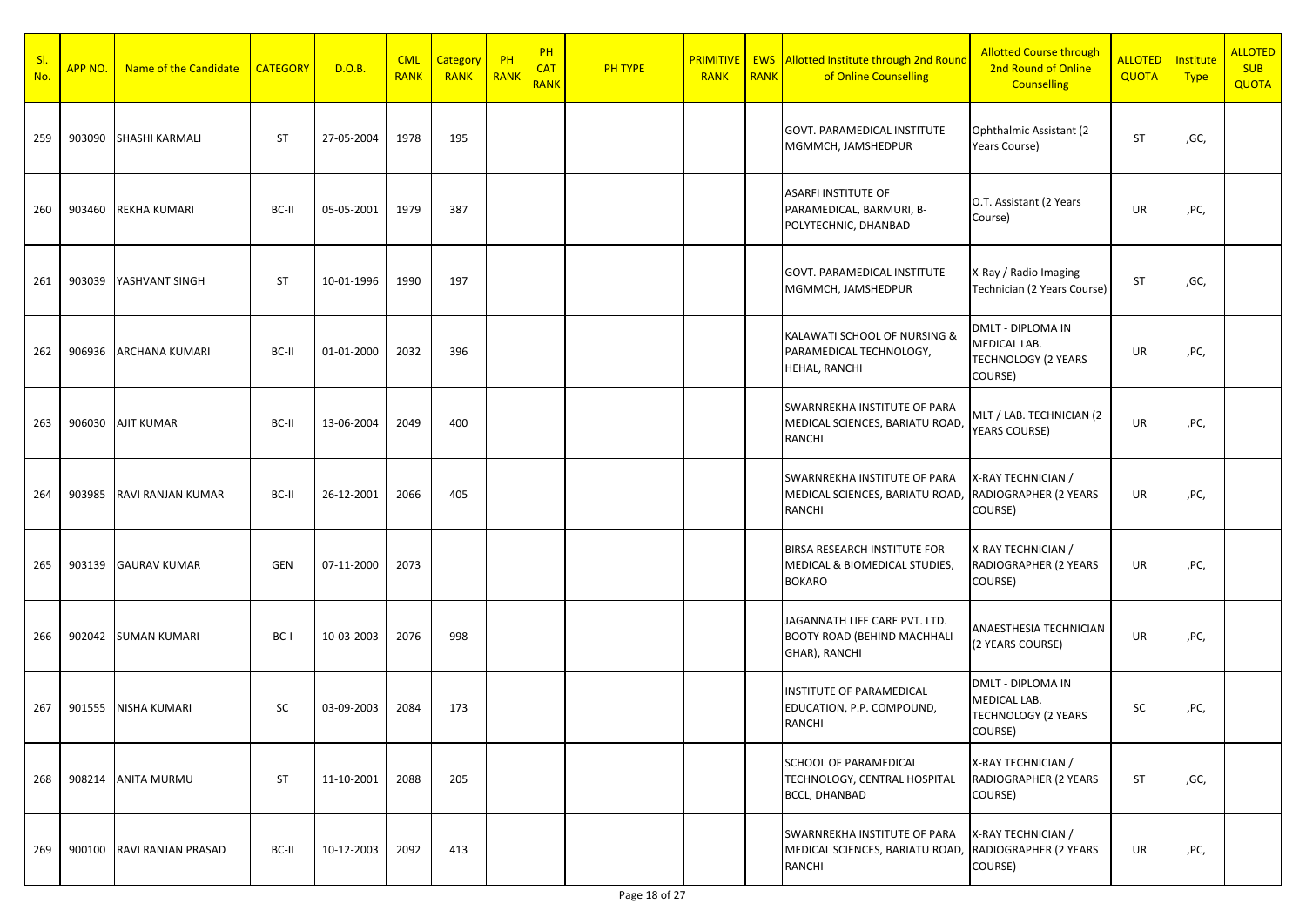| SI.<br>No. | APP NO. | Name of the Candidate     | <b>CATEGORY</b> | D.O.B.     | <b>CML</b><br><b>RANK</b> | Category<br><b>RANK</b> | PH<br>RANK | PH<br><b>CAT</b><br><b>RANK</b> | <b>PH TYPE</b> | <b>PRIMITIVE</b><br><b>RANK</b> | <b>RANK</b> | <b>EWS</b> Allotted Institute through 2nd Round<br>of Online Counselling                | <b>Allotted Course through</b><br>2nd Round of Online<br><b>Counselling</b> | <b>ALLOTED</b><br>QUOTA | Institute<br><b>Type</b> | <b>ALLOTED</b><br><b>SUB</b><br><b>QUOTA</b> |
|------------|---------|---------------------------|-----------------|------------|---------------------------|-------------------------|------------|---------------------------------|----------------|---------------------------------|-------------|-----------------------------------------------------------------------------------------|-----------------------------------------------------------------------------|-------------------------|--------------------------|----------------------------------------------|
| 259        | 903090  | <b>SHASHI KARMALI</b>     | <b>ST</b>       | 27-05-2004 | 1978                      | 195                     |            |                                 |                |                                 |             | <b>GOVT. PARAMEDICAL INSTITUTE</b><br>MGMMCH, JAMSHEDPUR                                | Ophthalmic Assistant (2)<br>Years Course)                                   | ST                      | ,GC,                     |                                              |
| 260        | 903460  | <b>REKHA KUMARI</b>       | BC-II           | 05-05-2001 | 1979                      | 387                     |            |                                 |                |                                 |             | <b>ASARFI INSTITUTE OF</b><br>PARAMEDICAL, BARMURI, B-<br>POLYTECHNIC, DHANBAD          | O.T. Assistant (2 Years<br>Course)                                          | UR                      | ,PC,                     |                                              |
| 261        | 903039  | YASHVANT SINGH            | <b>ST</b>       | 10-01-1996 | 1990                      | 197                     |            |                                 |                |                                 |             | <b>GOVT. PARAMEDICAL INSTITUTE</b><br>MGMMCH, JAMSHEDPUR                                | X-Ray / Radio Imaging<br>Technician (2 Years Course)                        | ST                      | ,GC,                     |                                              |
| 262        |         | 906936 ARCHANA KUMARI     | BC-II           | 01-01-2000 | 2032                      | 396                     |            |                                 |                |                                 |             | KALAWATI SCHOOL OF NURSING &<br>PARAMEDICAL TECHNOLOGY,<br>HEHAL, RANCHI                | DMLT - DIPLOMA IN<br>MEDICAL LAB.<br><b>TECHNOLOGY (2 YEARS</b><br>COURSE)  | UR                      | ,PC,                     |                                              |
| 263        |         | 906030 AJIT KUMAR         | BC-II           | 13-06-2004 | 2049                      | 400                     |            |                                 |                |                                 |             | <b>SWARNREKHA INSTITUTE OF PARA</b><br>MEDICAL SCIENCES, BARIATU ROAD,<br><b>RANCHI</b> | MLT / LAB. TECHNICIAN (2<br><b>YEARS COURSE)</b>                            | UR                      | ,PC,                     |                                              |
| 264        | 903985  | RAVI RANJAN KUMAR         | BC-II           | 26-12-2001 | 2066                      | 405                     |            |                                 |                |                                 |             | <b>SWARNREKHA INSTITUTE OF PARA</b><br>MEDICAL SCIENCES, BARIATU ROAD,<br>RANCHI        | X-RAY TECHNICIAN /<br>RADIOGRAPHER (2 YEARS<br>COURSE)                      | UR                      | ,PC,                     |                                              |
| 265        | 903139  | <b>GAURAV KUMAR</b>       | <b>GEN</b>      | 07-11-2000 | 2073                      |                         |            |                                 |                |                                 |             | BIRSA RESEARCH INSTITUTE FOR<br>MEDICAL & BIOMEDICAL STUDIES,<br><b>BOKARO</b>          | X-RAY TECHNICIAN /<br>RADIOGRAPHER (2 YEARS<br>COURSE)                      | UR                      | ,PC,                     |                                              |
| 266        | 902042  | <b>SUMAN KUMARI</b>       | BC-I            | 10-03-2003 | 2076                      | 998                     |            |                                 |                |                                 |             | JAGANNATH LIFE CARE PVT. LTD.<br><b>BOOTY ROAD (BEHIND MACHHALI</b><br>GHAR), RANCHI    | ANAESTHESIA TECHNICIAN<br>(2 YEARS COURSE)                                  | UR                      | ,PC,                     |                                              |
| 267        | 901555  | NISHA KUMARI              | SC              | 03-09-2003 | 2084                      | 173                     |            |                                 |                |                                 |             | INSTITUTE OF PARAMEDICAL<br>EDUCATION, P.P. COMPOUND,<br><b>RANCHI</b>                  | DMLT - DIPLOMA IN<br>MEDICAL LAB.<br><b>TECHNOLOGY (2 YEARS</b><br>COURSE)  | SC                      | ,PC,                     |                                              |
| 268        |         | 908214 ANITA MURMU        | ST              | 11-10-2001 | 2088                      | 205                     |            |                                 |                |                                 |             | <b>SCHOOL OF PARAMEDICAL</b><br>TECHNOLOGY, CENTRAL HOSPITAL<br><b>BCCL, DHANBAD</b>    | X-RAY TECHNICIAN /<br>RADIOGRAPHER (2 YEARS<br>COURSE)                      | ST                      | ,GC,                     |                                              |
| 269        |         | 900100 RAVI RANJAN PRASAD | BC-II           | 10-12-2003 | 2092                      | 413                     |            |                                 |                |                                 |             | <b>SWARNREKHA INSTITUTE OF PARA</b><br>MEDICAL SCIENCES, BARIATU ROAD,<br>RANCHI        | X-RAY TECHNICIAN /<br>RADIOGRAPHER (2 YEARS<br>COURSE)                      | UR                      | ,PC,                     |                                              |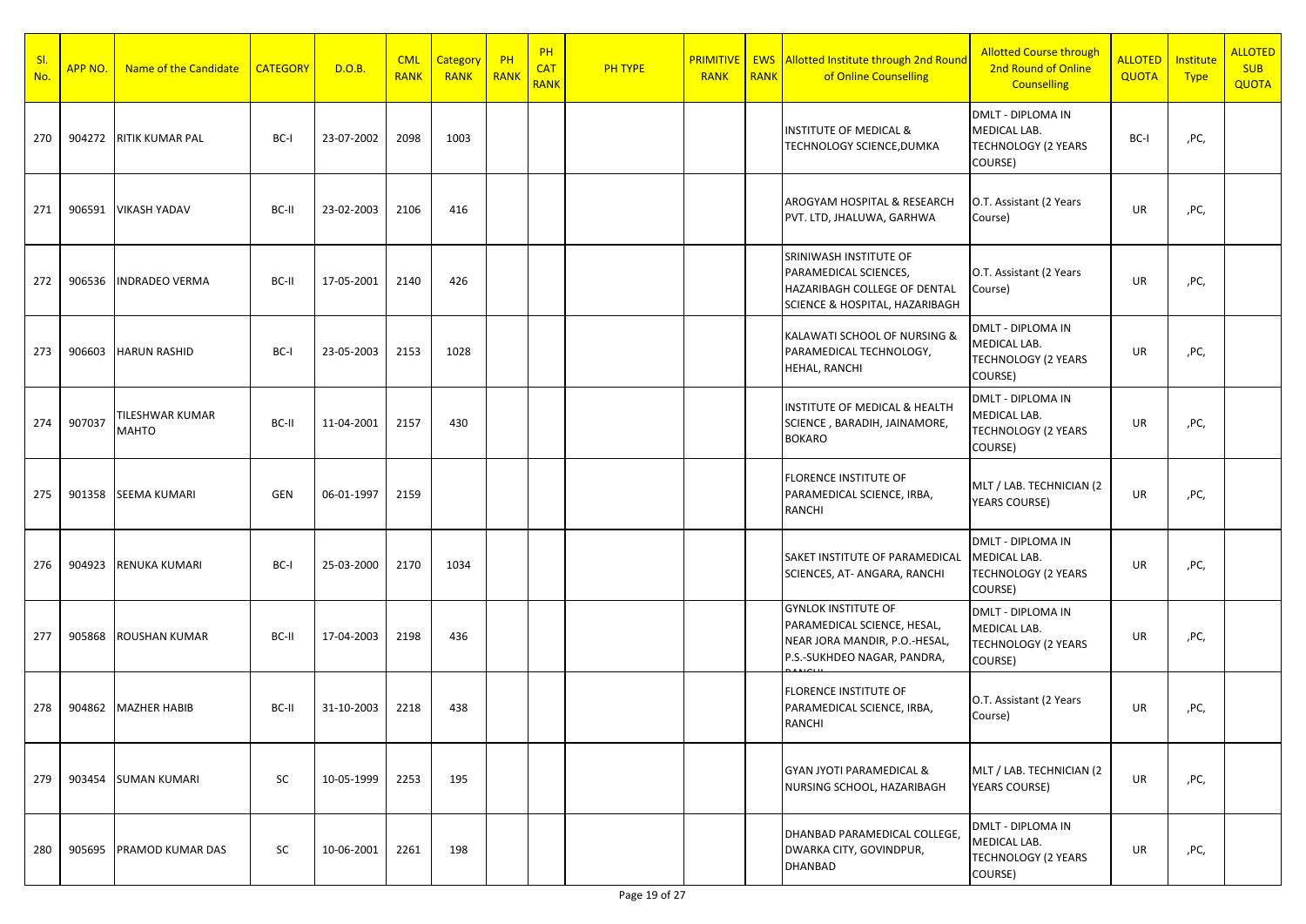| SI.<br>No. | APP NO. | Name of the Candidate    | <b>CATEGORY</b> | D.O.B.     | <b>CML</b><br><b>RANK</b> | Category<br><b>RANK</b> | $P$ H<br>RANK | PH<br><b>CAT</b><br><b>RANK</b> | <b>PH TYPE</b> | <b>PRIMITIVE</b><br><b>RANK</b> | <b>RANK</b> | <b>EWS</b> Allotted Institute through 2nd Round<br>of Online Counselling                                                  | <b>Allotted Course through</b><br>2nd Round of Online<br><b>Counselling</b>       | <b>ALLOTED</b><br><b>QUOTA</b> | Institute<br><b>Type</b> | <b>ALLOTED</b><br><b>SUB</b><br><b>QUOTA</b> |
|------------|---------|--------------------------|-----------------|------------|---------------------------|-------------------------|---------------|---------------------------------|----------------|---------------------------------|-------------|---------------------------------------------------------------------------------------------------------------------------|-----------------------------------------------------------------------------------|--------------------------------|--------------------------|----------------------------------------------|
| 270        | 904272  | <b>RITIK KUMAR PAL</b>   | BC-I            | 23-07-2002 | 2098                      | 1003                    |               |                                 |                |                                 |             | <b>INSTITUTE OF MEDICAL &amp;</b><br>TECHNOLOGY SCIENCE, DUMKA                                                            | DMLT - DIPLOMA IN<br>MEDICAL LAB.<br><b>TECHNOLOGY (2 YEARS</b><br>COURSE)        | BC-I                           | ,PC,                     |                                              |
| 271        | 906591  | <b>VIKASH YADAV</b>      | BC-II           | 23-02-2003 | 2106                      | 416                     |               |                                 |                |                                 |             | AROGYAM HOSPITAL & RESEARCH<br>PVT. LTD, JHALUWA, GARHWA                                                                  | O.T. Assistant (2 Years<br>Course)                                                | UR                             | ,PC,                     |                                              |
| 272        | 906536  | <b>INDRADEO VERMA</b>    | BC-II           | 17-05-2001 | 2140                      | 426                     |               |                                 |                |                                 |             | SRINIWASH INSTITUTE OF<br><b>PARAMEDICAL SCIENCES,</b><br>HAZARIBAGH COLLEGE OF DENTAL<br>SCIENCE & HOSPITAL, HAZARIBAGH  | O.T. Assistant (2 Years<br>Course)                                                | UR                             | ,PC,                     |                                              |
| 273        | 906603  | <b>HARUN RASHID</b>      | BC-I            | 23-05-2003 | 2153                      | 1028                    |               |                                 |                |                                 |             | KALAWATI SCHOOL OF NURSING &<br>PARAMEDICAL TECHNOLOGY,<br><b>HEHAL, RANCHI</b>                                           | DMLT - DIPLOMA IN<br>MEDICAL LAB.<br><b>TECHNOLOGY (2 YEARS</b><br>COURSE)        | UR                             | ,PC,                     |                                              |
| 274        | 907037  | TILESHWAR KUMAR<br>MAHTO | BC-II           | 11-04-2001 | 2157                      | 430                     |               |                                 |                |                                 |             | <b>INSTITUTE OF MEDICAL &amp; HEALTH</b><br>SCIENCE, BARADIH, JAINAMORE,<br><b>BOKARO</b>                                 | DMLT - DIPLOMA IN<br>MEDICAL LAB.<br><b>TECHNOLOGY (2 YEARS</b><br>COURSE)        | UR                             | ,PC,                     |                                              |
| 275        | 901358  | <b>SEEMA KUMARI</b>      | <b>GEN</b>      | 06-01-1997 | 2159                      |                         |               |                                 |                |                                 |             | <b>FLORENCE INSTITUTE OF</b><br>PARAMEDICAL SCIENCE, IRBA,<br>RANCHI                                                      | MLT / LAB. TECHNICIAN (2<br>YEARS COURSE)                                         | UR                             | ,PC,                     |                                              |
| 276        | 904923  | RENUKA KUMARI            | BC-I            | 25-03-2000 | 2170                      | 1034                    |               |                                 |                |                                 |             | SAKET INSTITUTE OF PARAMEDICAL<br>SCIENCES, AT-ANGARA, RANCHI                                                             | <b>DMLT - DIPLOMA IN</b><br>MEDICAL LAB.<br><b>TECHNOLOGY (2 YEARS</b><br>COURSE) | UR                             | ,PC,                     |                                              |
| 277        | 905868  | <b>ROUSHAN KUMAR</b>     | BC-II           | 17-04-2003 | 2198                      | 436                     |               |                                 |                |                                 |             | <b>GYNLOK INSTITUTE OF</b><br>PARAMEDICAL SCIENCE, HESAL,<br>NEAR JORA MANDIR, P.O.-HESAL,<br>P.S.-SUKHDEO NAGAR, PANDRA, | <b>DMLT - DIPLOMA IN</b><br>MEDICAL LAB.<br><b>TECHNOLOGY (2 YEARS</b><br>COURSE) | UR                             | ,PC,                     |                                              |
| 278        | 904862  | <b>MAZHER HABIB</b>      | BC-II           | 31-10-2003 | 2218                      | 438                     |               |                                 |                |                                 |             | <b>FLORENCE INSTITUTE OF</b><br>PARAMEDICAL SCIENCE, IRBA,<br><b>RANCHI</b>                                               | O.T. Assistant (2 Years<br>Course)                                                | UR                             | ,PC,                     |                                              |
| 279        | 903454  | <b>SUMAN KUMARI</b>      | SC              | 10-05-1999 | 2253                      | 195                     |               |                                 |                |                                 |             | <b>GYAN JYOTI PARAMEDICAL &amp;</b><br>NURSING SCHOOL, HAZARIBAGH                                                         | MLT / LAB. TECHNICIAN (2<br>YEARS COURSE)                                         | UR                             | ,PC,                     |                                              |
| 280        | 905695  | PRAMOD KUMAR DAS         | SC              | 10-06-2001 | 2261                      | 198                     |               |                                 |                |                                 |             | DHANBAD PARAMEDICAL COLLEGE,<br>DWARKA CITY, GOVINDPUR,<br><b>DHANBAD</b>                                                 | <b>DMLT - DIPLOMA IN</b><br>MEDICAL LAB.<br><b>TECHNOLOGY (2 YEARS</b><br>COURSE) | UR                             | ,PC,                     |                                              |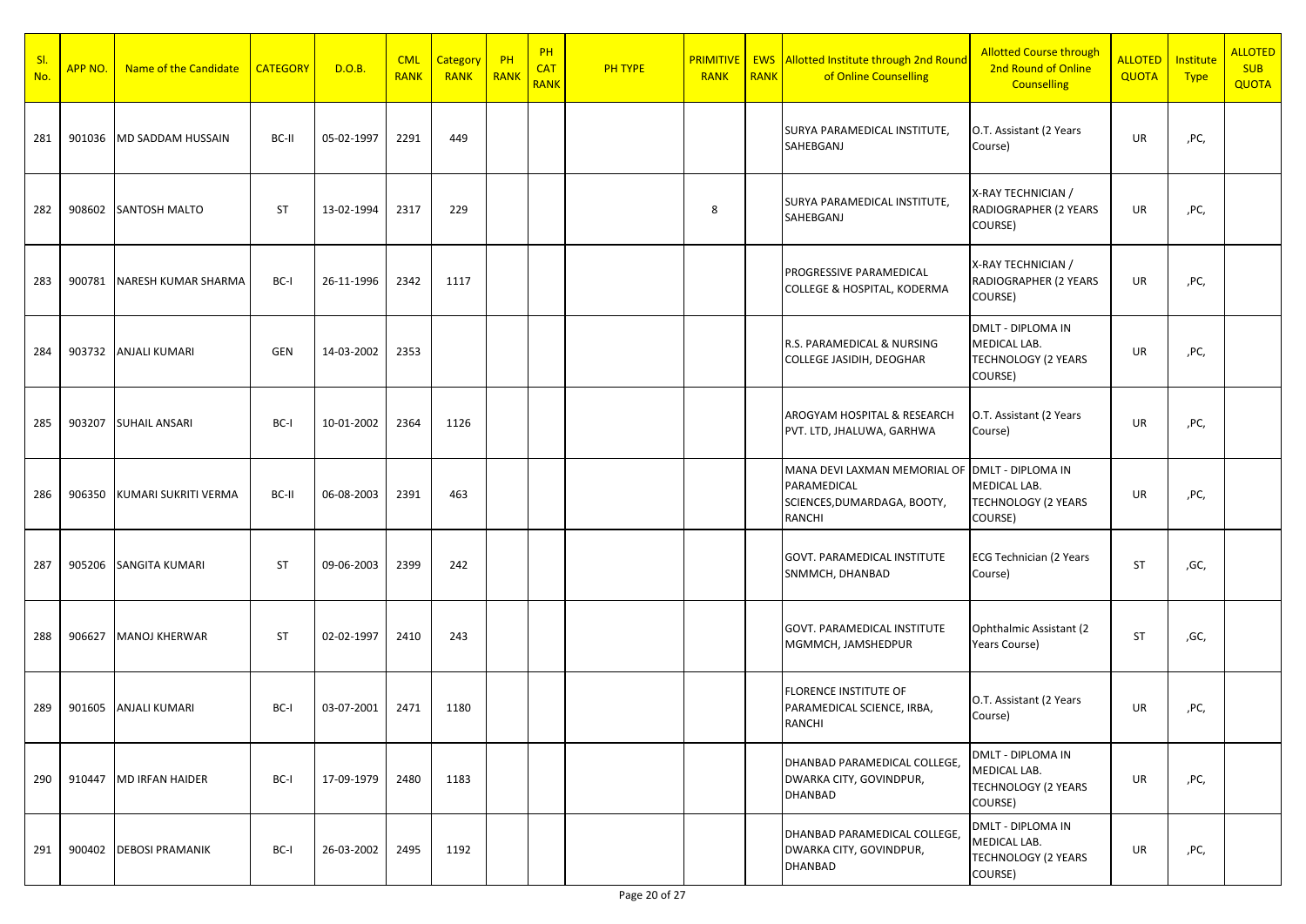| SI.<br>No. | APP NO. | Name of the Candidate  | <b>CATEGORY</b> | D.O.B.     | <b>CML</b><br><b>RANK</b> | Category<br><b>RANK</b> | $P$ H<br>RANK | PH<br><b>CAT</b><br><b>RANK</b> | <b>PH TYPE</b> | <b>RANK</b> | <b>RANK</b> | <b>PRIMITIVE   EWS Allotted Institute through 2nd Round</b><br>of Online Counselling | <b>Allotted Course through</b><br>2nd Round of Online<br><b>Counselling</b>       | <b>ALLOTED</b><br><b>QUOTA</b> | Institute<br><b>Type</b> | <b>ALLOTED</b><br><b>SUB</b><br><b>QUOTA</b> |
|------------|---------|------------------------|-----------------|------------|---------------------------|-------------------------|---------------|---------------------------------|----------------|-------------|-------------|--------------------------------------------------------------------------------------|-----------------------------------------------------------------------------------|--------------------------------|--------------------------|----------------------------------------------|
| 281        | 901036  | MD SADDAM HUSSAIN      | BC-II           | 05-02-1997 | 2291                      | 449                     |               |                                 |                |             |             | SURYA PARAMEDICAL INSTITUTE,<br>SAHEBGANJ                                            | O.T. Assistant (2 Years<br>Course)                                                | UR                             | ,PC,                     |                                              |
| 282        | 908602  | SANTOSH MALTO          | <b>ST</b>       | 13-02-1994 | 2317                      | 229                     |               |                                 |                | 8           |             | SURYA PARAMEDICAL INSTITUTE,<br>SAHEBGANJ                                            | X-RAY TECHNICIAN /<br>RADIOGRAPHER (2 YEARS<br>COURSE)                            | UR                             | ,PC,                     |                                              |
| 283        | 900781  | NARESH KUMAR SHARMA    | BC-I            | 26-11-1996 | 2342                      | 1117                    |               |                                 |                |             |             | PROGRESSIVE PARAMEDICAL<br>COLLEGE & HOSPITAL, KODERMA                               | X-RAY TECHNICIAN /<br>RADIOGRAPHER (2 YEARS<br>COURSE)                            | UR                             | ,PC,                     |                                              |
| 284        | 903732  | <b>ANJALI KUMARI</b>   | GEN             | 14-03-2002 | 2353                      |                         |               |                                 |                |             |             | R.S. PARAMEDICAL & NURSING<br>COLLEGE JASIDIH, DEOGHAR                               | <b>DMLT - DIPLOMA IN</b><br>MEDICAL LAB.<br><b>TECHNOLOGY (2 YEARS</b><br>COURSE) | UR                             | ,PC,                     |                                              |
| 285        | 903207  | <b>SUHAIL ANSARI</b>   | BC-I            | 10-01-2002 | 2364                      | 1126                    |               |                                 |                |             |             | AROGYAM HOSPITAL & RESEARCH<br>PVT. LTD, JHALUWA, GARHWA                             | O.T. Assistant (2 Years<br>Course)                                                | UR                             | ,PC,                     |                                              |
| 286        | 906350  | KUMARI SUKRITI VERMA   | BC-II           | 06-08-2003 | 2391                      | 463                     |               |                                 |                |             |             | MANA DEVI LAXMAN MEMORIAL OF<br>PARAMEDICAL<br>SCIENCES, DUMARDAGA, BOOTY,<br>RANCHI | <b>DMLT - DIPLOMA IN</b><br>MEDICAL LAB.<br><b>TECHNOLOGY (2 YEARS</b><br>COURSE) | UR                             | ,PC,                     |                                              |
| 287        | 905206  | <b>SANGITA KUMARI</b>  | <b>ST</b>       | 09-06-2003 | 2399                      | 242                     |               |                                 |                |             |             | GOVT. PARAMEDICAL INSTITUTE<br>SNMMCH, DHANBAD                                       | <b>ECG Technician (2 Years</b><br>Course)                                         | <b>ST</b>                      | ,GC,                     |                                              |
| 288        | 906627  | <b>MANOJ KHERWAR</b>   | <b>ST</b>       | 02-02-1997 | 2410                      | 243                     |               |                                 |                |             |             | GOVT. PARAMEDICAL INSTITUTE<br>MGMMCH, JAMSHEDPUR                                    | Ophthalmic Assistant (2)<br>Years Course)                                         | <b>ST</b>                      | ,GC,                     |                                              |
| 289        | 901605  | <b>ANJALI KUMARI</b>   | BC-I            | 03-07-2001 | 2471                      | 1180                    |               |                                 |                |             |             | FLORENCE INSTITUTE OF<br>PARAMEDICAL SCIENCE, IRBA,<br>RANCHI                        | O.T. Assistant (2 Years<br>Course)                                                | UR                             | ,PC,                     |                                              |
| 290        | 910447  | <b>MD IRFAN HAIDER</b> | BC-I            | 17-09-1979 | 2480                      | 1183                    |               |                                 |                |             |             | DHANBAD PARAMEDICAL COLLEGE,<br>DWARKA CITY, GOVINDPUR,<br>DHANBAD                   | DMLT - DIPLOMA IN<br>MEDICAL LAB.<br><b>TECHNOLOGY (2 YEARS</b><br>COURSE)        | UR                             | ,PC,                     |                                              |
| 291        | 900402  | <b>DEBOSI PRAMANIK</b> | BC-I            | 26-03-2002 | 2495                      | 1192                    |               |                                 |                |             |             | DHANBAD PARAMEDICAL COLLEGE,<br>DWARKA CITY, GOVINDPUR,<br>DHANBAD                   | DMLT - DIPLOMA IN<br>MEDICAL LAB.<br><b>TECHNOLOGY (2 YEARS</b><br>COURSE)        | UR                             | ,PC,                     |                                              |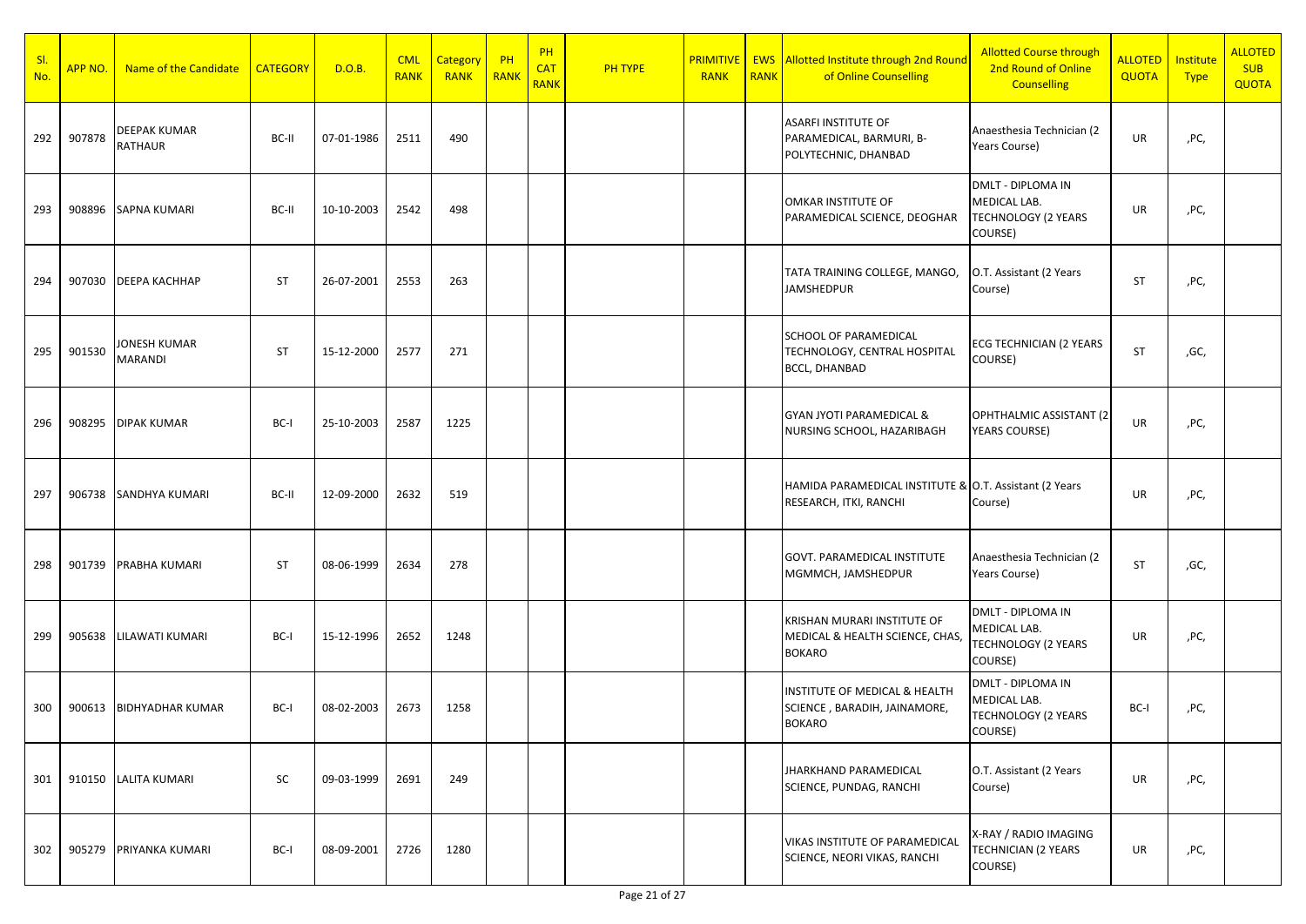| SI.<br>No. | APP NO. | Name of the Candidate                 | <b>CATEGORY</b> | D.O.B.     | <b>CML</b><br><b>RANK</b> | <b>Category</b><br><b>RANK</b> | $P$ H<br>RANK | PH<br><b>CAT</b><br><b>RANK</b> | <b>PH TYPE</b> | <b>PRIMITIVE</b><br><b>RANK</b> | <b>RANK</b> | <b>EWS</b> Allotted Institute through 2nd Round<br>of Online Counselling             | <b>Allotted Course through</b><br>2nd Round of Online<br><b>Counselling</b>       | <b>ALLOTED</b><br>QUOTA | Institute<br><b>Type</b> | <b>ALLOTED</b><br><b>SUB</b><br><b>QUOTA</b> |
|------------|---------|---------------------------------------|-----------------|------------|---------------------------|--------------------------------|---------------|---------------------------------|----------------|---------------------------------|-------------|--------------------------------------------------------------------------------------|-----------------------------------------------------------------------------------|-------------------------|--------------------------|----------------------------------------------|
| 292        | 907878  | <b>DEEPAK KUMAR</b><br><b>RATHAUR</b> | BC-II           | 07-01-1986 | 2511                      | 490                            |               |                                 |                |                                 |             | ASARFI INSTITUTE OF<br>PARAMEDICAL, BARMURI, B-<br>POLYTECHNIC, DHANBAD              | Anaesthesia Technician (2<br>Years Course)                                        | UR                      | ,PC,                     |                                              |
| 293        | 908896  | <b>SAPNA KUMARI</b>                   | BC-II           | 10-10-2003 | 2542                      | 498                            |               |                                 |                |                                 |             | OMKAR INSTITUTE OF<br>PARAMEDICAL SCIENCE, DEOGHAR                                   | DMLT - DIPLOMA IN<br>MEDICAL LAB.<br><b>TECHNOLOGY (2 YEARS</b><br>COURSE)        | UR                      | ,PC,                     |                                              |
| 294        | 907030  | <b><i>DEEPA KACHHAP</i></b>           | <b>ST</b>       | 26-07-2001 | 2553                      | 263                            |               |                                 |                |                                 |             | TATA TRAINING COLLEGE, MANGO,<br><b>JAMSHEDPUR</b>                                   | O.T. Assistant (2 Years<br>Course)                                                | ST                      | ,PC,                     |                                              |
| 295        | 901530  | JONESH KUMAR<br><b>MARANDI</b>        | <b>ST</b>       | 15-12-2000 | 2577                      | 271                            |               |                                 |                |                                 |             | <b>SCHOOL OF PARAMEDICAL</b><br>TECHNOLOGY, CENTRAL HOSPITAL<br><b>BCCL, DHANBAD</b> | ECG TECHNICIAN (2 YEARS<br>COURSE)                                                | ST                      | ,GC,                     |                                              |
| 296        | 908295  | <b>DIPAK KUMAR</b>                    | BC-I            | 25-10-2003 | 2587                      | 1225                           |               |                                 |                |                                 |             | <b>GYAN JYOTI PARAMEDICAL &amp;</b><br>NURSING SCHOOL, HAZARIBAGH                    | OPHTHALMIC ASSISTANT (2<br><b>YEARS COURSE)</b>                                   | UR                      | ,PC,                     |                                              |
| 297        |         | 906738 SANDHYA KUMARI                 | BC-II           | 12-09-2000 | 2632                      | 519                            |               |                                 |                |                                 |             | HAMIDA PARAMEDICAL INSTITUTE & O.T. Assistant (2 Years<br>RESEARCH, ITKI, RANCHI     | Course)                                                                           | UR                      | ,PC,                     |                                              |
| 298        |         | 901739 PRABHA KUMARI                  | <b>ST</b>       | 08-06-1999 | 2634                      | 278                            |               |                                 |                |                                 |             | <b>GOVT. PARAMEDICAL INSTITUTE</b><br>MGMMCH, JAMSHEDPUR                             | Anaesthesia Technician (2<br>Years Course)                                        | ST                      | ,GC,                     |                                              |
| 299        | 905638  | LILAWATI KUMARI                       | BC-I            | 15-12-1996 | 2652                      | 1248                           |               |                                 |                |                                 |             | KRISHAN MURARI INSTITUTE OF<br>MEDICAL & HEALTH SCIENCE, CHAS,<br><b>BOKARO</b>      | DMLT - DIPLOMA IN<br>MEDICAL LAB.<br>TECHNOLOGY (2 YEARS<br>COURSE)               | UR                      | ,PC,                     |                                              |
| 300        | 900613  | <b>BIDHYADHAR KUMAR</b>               | BC-I            | 08-02-2003 | 2673                      | 1258                           |               |                                 |                |                                 |             | INSTITUTE OF MEDICAL & HEALTH<br>SCIENCE, BARADIH, JAINAMORE,<br><b>BOKARO</b>       | <b>DMLT - DIPLOMA IN</b><br>MEDICAL LAB.<br><b>TECHNOLOGY (2 YEARS</b><br>COURSE) | BC-I                    | ,PC,                     |                                              |
| 301        |         | 910150 LALITA KUMARI                  | SC              | 09-03-1999 | 2691                      | 249                            |               |                                 |                |                                 |             | JHARKHAND PARAMEDICAL<br>SCIENCE, PUNDAG, RANCHI                                     | O.T. Assistant (2 Years<br>Course)                                                | UR                      | ,PC,                     |                                              |
| 302        |         | 905279 PRIYANKA KUMARI                | BC-I            | 08-09-2001 | 2726                      | 1280                           |               |                                 |                |                                 |             | <b>VIKAS INSTITUTE OF PARAMEDICAL</b><br>SCIENCE, NEORI VIKAS, RANCHI                | X-RAY / RADIO IMAGING<br><b>TECHNICIAN (2 YEARS</b><br>COURSE)                    | UR                      | ,PC,                     |                                              |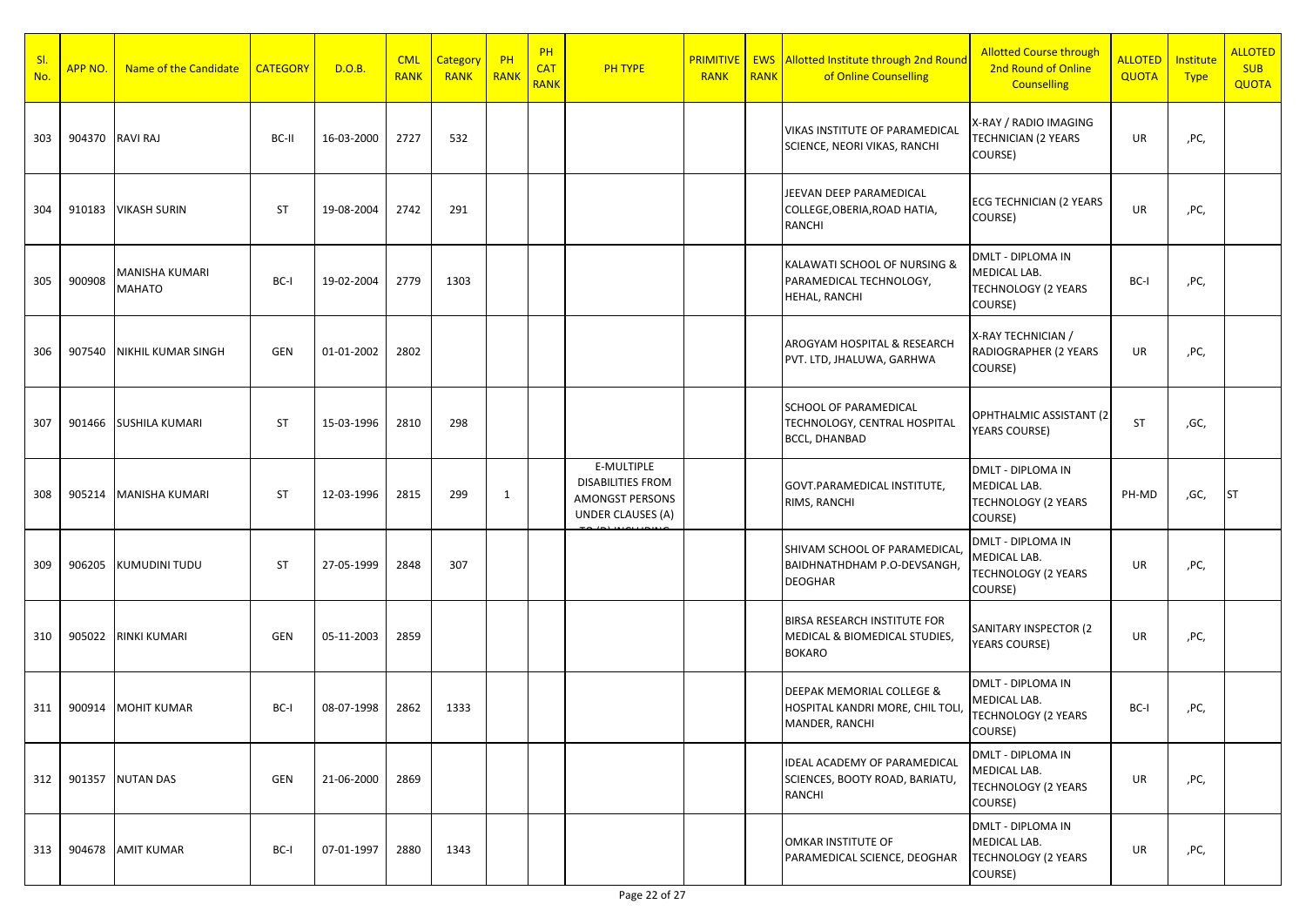| SI.<br>No. | <b>APP NO.</b> | Name of the Candidate     | <b>CATEGORY</b> | D.O.B.     | <b>CML</b><br><b>RANK</b> | Category<br><b>RANK</b> | PH<br>RANK | PH<br><b>CAT</b><br><b>RANK</b> | <b>PH TYPE</b>                                                                               | <b>RANK</b> | <b>RANK</b> | <b>PRIMITIVE   EWS Allotted Institute through 2nd Round</b><br>of Online Counselling | <b>Allotted Course through</b><br>2nd Round of Online<br><b>Counselling</b>       | <b>ALLOTED</b><br>QUOTA | Institute<br><b>Type</b> | <b>ALLOTED</b><br><b>SUB</b><br><b>QUOTA</b> |
|------------|----------------|---------------------------|-----------------|------------|---------------------------|-------------------------|------------|---------------------------------|----------------------------------------------------------------------------------------------|-------------|-------------|--------------------------------------------------------------------------------------|-----------------------------------------------------------------------------------|-------------------------|--------------------------|----------------------------------------------|
| 303        |                | 904370 RAVI RAJ           | BC-II           | 16-03-2000 | 2727                      | 532                     |            |                                 |                                                                                              |             |             | VIKAS INSTITUTE OF PARAMEDICAL<br>SCIENCE, NEORI VIKAS, RANCHI                       | X-RAY / RADIO IMAGING<br><b>TECHNICIAN (2 YEARS</b><br>COURSE)                    | UR                      | ,PC,                     |                                              |
| 304        | 910183         | <b>VIKASH SURIN</b>       | ST              | 19-08-2004 | 2742                      | 291                     |            |                                 |                                                                                              |             |             | JEEVAN DEEP PARAMEDICAL<br>COLLEGE, OBERIA, ROAD HATIA,<br>RANCHI                    | <b>ECG TECHNICIAN (2 YEARS</b><br>COURSE)                                         | UR                      | ,PC,                     |                                              |
| 305        | 900908         | MANISHA KUMARI<br>MAHATO  | BC-I            | 19-02-2004 | 2779                      | 1303                    |            |                                 |                                                                                              |             |             | KALAWATI SCHOOL OF NURSING &<br>PARAMEDICAL TECHNOLOGY,<br>HEHAL, RANCHI             | DMLT - DIPLOMA IN<br>MEDICAL LAB.<br><b>TECHNOLOGY (2 YEARS</b><br>COURSE)        | BC-I                    | ,PC,                     |                                              |
| 306        | 907540         | <b>NIKHIL KUMAR SINGH</b> | GEN             | 01-01-2002 | 2802                      |                         |            |                                 |                                                                                              |             |             | AROGYAM HOSPITAL & RESEARCH<br>PVT. LTD, JHALUWA, GARHWA                             | X-RAY TECHNICIAN /<br>RADIOGRAPHER (2 YEARS<br>COURSE)                            | UR                      | ,PC,                     |                                              |
| 307        | 901466         | SUSHILA KUMARI            | <b>ST</b>       | 15-03-1996 | 2810                      | 298                     |            |                                 |                                                                                              |             |             | SCHOOL OF PARAMEDICAL<br>TECHNOLOGY, CENTRAL HOSPITAL<br><b>BCCL, DHANBAD</b>        | OPHTHALMIC ASSISTANT (2)<br><b>YEARS COURSE)</b>                                  | <b>ST</b>               | ,GC,                     |                                              |
| 308        | 905214         | <b>MANISHA KUMARI</b>     | ST              | 12-03-1996 | 2815                      | 299                     | 1          |                                 | E-MULTIPLE<br><b>DISABILITIES FROM</b><br><b>AMONGST PERSONS</b><br><b>UNDER CLAUSES (A)</b> |             |             | GOVT.PARAMEDICAL INSTITUTE,<br>RIMS, RANCHI                                          | <b>DMLT - DIPLOMA IN</b><br>MEDICAL LAB.<br><b>TECHNOLOGY (2 YEARS</b><br>COURSE) | PH-MD                   | ,GC,                     | <b>ST</b>                                    |
| 309        | 906205         | KUMUDINI TUDU             | ST              | 27-05-1999 | 2848                      | 307                     |            |                                 |                                                                                              |             |             | SHIVAM SCHOOL OF PARAMEDICAL<br>BAIDHNATHDHAM P.O-DEVSANGH,<br><b>DEOGHAR</b>        | DMLT - DIPLOMA IN<br>MEDICAL LAB.<br><b>TECHNOLOGY (2 YEARS</b><br>COURSE)        | UR                      | ,PC,                     |                                              |
| 310        | 905022         | <b>RINKI KUMARI</b>       | GEN             | 05-11-2003 | 2859                      |                         |            |                                 |                                                                                              |             |             | BIRSA RESEARCH INSTITUTE FOR<br>MEDICAL & BIOMEDICAL STUDIES,<br><b>BOKARO</b>       | SANITARY INSPECTOR (2)<br><b>YEARS COURSE)</b>                                    | UR                      | ,PC,                     |                                              |
| 311        | 900914         | <b>MOHIT KUMAR</b>        | BC-I            | 08-07-1998 | 2862                      | 1333                    |            |                                 |                                                                                              |             |             | DEEPAK MEMORIAL COLLEGE &<br>HOSPITAL KANDRI MORE, CHIL TOLI,<br>MANDER, RANCHI      | <b>DMLT - DIPLOMA IN</b><br>MEDICAL LAB.<br><b>TECHNOLOGY (2 YEARS</b><br>COURSE) | BC-I                    | ,PC,                     |                                              |
| 312        |                | 901357 NUTAN DAS          | GEN             | 21-06-2000 | 2869                      |                         |            |                                 |                                                                                              |             |             | IDEAL ACADEMY OF PARAMEDICAL<br>SCIENCES, BOOTY ROAD, BARIATU,<br>RANCHI             | <b>DMLT - DIPLOMA IN</b><br>MEDICAL LAB.<br><b>TECHNOLOGY (2 YEARS</b><br>COURSE) | UR                      | ,PC,                     |                                              |
| 313        |                | 904678 AMIT KUMAR         | BC-I            | 07-01-1997 | 2880                      | 1343                    |            |                                 |                                                                                              |             |             | OMKAR INSTITUTE OF<br>PARAMEDICAL SCIENCE, DEOGHAR                                   | <b>DMLT - DIPLOMA IN</b><br>MEDICAL LAB.<br><b>TECHNOLOGY (2 YEARS</b><br>COURSE) | UR                      | ,PC,                     |                                              |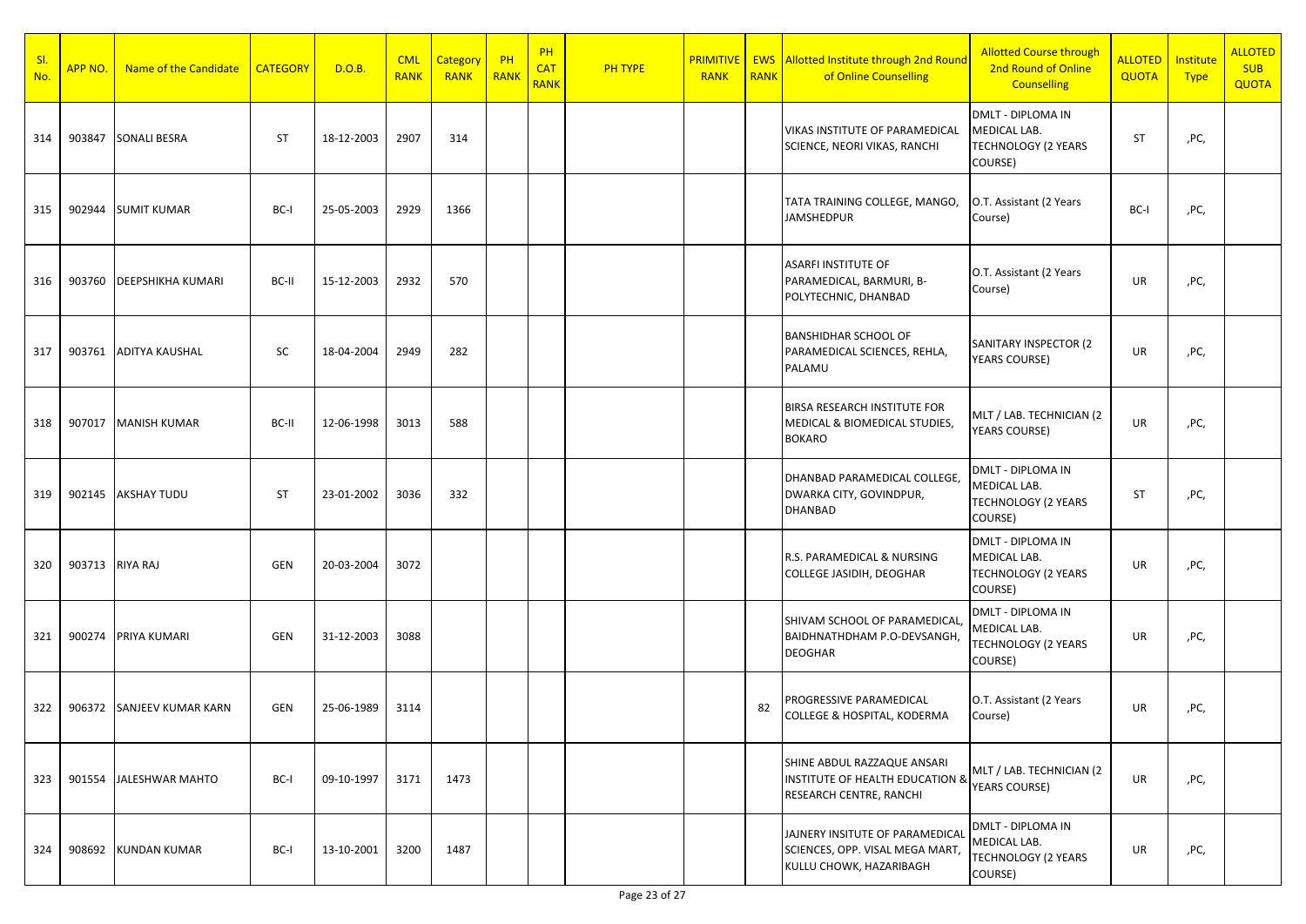| SI.<br>No. | APP NO.         | Name of the Candidate     | <b>CATEGORY</b> | D.O.B.     | <b>CML</b><br><b>RANK</b> | Category<br><b>RANK</b> | PH<br>RANK | PH<br><b>CAT</b><br><b>RANK</b> | <b>PH TYPE</b> | <b>PRIMITIVE</b><br><b>RANK</b> | <b>RANK</b> | <b>EWS</b> Allotted Institute through 2nd Round<br>of Online Counselling                             | <b>Allotted Course through</b><br>2nd Round of Online<br><b>Counselling</b>       | <b>ALLOTED</b><br>QUOTA | Institute<br><b>Type</b> | <b>ALLOTED</b><br><b>SUB</b><br><b>QUOTA</b> |
|------------|-----------------|---------------------------|-----------------|------------|---------------------------|-------------------------|------------|---------------------------------|----------------|---------------------------------|-------------|------------------------------------------------------------------------------------------------------|-----------------------------------------------------------------------------------|-------------------------|--------------------------|----------------------------------------------|
| 314        | 903847          | <b>SONALI BESRA</b>       | <b>ST</b>       | 18-12-2003 | 2907                      | 314                     |            |                                 |                |                                 |             | VIKAS INSTITUTE OF PARAMEDICAL<br>SCIENCE, NEORI VIKAS, RANCHI                                       | <b>DMLT - DIPLOMA IN</b><br>MEDICAL LAB.<br><b>TECHNOLOGY (2 YEARS</b><br>COURSE) | ST                      | ,PC,                     |                                              |
| 315        | 902944          | <b>SUMIT KUMAR</b>        | BC-I            | 25-05-2003 | 2929                      | 1366                    |            |                                 |                |                                 |             | TATA TRAINING COLLEGE, MANGO,<br><b>JAMSHEDPUR</b>                                                   | O.T. Assistant (2 Years<br>Course)                                                | BC-I                    | ,PC,                     |                                              |
| 316        | 903760          | <b>DEEPSHIKHA KUMARI</b>  | BC-II           | 15-12-2003 | 2932                      | 570                     |            |                                 |                |                                 |             | <b>ASARFI INSTITUTE OF</b><br>PARAMEDICAL, BARMURI, B-<br>POLYTECHNIC, DHANBAD                       | O.T. Assistant (2 Years<br>Course)                                                | UR                      | ,PC,                     |                                              |
| 317        | 903761          | <b>ADITYA KAUSHAL</b>     | SC              | 18-04-2004 | 2949                      | 282                     |            |                                 |                |                                 |             | <b>BANSHIDHAR SCHOOL OF</b><br>PARAMEDICAL SCIENCES, REHLA,<br>PALAMU                                | SANITARY INSPECTOR (2<br><b>YEARS COURSE)</b>                                     | UR                      | ,PC,                     |                                              |
| 318        | 907017          | <b>MANISH KUMAR</b>       | BC-II           | 12-06-1998 | 3013                      | 588                     |            |                                 |                |                                 |             | <b>BIRSA RESEARCH INSTITUTE FOR</b><br>MEDICAL & BIOMEDICAL STUDIES,<br><b>BOKARO</b>                | MLT / LAB. TECHNICIAN (2<br><b>YEARS COURSE)</b>                                  | UR                      | ,PC,                     |                                              |
| 319        |                 | 902145 AKSHAY TUDU        | <b>ST</b>       | 23-01-2002 | 3036                      | 332                     |            |                                 |                |                                 |             | DHANBAD PARAMEDICAL COLLEGE,<br>DWARKA CITY, GOVINDPUR,<br>DHANBAD                                   | DMLT - DIPLOMA IN<br>MEDICAL LAB.<br><b>TECHNOLOGY (2 YEARS</b><br>COURSE)        | ST                      | ,PC,                     |                                              |
| 320        | 903713 RIYA RAJ |                           | <b>GEN</b>      | 20-03-2004 | 3072                      |                         |            |                                 |                |                                 |             | R.S. PARAMEDICAL & NURSING<br>COLLEGE JASIDIH, DEOGHAR                                               | <b>DMLT - DIPLOMA IN</b><br>MEDICAL LAB.<br><b>TECHNOLOGY (2 YEARS</b><br>COURSE) | UR                      | ,PC,                     |                                              |
| 321        | 900274          | <b>PRIYA KUMARI</b>       | GEN             | 31-12-2003 | 3088                      |                         |            |                                 |                |                                 |             | SHIVAM SCHOOL OF PARAMEDICAL<br>BAIDHNATHDHAM P.O-DEVSANGH,<br><b>DEOGHAR</b>                        | DMLT - DIPLOMA IN<br>MEDICAL LAB.<br><b>TECHNOLOGY (2 YEARS</b><br>COURSE)        | UR                      | ,PC,                     |                                              |
| 322        | 906372          | <b>SANJEEV KUMAR KARN</b> | GEN             | 25-06-1989 | 3114                      |                         |            |                                 |                |                                 | 82          | PROGRESSIVE PARAMEDICAL<br>COLLEGE & HOSPITAL, KODERMA                                               | O.T. Assistant (2 Years<br>Course)                                                | UR                      | ,PC,                     |                                              |
| 323        |                 | 901554 JALESHWAR MAHTO    | BC-I            | 09-10-1997 | 3171                      | 1473                    |            |                                 |                |                                 |             | SHINE ABDUL RAZZAQUE ANSARI<br><b>INSTITUTE OF HEALTH EDUCATION &amp;</b><br>RESEARCH CENTRE, RANCHI | MLT / LAB. TECHNICIAN (2<br>YEARS COURSE)                                         | UR                      | ,PC,                     |                                              |
| 324        |                 | 908692 KUNDAN KUMAR       | BC-I            | 13-10-2001 | 3200                      | 1487                    |            |                                 |                |                                 |             | JAJNERY INSITUTE OF PARAMEDICAL<br>SCIENCES, OPP. VISAL MEGA MART,<br>KULLU CHOWK, HAZARIBAGH        | <b>DMLT - DIPLOMA IN</b><br>MEDICAL LAB.<br><b>TECHNOLOGY (2 YEARS</b><br>COURSE) | UR                      | ,PC,                     |                                              |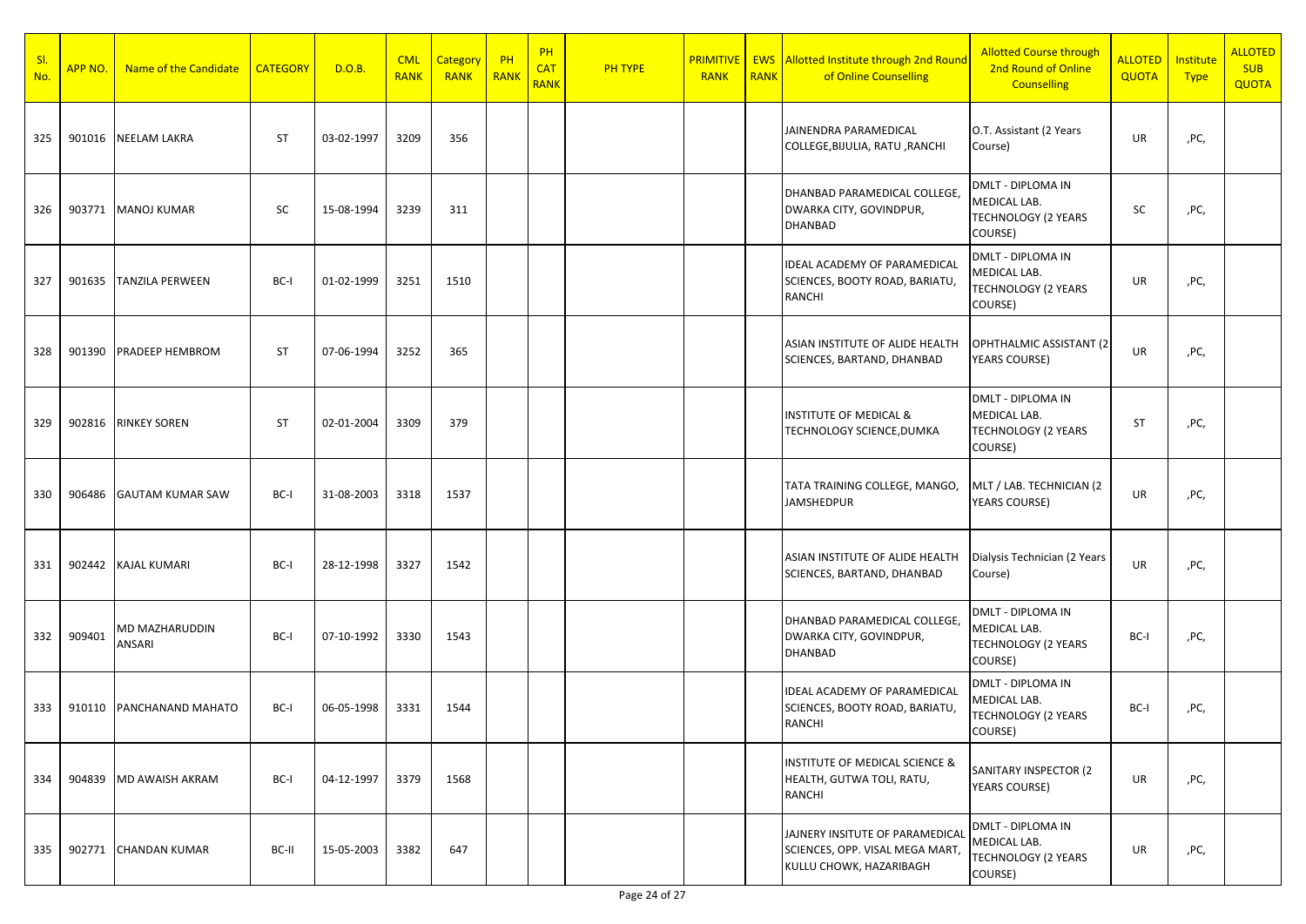| SI.<br>No. | APP NO. | Name of the Candidate    | <b>CATEGORY</b> | D.O.B.     | <b>CML</b><br><b>RANK</b> | Category<br><b>RANK</b> | $P$ H<br>RANK | PH<br><b>CAT</b><br><b>RANK</b> | <b>PH TYPE</b> | <b>RANK</b> | <b>RANK</b> | <b>PRIMITIVE   EWS Allotted Institute through 2nd Round</b><br>of Online Counselling          | <b>Allotted Course through</b><br>2nd Round of Online<br><b>Counselling</b>       | <b>ALLOTED</b><br><b>QUOTA</b> | Institute<br><b>Type</b> | <b>ALLOTED</b><br><b>SUB</b><br><b>QUOTA</b> |
|------------|---------|--------------------------|-----------------|------------|---------------------------|-------------------------|---------------|---------------------------------|----------------|-------------|-------------|-----------------------------------------------------------------------------------------------|-----------------------------------------------------------------------------------|--------------------------------|--------------------------|----------------------------------------------|
| 325        | 901016  | <b>NEELAM LAKRA</b>      | <b>ST</b>       | 03-02-1997 | 3209                      | 356                     |               |                                 |                |             |             | JAINENDRA PARAMEDICAL<br>COLLEGE, BIJULIA, RATU, RANCHI                                       | O.T. Assistant (2 Years<br>Course)                                                | UR                             | ,PC,                     |                                              |
| 326        | 903771  | <b>MANOJ KUMAR</b>       | SC              | 15-08-1994 | 3239                      | 311                     |               |                                 |                |             |             | DHANBAD PARAMEDICAL COLLEGE,<br>DWARKA CITY, GOVINDPUR,<br>DHANBAD                            | DMLT - DIPLOMA IN<br>MEDICAL LAB.<br><b>TECHNOLOGY (2 YEARS</b><br>COURSE)        | SC                             | ,PC,                     |                                              |
| 327        | 901635  | <b>TANZILA PERWEEN</b>   | BC-I            | 01-02-1999 | 3251                      | 1510                    |               |                                 |                |             |             | IDEAL ACADEMY OF PARAMEDICAL<br>SCIENCES, BOOTY ROAD, BARIATU,<br>RANCHI                      | DMLT - DIPLOMA IN<br>MEDICAL LAB.<br>TECHNOLOGY (2 YEARS<br>COURSE)               | UR                             | ,PC,                     |                                              |
| 328        | 901390  | <b>PRADEEP HEMBROM</b>   | <b>ST</b>       | 07-06-1994 | 3252                      | 365                     |               |                                 |                |             |             | ASIAN INSTITUTE OF ALIDE HEALTH<br>SCIENCES, BARTAND, DHANBAD                                 | OPHTHALMIC ASSISTANT (2<br>YEARS COURSE)                                          | UR                             | ,PC,                     |                                              |
| 329        | 902816  | <b>RINKEY SOREN</b>      | <b>ST</b>       | 02-01-2004 | 3309                      | 379                     |               |                                 |                |             |             | <b>INSTITUTE OF MEDICAL &amp;</b><br>TECHNOLOGY SCIENCE, DUMKA                                | <b>DMLT - DIPLOMA IN</b><br>MEDICAL LAB.<br><b>TECHNOLOGY (2 YEARS</b><br>COURSE) | <b>ST</b>                      | ,PC,                     |                                              |
| 330        | 906486  | <b>GAUTAM KUMAR SAW</b>  | BC-I            | 31-08-2003 | 3318                      | 1537                    |               |                                 |                |             |             | TATA TRAINING COLLEGE, MANGO,<br><b>JAMSHEDPUR</b>                                            | MLT / LAB. TECHNICIAN (2<br>YEARS COURSE)                                         | UR                             | ,PC,                     |                                              |
| 331        | 902442  | <b>KAJAL KUMARI</b>      | BC-I            | 28-12-1998 | 3327                      | 1542                    |               |                                 |                |             |             | ASIAN INSTITUTE OF ALIDE HEALTH<br>SCIENCES, BARTAND, DHANBAD                                 | Dialysis Technician (2 Years<br>Course)                                           | UR                             | ,PC,                     |                                              |
| 332        | 909401  | MD MAZHARUDDIN<br>ANSARI | BC-I            | 07-10-1992 | 3330                      | 1543                    |               |                                 |                |             |             | DHANBAD PARAMEDICAL COLLEGE,<br>DWARKA CITY, GOVINDPUR,<br>DHANBAD                            | DMLT - DIPLOMA IN<br>MEDICAL LAB.<br><b>TECHNOLOGY (2 YEARS</b><br>COURSE)        | BC-I                           | ,PC,                     |                                              |
| 333        | 910110  | PANCHANAND MAHATO        | BC-I            | 06-05-1998 | 3331                      | 1544                    |               |                                 |                |             |             | IDEAL ACADEMY OF PARAMEDICAL<br>SCIENCES, BOOTY ROAD, BARIATU,<br>RANCHI                      | DMLT - DIPLOMA IN<br>MEDICAL LAB.<br><b>TECHNOLOGY (2 YEARS</b><br>COURSE)        | BC-I                           | ,PC,                     |                                              |
| 334        | 904839  | MD AWAISH AKRAM          | BC-I            | 04-12-1997 | 3379                      | 1568                    |               |                                 |                |             |             | INSTITUTE OF MEDICAL SCIENCE &<br>HEALTH, GUTWA TOLI, RATU,<br>RANCHI                         | SANITARY INSPECTOR (2<br>YEARS COURSE)                                            | UR                             | ,PC,                     |                                              |
| 335        | 902771  | <b>CHANDAN KUMAR</b>     | BC-II           | 15-05-2003 | 3382                      | 647                     |               |                                 |                |             |             | JAJNERY INSITUTE OF PARAMEDICAL<br>SCIENCES, OPP. VISAL MEGA MART,<br>KULLU CHOWK, HAZARIBAGH | DMLT - DIPLOMA IN<br>MEDICAL LAB.<br>TECHNOLOGY (2 YEARS<br>COURSE)               | UR                             | ,PC,                     |                                              |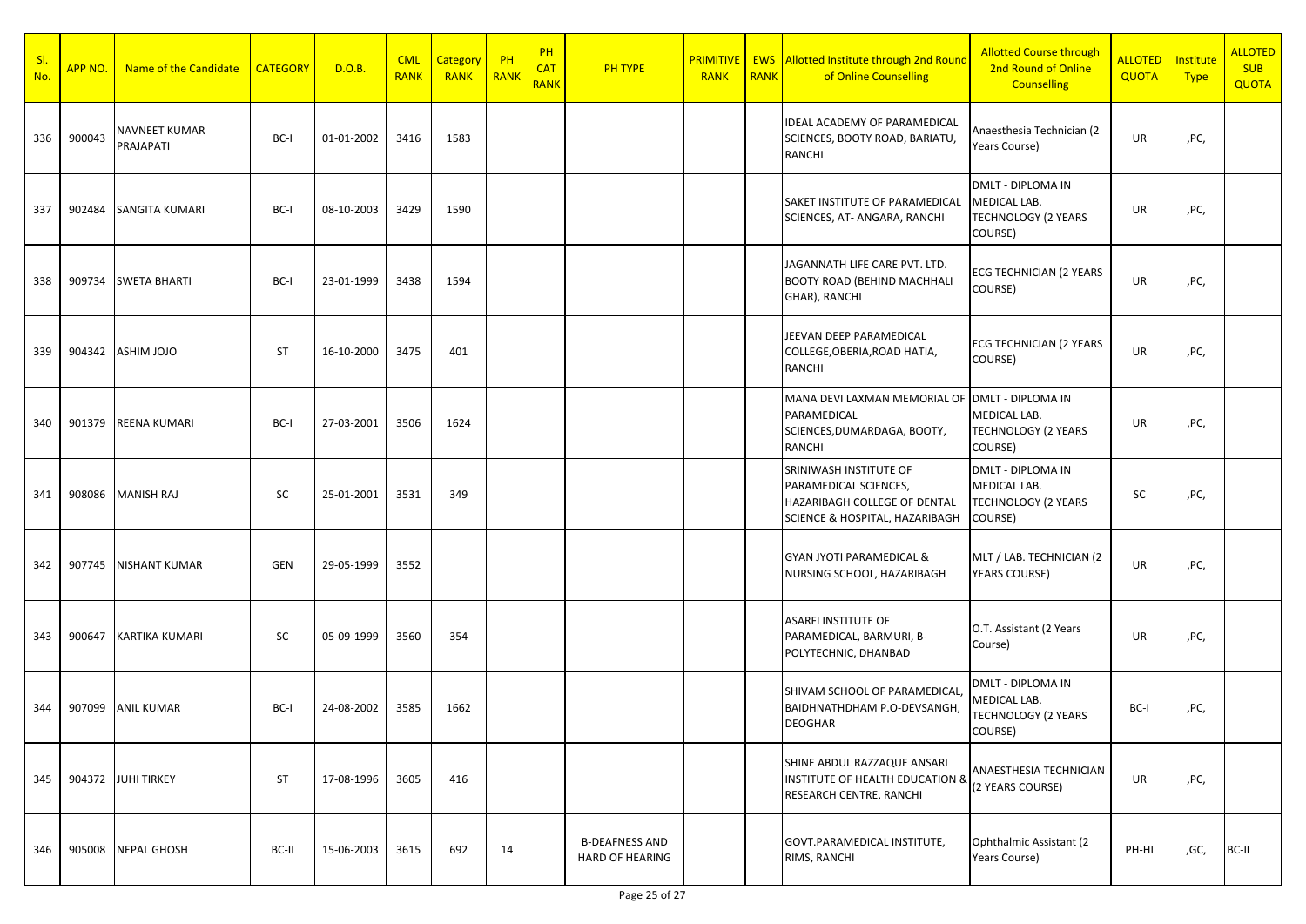| <u>SI.</u><br>No. | <b>APP NO.</b> | Name of the Candidate      | <b>CATEGORY</b> | D.O.B.     | <b>CML</b><br><b>RANK</b> | Category<br><b>RANK</b> | $P$ H<br>RANK | PH<br><b>CAT</b><br><b>RANK</b> | <b>PH TYPE</b>                                  | <b>PRIMITIVE</b><br><b>RANK</b> | <b>RANK</b> | <b>EWS</b> Allotted Institute through 2nd Round<br>of Online Counselling                                                     | <b>Allotted Course through</b><br>2nd Round of Online<br><b>Counselling</b>       | <b>ALLOTED</b><br><b>QUOTA</b> | <b>Institute</b><br><b>Type</b> | <b>ALLOTED</b><br><b>SUB</b><br><b>QUOTA</b> |
|-------------------|----------------|----------------------------|-----------------|------------|---------------------------|-------------------------|---------------|---------------------------------|-------------------------------------------------|---------------------------------|-------------|------------------------------------------------------------------------------------------------------------------------------|-----------------------------------------------------------------------------------|--------------------------------|---------------------------------|----------------------------------------------|
| 336               | 900043         | NAVNEET KUMAR<br>PRAJAPATI | BC-I            | 01-01-2002 | 3416                      | 1583                    |               |                                 |                                                 |                                 |             | <b>IDEAL ACADEMY OF PARAMEDICAL</b><br>SCIENCES, BOOTY ROAD, BARIATU,<br><b>RANCHI</b>                                       | Anaesthesia Technician (2<br>Years Course)                                        | UR                             | ,PC,                            |                                              |
| 337               | 902484         | <b>SANGITA KUMARI</b>      | BC-I            | 08-10-2003 | 3429                      | 1590                    |               |                                 |                                                 |                                 |             | SAKET INSTITUTE OF PARAMEDICAL<br>SCIENCES, AT-ANGARA, RANCHI                                                                | <b>DMLT - DIPLOMA IN</b><br>MEDICAL LAB.<br><b>TECHNOLOGY (2 YEARS</b><br>COURSE) | UR                             | ,PC,                            |                                              |
| 338               | 909734         | <b>SWETA BHARTI</b>        | BC-I            | 23-01-1999 | 3438                      | 1594                    |               |                                 |                                                 |                                 |             | JAGANNATH LIFE CARE PVT. LTD.<br><b>BOOTY ROAD (BEHIND MACHHALI</b><br>GHAR), RANCHI                                         | <b>ECG TECHNICIAN (2 YEARS</b><br>COURSE)                                         | UR                             | ,PC,                            |                                              |
| 339               | 904342         | <b>ASHIM JOJO</b>          | <b>ST</b>       | 16-10-2000 | 3475                      | 401                     |               |                                 |                                                 |                                 |             | JEEVAN DEEP PARAMEDICAL<br>COLLEGE, OBERIA, ROAD HATIA,<br><b>RANCHI</b>                                                     | ECG TECHNICIAN (2 YEARS<br>COURSE)                                                | UR                             | ,PC,                            |                                              |
| 340               | 901379         | <b>REENA KUMARI</b>        | BC-I            | 27-03-2001 | 3506                      | 1624                    |               |                                 |                                                 |                                 |             | MANA DEVI LAXMAN MEMORIAL OF DMLT - DIPLOMA IN<br>PARAMEDICAL<br>SCIENCES, DUMARDAGA, BOOTY,<br><b>RANCHI</b>                | MEDICAL LAB.<br><b>TECHNOLOGY (2 YEARS</b><br>COURSE)                             | UR                             | ,PC,                            |                                              |
| 341               | 908086         | <b>MANISH RAJ</b>          | SC              | 25-01-2001 | 3531                      | 349                     |               |                                 |                                                 |                                 |             | SRINIWASH INSTITUTE OF<br>PARAMEDICAL SCIENCES,<br>HAZARIBAGH COLLEGE OF DENTAL<br><b>SCIENCE &amp; HOSPITAL, HAZARIBAGH</b> | <b>DMLT - DIPLOMA IN</b><br>MEDICAL LAB.<br>TECHNOLOGY (2 YEARS<br>COURSE)        | SC                             | ,PC,                            |                                              |
| 342               | 907745         | <b>NISHANT KUMAR</b>       | <b>GEN</b>      | 29-05-1999 | 3552                      |                         |               |                                 |                                                 |                                 |             | <b>GYAN JYOTI PARAMEDICAL &amp;</b><br>NURSING SCHOOL, HAZARIBAGH                                                            | MLT / LAB. TECHNICIAN (2<br><b>YEARS COURSE)</b>                                  | UR                             | ,PC,                            |                                              |
| 343               | 900647         | KARTIKA KUMARI             | SC              | 05-09-1999 | 3560                      | 354                     |               |                                 |                                                 |                                 |             | <b>ASARFI INSTITUTE OF</b><br>PARAMEDICAL, BARMURI, B-<br>POLYTECHNIC, DHANBAD                                               | O.T. Assistant (2 Years<br>Course)                                                | UR                             | ,PC,                            |                                              |
| 344               | 907099         | <b>ANIL KUMAR</b>          | BC-I            | 24-08-2002 | 3585                      | 1662                    |               |                                 |                                                 |                                 |             | SHIVAM SCHOOL OF PARAMEDICAL<br>BAIDHNATHDHAM P.O-DEVSANGH,<br><b>DEOGHAR</b>                                                | <b>DMLT - DIPLOMA IN</b><br>MEDICAL LAB.<br><b>TECHNOLOGY (2 YEARS</b><br>COURSE) | BC-I                           | ,PC,                            |                                              |
| 345               |                | 904372 JUHI TIRKEY         | <b>ST</b>       | 17-08-1996 | 3605                      | 416                     |               |                                 |                                                 |                                 |             | SHINE ABDUL RAZZAQUE ANSARI<br><b>INSTITUTE OF HEALTH EDUCATION &amp;</b><br><b>RESEARCH CENTRE, RANCHI</b>                  | ANAESTHESIA TECHNICIAN<br>(2 YEARS COURSE)                                        | UR                             | ,PC,                            |                                              |
| 346               | 905008         | <b>NEPAL GHOSH</b>         | BC-II           | 15-06-2003 | 3615                      | 692                     | 14            |                                 | <b>B-DEAFNESS AND</b><br><b>HARD OF HEARING</b> |                                 |             | GOVT.PARAMEDICAL INSTITUTE,<br>RIMS, RANCHI                                                                                  | Ophthalmic Assistant (2<br>Years Course)                                          | PH-HI                          | ,GC,                            | BC-II                                        |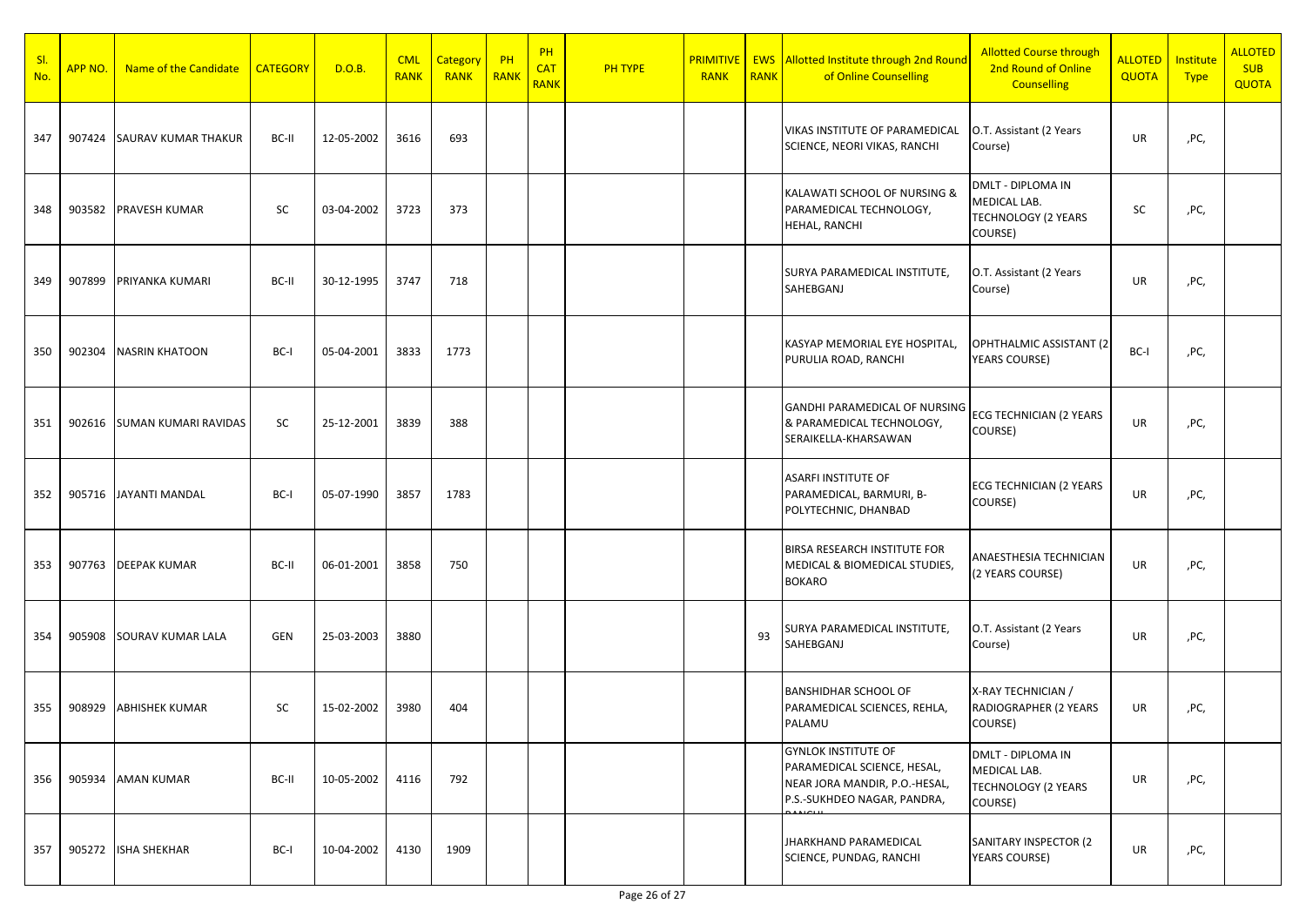| SI.<br>No. | APP NO. | Name of the Candidate       | <b>CATEGORY</b> | D.O.B.     | <b>CML</b><br><b>RANK</b> | Category<br><b>RANK</b> | $P$ H<br>RANK | PH<br><b>CAT</b><br><b>RANK</b> | <b>PH TYPE</b> | <b>RANK</b> | <b>RANK</b> | <b>PRIMITIVE   EWS Allotted Institute through 2nd Round</b><br>of Online Counselling                                      | <b>Allotted Course through</b><br>2nd Round of Online<br><b>Counselling</b>       | <b>ALLOTED</b><br><b>QUOTA</b> | Institute<br><b>Type</b> | <b>ALLOTED</b><br><b>SUB</b><br><b>QUOTA</b> |
|------------|---------|-----------------------------|-----------------|------------|---------------------------|-------------------------|---------------|---------------------------------|----------------|-------------|-------------|---------------------------------------------------------------------------------------------------------------------------|-----------------------------------------------------------------------------------|--------------------------------|--------------------------|----------------------------------------------|
| 347        | 907424  | SAURAV KUMAR THAKUR         | BC-II           | 12-05-2002 | 3616                      | 693                     |               |                                 |                |             |             | VIKAS INSTITUTE OF PARAMEDICAL<br>SCIENCE, NEORI VIKAS, RANCHI                                                            | O.T. Assistant (2 Years<br>Course)                                                | UR                             | ,PC,                     |                                              |
| 348        | 903582  | PRAVESH KUMAR               | SC              | 03-04-2002 | 3723                      | 373                     |               |                                 |                |             |             | KALAWATI SCHOOL OF NURSING &<br>PARAMEDICAL TECHNOLOGY,<br>HEHAL, RANCHI                                                  | DMLT - DIPLOMA IN<br>MEDICAL LAB.<br><b>TECHNOLOGY (2 YEARS</b><br>COURSE)        | SC                             | ,PC,                     |                                              |
| 349        | 907899  | PRIYANKA KUMARI             | BC-II           | 30-12-1995 | 3747                      | 718                     |               |                                 |                |             |             | SURYA PARAMEDICAL INSTITUTE,<br>SAHEBGANJ                                                                                 | O.T. Assistant (2 Years<br>Course)                                                | UR                             | ,PC,                     |                                              |
| 350        | 902304  | <b>NASRIN KHATOON</b>       | BC-I            | 05-04-2001 | 3833                      | 1773                    |               |                                 |                |             |             | KASYAP MEMORIAL EYE HOSPITAL,<br>PURULIA ROAD, RANCHI                                                                     | OPHTHALMIC ASSISTANT (2<br>YEARS COURSE)                                          | BC-I                           | ,PC,                     |                                              |
| 351        | 902616  | <b>SUMAN KUMARI RAVIDAS</b> | SC              | 25-12-2001 | 3839                      | 388                     |               |                                 |                |             |             | GANDHI PARAMEDICAL OF NURSING<br>& PARAMEDICAL TECHNOLOGY,<br>SERAIKELLA-KHARSAWAN                                        | ECG TECHNICIAN (2 YEARS<br>COURSE)                                                | UR                             | ,PC,                     |                                              |
| 352        |         | 905716 JAYANTI MANDAL       | BC-I            | 05-07-1990 | 3857                      | 1783                    |               |                                 |                |             |             | <b>ASARFI INSTITUTE OF</b><br>PARAMEDICAL, BARMURI, B-<br>POLYTECHNIC, DHANBAD                                            | <b>ECG TECHNICIAN (2 YEARS</b><br>COURSE)                                         | UR                             | ,PC,                     |                                              |
| 353        | 907763  | <b>DEEPAK KUMAR</b>         | BC-II           | 06-01-2001 | 3858                      | 750                     |               |                                 |                |             |             | BIRSA RESEARCH INSTITUTE FOR<br>MEDICAL & BIOMEDICAL STUDIES,<br><b>BOKARO</b>                                            | ANAESTHESIA TECHNICIAN<br>(2 YEARS COURSE)                                        | UR                             | ,PC,                     |                                              |
| 354        | 905908  | <b>SOURAV KUMAR LALA</b>    | GEN             | 25-03-2003 | 3880                      |                         |               |                                 |                |             | 93          | SURYA PARAMEDICAL INSTITUTE,<br>SAHEBGANJ                                                                                 | O.T. Assistant (2 Years<br>Course)                                                | UR                             | ,PC,                     |                                              |
| 355        | 908929  | <b>ABHISHEK KUMAR</b>       | SC              | 15-02-2002 | 3980                      | 404                     |               |                                 |                |             |             | <b>BANSHIDHAR SCHOOL OF</b><br>PARAMEDICAL SCIENCES, REHLA,<br>PALAMU                                                     | X-RAY TECHNICIAN /<br>RADIOGRAPHER (2 YEARS<br>COURSE)                            | UR                             | ,PC,                     |                                              |
| 356        | 905934  | <b>AMAN KUMAR</b>           | BC-II           | 10-05-2002 | 4116                      | 792                     |               |                                 |                |             |             | <b>GYNLOK INSTITUTE OF</b><br>PARAMEDICAL SCIENCE, HESAL,<br>NEAR JORA MANDIR, P.O.-HESAL,<br>P.S.-SUKHDEO NAGAR, PANDRA, | <b>DMLT - DIPLOMA IN</b><br>MEDICAL LAB.<br><b>TECHNOLOGY (2 YEARS</b><br>COURSE) | UR                             | ,PC,                     |                                              |
| 357        | 905272  | <b>ISHA SHEKHAR</b>         | BC-I            | 10-04-2002 | 4130                      | 1909                    |               |                                 |                |             |             | JHARKHAND PARAMEDICAL<br>SCIENCE, PUNDAG, RANCHI                                                                          | SANITARY INSPECTOR (2<br><b>YEARS COURSE)</b>                                     | UR                             | ,PC,                     |                                              |